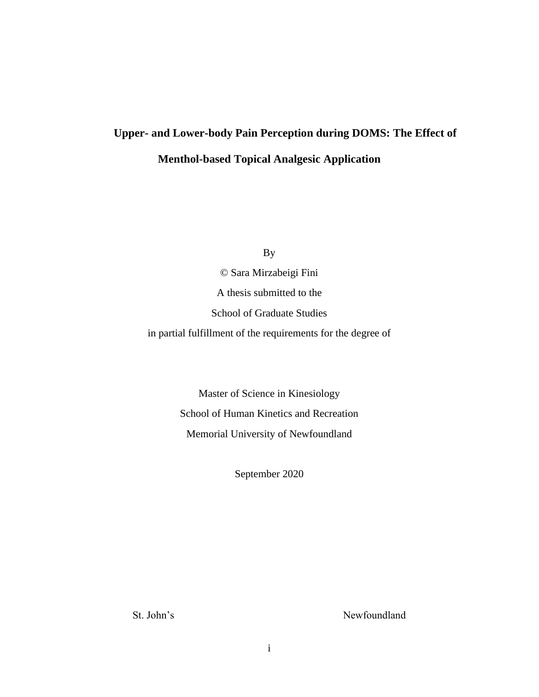# **Upper- and Lower-body Pain Perception during DOMS: The Effect of Menthol-based Topical Analgesic Application**

By

© Sara Mirzabeigi Fini A thesis submitted to the School of Graduate Studies in partial fulfillment of the requirements for the degree of

> Master of Science in Kinesiology School of Human Kinetics and Recreation Memorial University of Newfoundland

> > September 2020

St. John's Newfoundland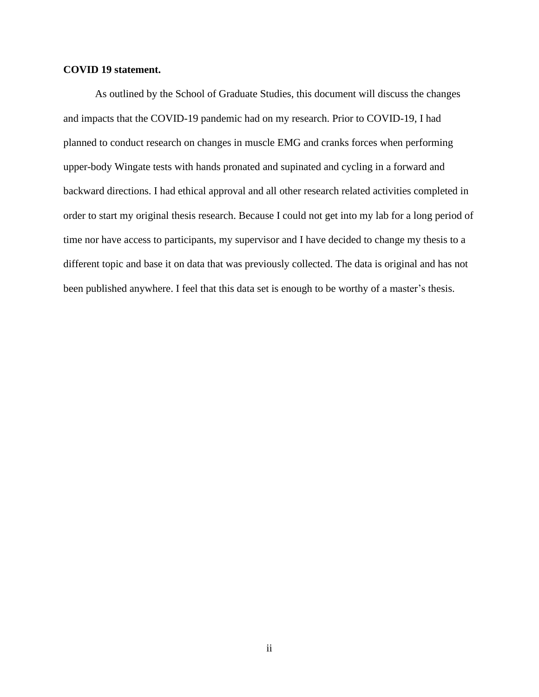#### <span id="page-1-0"></span>**COVID 19 statement.**

As outlined by the School of Graduate Studies, this document will discuss the changes and impacts that the COVID-19 pandemic had on my research. Prior to COVID-19, I had planned to conduct research on changes in muscle EMG and cranks forces when performing upper-body Wingate tests with hands pronated and supinated and cycling in a forward and backward directions. I had ethical approval and all other research related activities completed in order to start my original thesis research. Because I could not get into my lab for a long period of time nor have access to participants, my supervisor and I have decided to change my thesis to a different topic and base it on data that was previously collected. The data is original and has not been published anywhere. I feel that this data set is enough to be worthy of a master's thesis.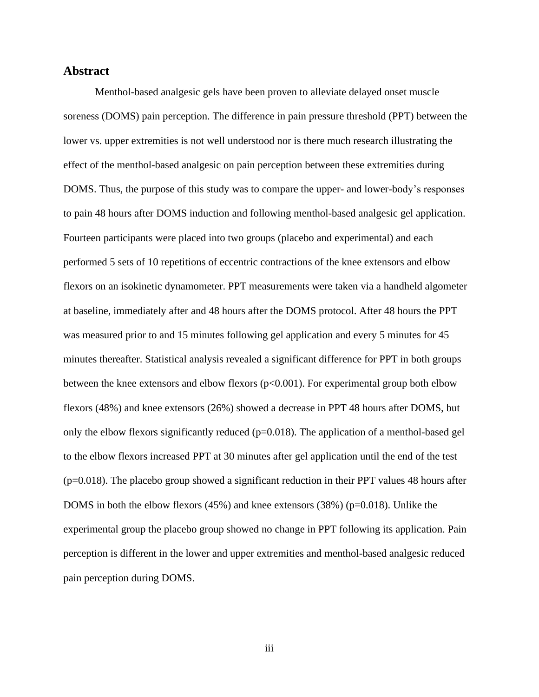# **Abstract**

Menthol-based analgesic gels have been proven to alleviate delayed onset muscle soreness (DOMS) pain perception. The difference in pain pressure threshold (PPT) between the lower vs. upper extremities is not well understood nor is there much research illustrating the effect of the menthol-based analgesic on pain perception between these extremities during DOMS. Thus, the purpose of this study was to compare the upper- and lower-body's responses to pain 48 hours after DOMS induction and following menthol-based analgesic gel application. Fourteen participants were placed into two groups (placebo and experimental) and each performed 5 sets of 10 repetitions of eccentric contractions of the knee extensors and elbow flexors on an isokinetic dynamometer. PPT measurements were taken via a handheld algometer at baseline, immediately after and 48 hours after the DOMS protocol. After 48 hours the PPT was measured prior to and 15 minutes following gel application and every 5 minutes for 45 minutes thereafter. Statistical analysis revealed a significant difference for PPT in both groups between the knee extensors and elbow flexors  $(p<0.001)$ . For experimental group both elbow flexors (48%) and knee extensors (26%) showed a decrease in PPT 48 hours after DOMS, but only the elbow flexors significantly reduced (p=0.018). The application of a menthol-based gel to the elbow flexors increased PPT at 30 minutes after gel application until the end of the test  $(p=0.018)$ . The placebo group showed a significant reduction in their PPT values 48 hours after DOMS in both the elbow flexors (45%) and knee extensors (38%) (p=0.018). Unlike the experimental group the placebo group showed no change in PPT following its application. Pain perception is different in the lower and upper extremities and menthol-based analgesic reduced pain perception during DOMS.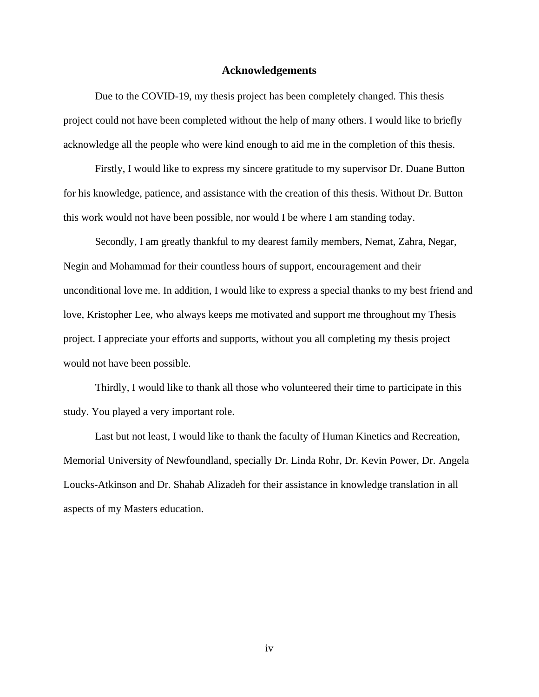#### **Acknowledgements**

<span id="page-3-0"></span>Due to the COVID-19, my thesis project has been completely changed. This thesis project could not have been completed without the help of many others. I would like to briefly acknowledge all the people who were kind enough to aid me in the completion of this thesis.

Firstly, I would like to express my sincere gratitude to my supervisor Dr. Duane Button for his knowledge, patience, and assistance with the creation of this thesis. Without Dr. Button this work would not have been possible, nor would I be where I am standing today.

Secondly, I am greatly thankful to my dearest family members, Nemat, Zahra, Negar, Negin and Mohammad for their countless hours of support, encouragement and their unconditional love me. In addition, I would like to express a special thanks to my best friend and love, Kristopher Lee, who always keeps me motivated and support me throughout my Thesis project. I appreciate your efforts and supports, without you all completing my thesis project would not have been possible.

Thirdly, I would like to thank all those who volunteered their time to participate in this study. You played a very important role.

Last but not least, I would like to thank the faculty of Human Kinetics and Recreation, Memorial University of Newfoundland, specially Dr. Linda Rohr, Dr. Kevin Power, Dr. Angela Loucks-Atkinson and Dr. Shahab Alizadeh for their assistance in knowledge translation in all aspects of my Masters education.

iv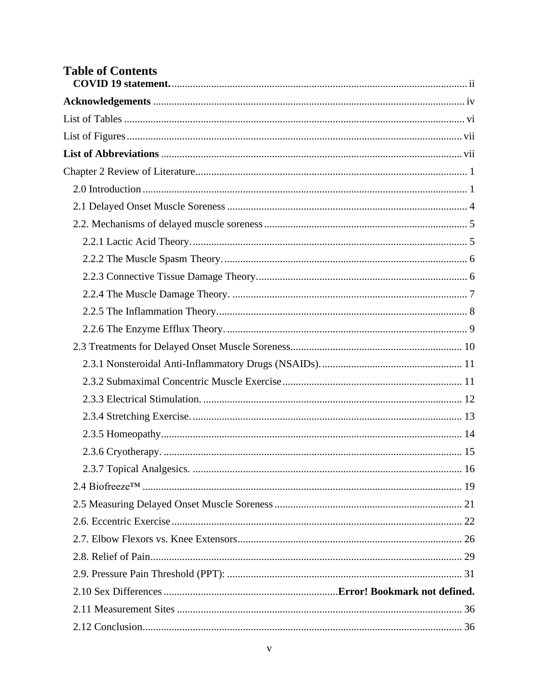| <b>Table of Contents</b> |  |
|--------------------------|--|
|                          |  |
|                          |  |
|                          |  |
|                          |  |
|                          |  |
|                          |  |
|                          |  |
|                          |  |
|                          |  |
|                          |  |
|                          |  |
|                          |  |
|                          |  |
|                          |  |
|                          |  |
|                          |  |
|                          |  |
|                          |  |
|                          |  |
|                          |  |
|                          |  |
|                          |  |
|                          |  |
|                          |  |
|                          |  |
|                          |  |
|                          |  |
|                          |  |
|                          |  |
|                          |  |
|                          |  |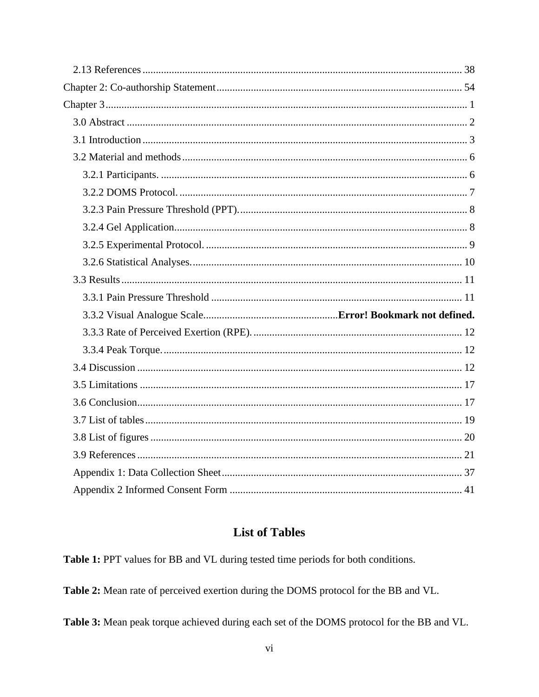# **List of Tables**

<span id="page-5-0"></span>Table 1: PPT values for BB and VL during tested time periods for both conditions.

Table 2: Mean rate of perceived exertion during the DOMS protocol for the BB and VL.

Table 3: Mean peak torque achieved during each set of the DOMS protocol for the BB and VL.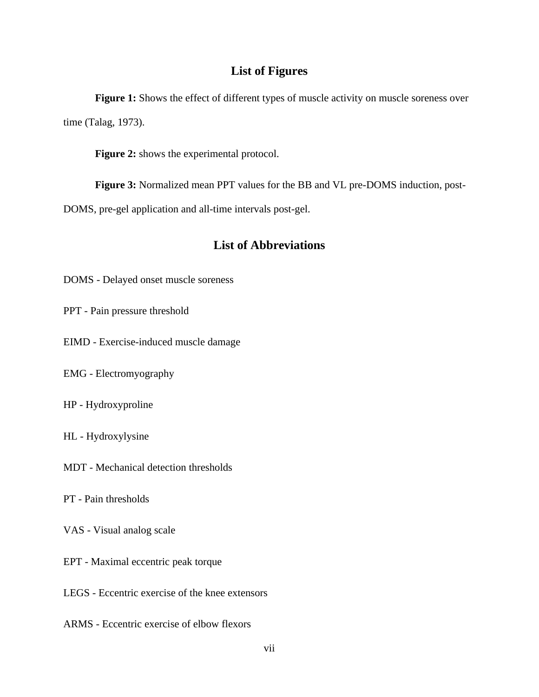# **List of Figures**

<span id="page-6-0"></span>**Figure 1:** Shows the effect of different types of muscle activity on muscle soreness over time (Talag, 1973).

**Figure 2:** shows the experimental protocol.

**Figure 3:** Normalized mean PPT values for the BB and VL pre-DOMS induction, post-

<span id="page-6-1"></span>DOMS, pre-gel application and all-time intervals post-gel.

# **List of Abbreviations**

DOMS - Delayed onset muscle soreness

- PPT Pain pressure threshold
- EIMD Exercise-induced muscle damage
- EMG Electromyography
- HP Hydroxyproline
- HL Hydroxylysine
- MDT Mechanical detection thresholds
- PT Pain thresholds
- VAS Visual analog scale
- EPT Maximal eccentric peak torque
- LEGS Eccentric exercise of the knee extensors
- ARMS Eccentric exercise of elbow flexors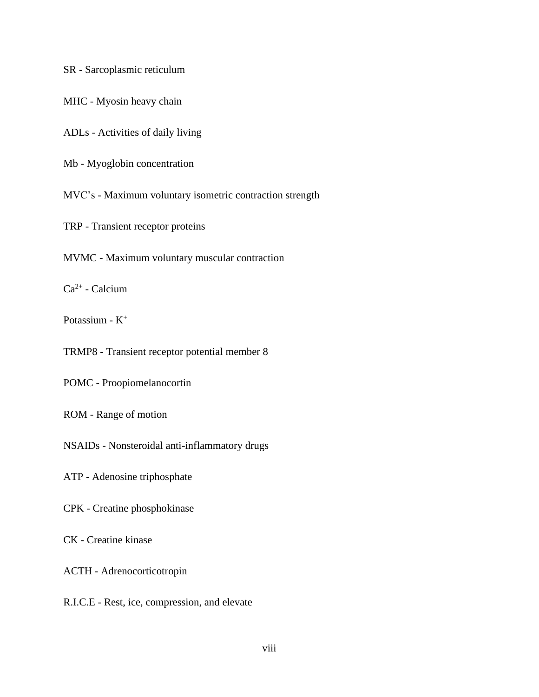SR - Sarcoplasmic reticulum

MHC - Myosin heavy chain

ADLs - Activities of daily living

Mb - Myoglobin concentration

MVC's - Maximum voluntary isometric contraction strength

TRP - Transient receptor proteins

MVMC - Maximum voluntary muscular contraction

 $Ca^{2+}$  - Calcium

Potassium - K<sup>+</sup>

TRMP8 - Transient receptor potential member 8

POMC - Proopiomelanocortin

ROM - Range of motion

NSAIDs - Nonsteroidal anti-inflammatory drugs

ATP - Adenosine triphosphate

CPK - Creatine phosphokinase

CK - Creatine kinase

ACTH - Adrenocorticotropin

R.I.C.E - Rest, ice, compression, and elevate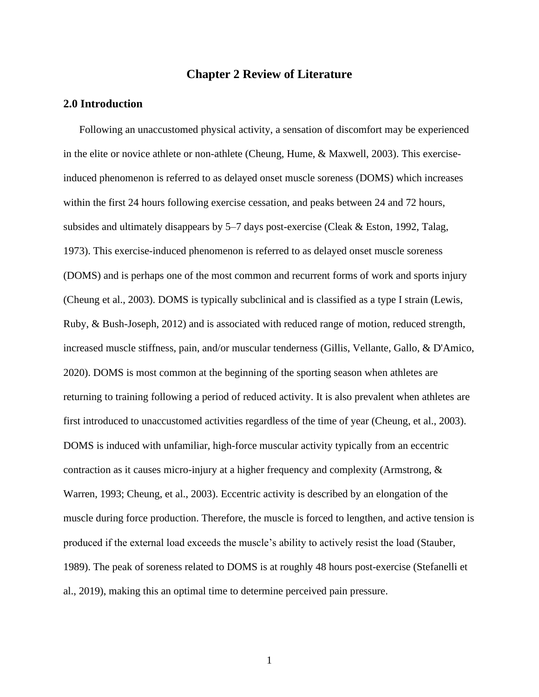# **Chapter 2 Review of Literature**

# <span id="page-8-1"></span><span id="page-8-0"></span>**2.0 Introduction**

Following an unaccustomed physical activity, a sensation of discomfort may be experienced in the elite or novice athlete or non-athlete (Cheung, Hume, & Maxwell, 2003). This exerciseinduced phenomenon is referred to as delayed onset muscle soreness (DOMS) which increases within the first 24 hours following exercise cessation, and peaks between 24 and 72 hours, subsides and ultimately disappears by 5–7 days post-exercise (Cleak & Eston, 1992, Talag, 1973). This exercise-induced phenomenon is referred to as delayed onset muscle soreness (DOMS) and is perhaps one of the most common and recurrent forms of work and sports injury (Cheung et al., 2003). DOMS is typically subclinical and is classified as a type I strain (Lewis, Ruby, & Bush-Joseph, 2012) and is associated with reduced range of motion, reduced strength, increased muscle stiffness, pain, and/or muscular tenderness (Gillis, Vellante, Gallo, & D'Amico, 2020). DOMS is most common at the beginning of the sporting season when athletes are returning to training following a period of reduced activity. It is also prevalent when athletes are first introduced to unaccustomed activities regardless of the time of year (Cheung, et al., 2003). DOMS is induced with unfamiliar, high-force muscular activity typically from an eccentric contraction as it causes micro-injury at a higher frequency and complexity (Armstrong, & Warren, 1993; Cheung, et al., 2003). Eccentric activity is described by an elongation of the muscle during force production. Therefore, the muscle is forced to lengthen, and active tension is produced if the external load exceeds the muscle's ability to actively resist the load (Stauber, 1989). The peak of soreness related to DOMS is at roughly 48 hours post-exercise (Stefanelli et al., 2019), making this an optimal time to determine perceived pain pressure.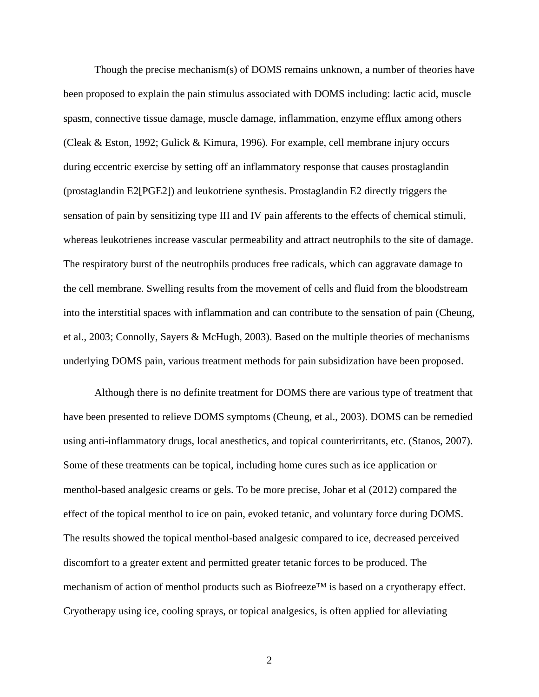Though the precise mechanism(s) of DOMS remains unknown, a number of theories have been proposed to explain the pain stimulus associated with DOMS including: lactic acid, muscle spasm, connective tissue damage, muscle damage, inflammation, enzyme efflux among others (Cleak & Eston, 1992; Gulick & Kimura, 1996). For example, cell membrane injury occurs during eccentric exercise by setting off an inflammatory response that causes prostaglandin (prostaglandin E2[PGE2]) and leukotriene synthesis. Prostaglandin E2 directly triggers the sensation of pain by sensitizing type III and IV pain afferents to the effects of chemical stimuli, whereas leukotrienes increase vascular permeability and attract neutrophils to the site of damage. The respiratory burst of the neutrophils produces free radicals, which can aggravate damage to the cell membrane. Swelling results from the movement of cells and fluid from the bloodstream into the interstitial spaces with inflammation and can contribute to the sensation of pain (Cheung, et al., 2003; Connolly, Sayers & McHugh, 2003). Based on the multiple theories of mechanisms underlying DOMS pain, various treatment methods for pain subsidization have been proposed.

Although there is no definite treatment for DOMS there are various type of treatment that have been presented to relieve DOMS symptoms (Cheung, et al., 2003). DOMS can be remedied using anti-inflammatory drugs, local anesthetics, and topical counterirritants, etc. (Stanos, 2007). Some of these treatments can be topical, including home cures such as ice application or menthol-based analgesic creams or gels. To be more precise, Johar et al (2012) compared the effect of the topical menthol to ice on pain, evoked tetanic, and voluntary force during DOMS. The results showed the topical menthol-based analgesic compared to ice, decreased perceived discomfort to a greater extent and permitted greater tetanic forces to be produced. The mechanism of action of menthol products such as Biofreeze™ is based on a cryotherapy effect. Cryotherapy using ice, cooling sprays, or topical analgesics, is often applied for alleviating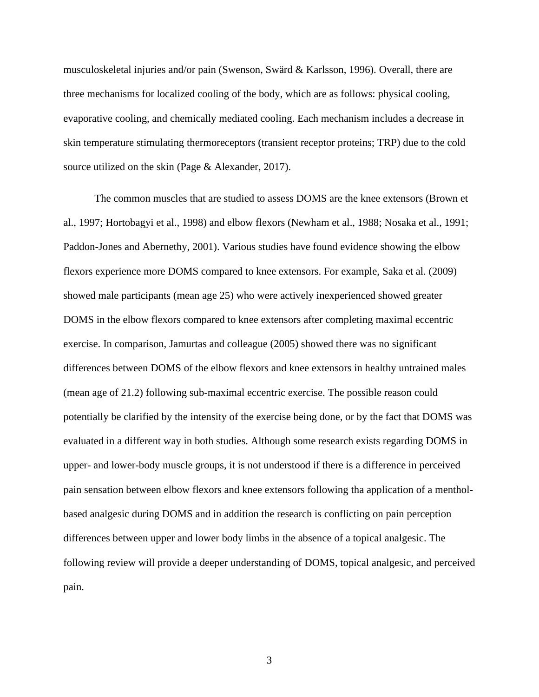musculoskeletal injuries and/or pain (Swenson, Swärd & Karlsson, 1996). Overall, there are three mechanisms for localized cooling of the body, which are as follows: physical cooling, evaporative cooling, and chemically mediated cooling. Each mechanism includes a decrease in skin temperature stimulating thermoreceptors (transient receptor proteins; TRP) due to the cold source utilized on the skin (Page & Alexander, 2017).

The common muscles that are studied to assess DOMS are the knee extensors (Brown et al., 1997; Hortobagyi et al., 1998) and elbow flexors (Newham et al., 1988; Nosaka et al., 1991; Paddon-Jones and Abernethy, 2001). Various studies have found evidence showing the elbow flexors experience more DOMS compared to knee extensors. For example, Saka et al. (2009) showed male participants (mean age 25) who were actively inexperienced showed greater DOMS in the elbow flexors compared to knee extensors after completing maximal eccentric exercise. In comparison, Jamurtas and colleague (2005) showed there was no significant differences between DOMS of the elbow flexors and knee extensors in healthy untrained males (mean age of 21.2) following sub-maximal eccentric exercise. The possible reason could potentially be clarified by the intensity of the exercise being done, or by the fact that DOMS was evaluated in a different way in both studies. Although some research exists regarding DOMS in upper- and lower-body muscle groups, it is not understood if there is a difference in perceived pain sensation between elbow flexors and knee extensors following tha application of a mentholbased analgesic during DOMS and in addition the research is conflicting on pain perception differences between upper and lower body limbs in the absence of a topical analgesic. The following review will provide a deeper understanding of DOMS, topical analgesic, and perceived pain.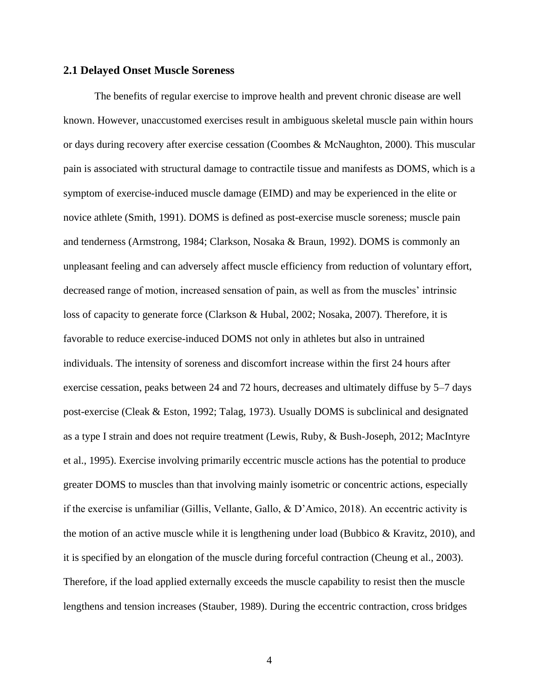# <span id="page-11-0"></span>**2.1 Delayed Onset Muscle Soreness**

The benefits of regular exercise to improve health and prevent chronic disease are well known. However, unaccustomed exercises result in ambiguous skeletal muscle pain within hours or days during recovery after exercise cessation (Coombes & McNaughton, 2000). This muscular pain is associated with structural damage to contractile tissue and manifests as DOMS, which is a symptom of exercise-induced muscle damage (EIMD) and may be experienced in the elite or novice athlete (Smith, 1991). DOMS is defined as post-exercise muscle soreness; muscle pain and tenderness (Armstrong, 1984; Clarkson, Nosaka & Braun, 1992). DOMS is commonly an unpleasant feeling and can adversely affect muscle efficiency from reduction of voluntary effort, decreased range of motion, increased sensation of pain, as well as from the muscles' intrinsic loss of capacity to generate force (Clarkson & Hubal, 2002; Nosaka, 2007). Therefore, it is favorable to reduce exercise-induced DOMS not only in athletes but also in untrained individuals. The intensity of soreness and discomfort increase within the first 24 hours after exercise cessation, peaks between 24 and 72 hours, decreases and ultimately diffuse by 5–7 days post-exercise (Cleak & Eston, 1992; Talag, 1973). Usually DOMS is subclinical and designated as a type I strain and does not require treatment (Lewis, Ruby, & Bush-Joseph, 2012; MacIntyre et al., 1995). Exercise involving primarily eccentric muscle actions has the potential to produce greater DOMS to muscles than that involving mainly isometric or concentric actions, especially if the exercise is unfamiliar (Gillis, Vellante, Gallo, & D'Amico, 2018). An eccentric activity is the motion of an active muscle while it is lengthening under load (Bubbico & Kravitz, 2010), and it is specified by an elongation of the muscle during forceful contraction (Cheung et al., 2003). Therefore, if the load applied externally exceeds the muscle capability to resist then the muscle lengthens and tension increases (Stauber, 1989). During the eccentric contraction, cross bridges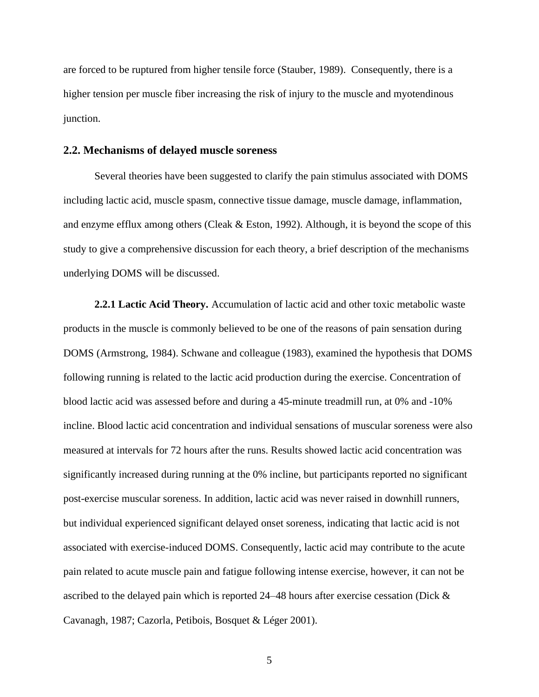are forced to be ruptured from higher tensile force (Stauber, 1989). Consequently, there is a higher tension per muscle fiber increasing the risk of injury to the muscle and myotendinous junction.

# <span id="page-12-0"></span>**2.2. Mechanisms of delayed muscle soreness**

Several theories have been suggested to clarify the pain stimulus associated with DOMS including lactic acid, muscle spasm, connective tissue damage, muscle damage, inflammation, and enzyme efflux among others (Cleak & Eston, 1992). Although, it is beyond the scope of this study to give a comprehensive discussion for each theory, a brief description of the mechanisms underlying DOMS will be discussed.

<span id="page-12-1"></span>**2.2.1 Lactic Acid Theory.** Accumulation of lactic acid and other toxic metabolic waste products in the muscle is commonly believed to be one of the reasons of pain sensation during DOMS (Armstrong, 1984). Schwane and colleague (1983), examined the hypothesis that DOMS following running is related to the lactic acid production during the exercise. Concentration of blood lactic acid was assessed before and during a 45-minute treadmill run, at 0% and -10% incline. Blood lactic acid concentration and individual sensations of muscular soreness were also measured at intervals for 72 hours after the runs. Results showed lactic acid concentration was significantly increased during running at the 0% incline, but participants reported no significant post-exercise muscular soreness. In addition, lactic acid was never raised in downhill runners, but individual experienced significant delayed onset soreness, indicating that lactic acid is not associated with exercise-induced DOMS. Consequently, lactic acid may contribute to the acute pain related to acute muscle pain and fatigue following intense exercise, however, it can not be ascribed to the delayed pain which is reported 24–48 hours after exercise cessation (Dick & Cavanagh, 1987; Cazorla, Petibois, Bosquet & Léger 2001).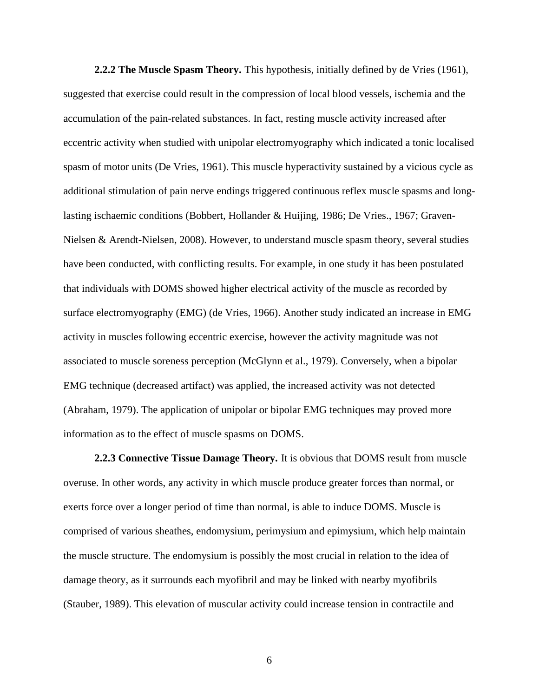<span id="page-13-0"></span>**2.2.2 The Muscle Spasm Theory.** This hypothesis, initially defined by de Vries (1961), suggested that exercise could result in the compression of local blood vessels, ischemia and the accumulation of the pain-related substances. In fact, resting muscle activity increased after eccentric activity when studied with unipolar electromyography which indicated a tonic localised spasm of motor units (De Vries, 1961). This muscle hyperactivity sustained by a vicious cycle as additional stimulation of pain nerve endings triggered continuous reflex muscle spasms and longlasting ischaemic conditions (Bobbert, Hollander & Huijing, 1986; De Vries., 1967; Graven-Nielsen & Arendt-Nielsen, 2008). However, to understand muscle spasm theory, several studies have been conducted, with conflicting results. For example, in one study it has been postulated that individuals with DOMS showed higher electrical activity of the muscle as recorded by surface electromyography (EMG) (de Vries, 1966). Another study indicated an increase in EMG activity in muscles following eccentric exercise, however the activity magnitude was not associated to muscle soreness perception (McGlynn et al., 1979). Conversely, when a bipolar EMG technique (decreased artifact) was applied, the increased activity was not detected (Abraham, 1979). The application of unipolar or bipolar EMG techniques may proved more information as to the effect of muscle spasms on DOMS.

<span id="page-13-1"></span>**2.2.3 Connective Tissue Damage Theory.** It is obvious that DOMS result from muscle overuse. In other words, any activity in which muscle produce greater forces than normal, or exerts force over a longer period of time than normal, is able to induce DOMS. Muscle is comprised of various sheathes, endomysium, perimysium and epimysium, which help maintain the muscle structure. The endomysium is possibly the most crucial in relation to the idea of damage theory, as it surrounds each myofibril and may be linked with nearby myofibrils (Stauber, 1989). This elevation of muscular activity could increase tension in contractile and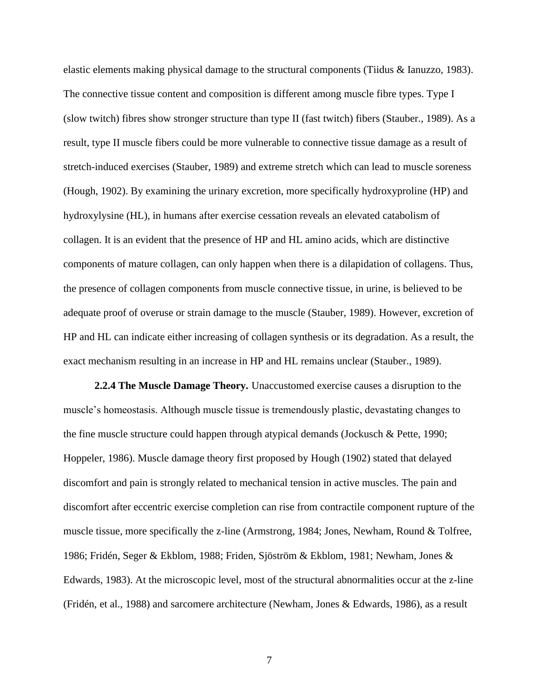elastic elements making physical damage to the structural components (Tiidus & Ianuzzo, 1983). The connective tissue content and composition is different among muscle fibre types. Type I (slow twitch) fibres show stronger structure than type II (fast twitch) fibers (Stauber., 1989). As a result, type II muscle fibers could be more vulnerable to connective tissue damage as a result of stretch-induced exercises (Stauber, 1989) and extreme stretch which can lead to muscle soreness (Hough, 1902). By examining the urinary excretion, more specifically hydroxyproline (HP) and hydroxylysine (HL), in humans after exercise cessation reveals an elevated catabolism of collagen. It is an evident that the presence of HP and HL amino acids, which are distinctive components of mature collagen, can only happen when there is a dilapidation of collagens. Thus, the presence of collagen components from muscle connective tissue, in urine, is believed to be adequate proof of overuse or strain damage to the muscle (Stauber, 1989). However, excretion of HP and HL can indicate either increasing of collagen synthesis or its degradation. As a result, the exact mechanism resulting in an increase in HP and HL remains unclear (Stauber., 1989).

<span id="page-14-0"></span>**2.2.4 The Muscle Damage Theory.** Unaccustomed exercise causes a disruption to the muscle's homeostasis. Although muscle tissue is tremendously plastic, devastating changes to the fine muscle structure could happen through atypical demands (Jockusch & Pette, 1990; Hoppeler, 1986). Muscle damage theory first proposed by Hough (1902) stated that delayed discomfort and pain is strongly related to mechanical tension in active muscles. The pain and discomfort after eccentric exercise completion can rise from contractile component rupture of the muscle tissue, more specifically the z-line (Armstrong, 1984; Jones, Newham, Round & Tolfree, 1986; Fridén, Seger & Ekblom, 1988; Friden, Sjöström & Ekblom, 1981; Newham, Jones & Edwards, 1983). At the microscopic level, most of the structural abnormalities occur at the z-line (Fridén, et al., 1988) and sarcomere architecture (Newham, Jones & Edwards, 1986), as a result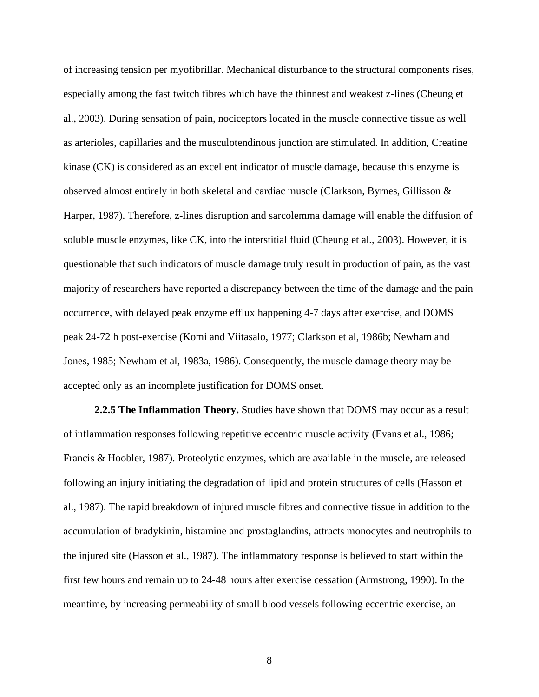of increasing tension per myofibrillar. Mechanical disturbance to the structural components rises, especially among the fast twitch fibres which have the thinnest and weakest z-lines (Cheung et al., 2003). During sensation of pain, nociceptors located in the muscle connective tissue as well as arterioles, capillaries and the musculotendinous junction are stimulated. In addition, Creatine kinase (CK) is considered as an excellent indicator of muscle damage, because this enzyme is observed almost entirely in both skeletal and cardiac muscle (Clarkson, Byrnes, Gillisson & Harper, 1987). Therefore, z-lines disruption and sarcolemma damage will enable the diffusion of soluble muscle enzymes, like CK, into the interstitial fluid (Cheung et al., 2003). However, it is questionable that such indicators of muscle damage truly result in production of pain, as the vast majority of researchers have reported a discrepancy between the time of the damage and the pain occurrence, with delayed peak enzyme efflux happening 4-7 days after exercise, and DOMS peak 24-72 h post-exercise (Komi and Viitasalo, 1977; Clarkson et al, 1986b; Newham and Jones, 1985; Newham et al, 1983a, 1986). Consequently, the muscle damage theory may be accepted only as an incomplete justification for DOMS onset.

<span id="page-15-0"></span>**2.2.5 The Inflammation Theory.** Studies have shown that DOMS may occur as a result of inflammation responses following repetitive eccentric muscle activity (Evans et al., 1986; Francis & Hoobler, 1987). Proteolytic enzymes, which are available in the muscle, are released following an injury initiating the degradation of lipid and protein structures of cells (Hasson et al., 1987). The rapid breakdown of injured muscle fibres and connective tissue in addition to the accumulation of bradykinin, histamine and prostaglandins, attracts monocytes and neutrophils to the injured site (Hasson et al., 1987). The inflammatory response is believed to start within the first few hours and remain up to 24-48 hours after exercise cessation (Armstrong, 1990). In the meantime, by increasing permeability of small blood vessels following eccentric exercise, an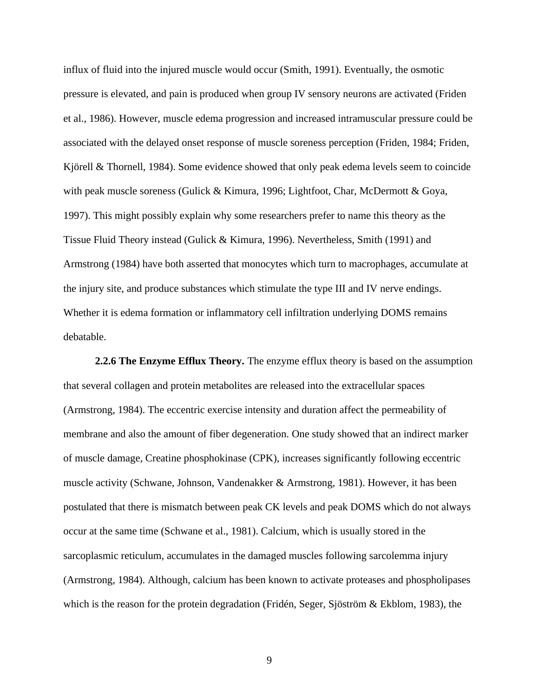influx of fluid into the injured muscle would occur (Smith, 1991). Eventually, the osmotic pressure is elevated, and pain is produced when group IV sensory neurons are activated (Friden et al., 1986). However, muscle edema progression and increased intramuscular pressure could be associated with the delayed onset response of muscle soreness perception (Friden, 1984; Friden, Kjörell & Thornell, 1984). Some evidence showed that only peak edema levels seem to coincide with peak muscle soreness (Gulick & Kimura, 1996; Lightfoot, Char, McDermott & Goya, 1997). This might possibly explain why some researchers prefer to name this theory as the Tissue Fluid Theory instead (Gulick & Kimura, 1996). Nevertheless, Smith (1991) and Armstrong (1984) have both asserted that monocytes which turn to macrophages, accumulate at the injury site, and produce substances which stimulate the type III and IV nerve endings. Whether it is edema formation or inflammatory cell infiltration underlying DOMS remains debatable.

<span id="page-16-0"></span>**2.2.6 The Enzyme Efflux Theory.** The enzyme efflux theory is based on the assumption that several collagen and protein metabolites are released into the extracellular spaces (Armstrong, 1984). The eccentric exercise intensity and duration affect the permeability of membrane and also the amount of fiber degeneration. One study showed that an indirect marker of muscle damage, Creatine phosphokinase (CPK), increases significantly following eccentric muscle activity (Schwane, Johnson, Vandenakker & Armstrong, 1981). However, it has been postulated that there is mismatch between peak CK levels and peak DOMS which do not always occur at the same time (Schwane et al., 1981). Calcium, which is usually stored in the sarcoplasmic reticulum, accumulates in the damaged muscles following sarcolemma injury (Armstrong, 1984). Although, calcium has been known to activate proteases and phospholipases which is the reason for the protein degradation (Fridén, Seger, Sjöström & Ekblom, 1983), the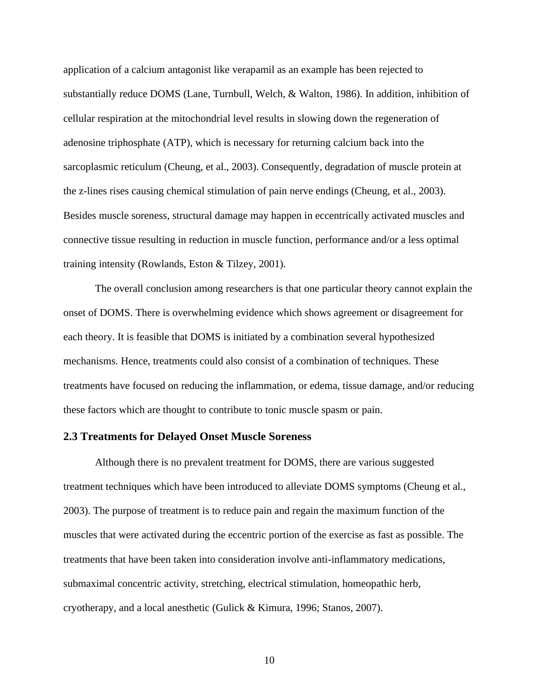application of a calcium antagonist like verapamil as an example has been rejected to substantially reduce DOMS (Lane, Turnbull, Welch, & Walton, 1986). In addition, inhibition of cellular respiration at the mitochondrial level results in slowing down the regeneration of adenosine triphosphate (ATP), which is necessary for returning calcium back into the sarcoplasmic reticulum (Cheung, et al., 2003). Consequently, degradation of muscle protein at the z-lines rises causing chemical stimulation of pain nerve endings (Cheung, et al., 2003). Besides muscle soreness, structural damage may happen in eccentrically activated muscles and connective tissue resulting in reduction in muscle function, performance and/or a less optimal training intensity (Rowlands, Eston & Tilzey, 2001).

The overall conclusion among researchers is that one particular theory cannot explain the onset of DOMS. There is overwhelming evidence which shows agreement or disagreement for each theory. It is feasible that DOMS is initiated by a combination several hypothesized mechanisms. Hence, treatments could also consist of a combination of techniques. These treatments have focused on reducing the inflammation, or edema, tissue damage, and/or reducing these factors which are thought to contribute to tonic muscle spasm or pain.

# <span id="page-17-0"></span>**2.3 Treatments for Delayed Onset Muscle Soreness**

Although there is no prevalent treatment for DOMS, there are various suggested treatment techniques which have been introduced to alleviate DOMS symptoms (Cheung et al., 2003). The purpose of treatment is to reduce pain and regain the maximum function of the muscles that were activated during the eccentric portion of the exercise as fast as possible. The treatments that have been taken into consideration involve anti-inflammatory medications, submaximal concentric activity, stretching, electrical stimulation, homeopathic herb, cryotherapy, and a local anesthetic (Gulick & Kimura, 1996; Stanos, 2007).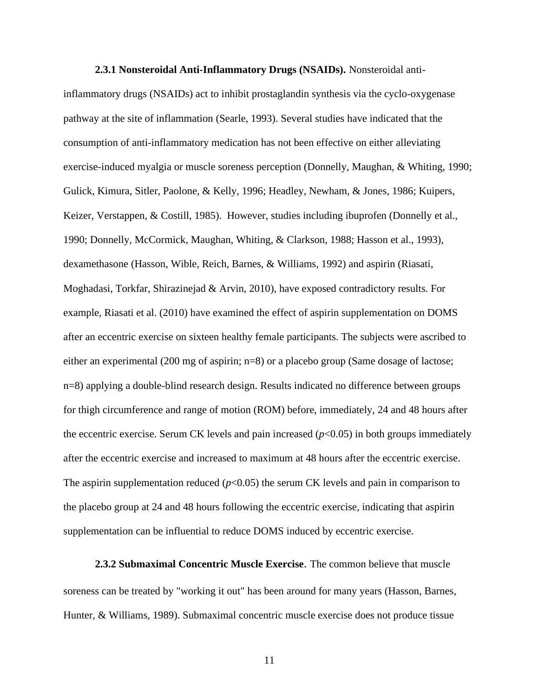<span id="page-18-0"></span>**2.3.1 Nonsteroidal Anti-Inflammatory Drugs (NSAIDs).** Nonsteroidal antiinflammatory drugs (NSAIDs) act to inhibit prostaglandin synthesis via the cyclo-oxygenase pathway at the site of inflammation (Searle, 1993). Several studies have indicated that the consumption of anti-inflammatory medication has not been effective on either alleviating exercise-induced myalgia or muscle soreness perception (Donnelly, Maughan, & Whiting, 1990; Gulick, Kimura, Sitler, Paolone, & Kelly, 1996; Headley, Newham, & Jones, 1986; Kuipers, Keizer, Verstappen, & Costill, 1985). However, studies including ibuprofen (Donnelly et al., 1990; Donnelly, McCormick, Maughan, Whiting, & Clarkson, 1988; Hasson et al., 1993), dexamethasone (Hasson, Wible, Reich, Barnes, & Williams, 1992) and aspirin (Riasati, Moghadasi, Torkfar, Shirazinejad & Arvin, 2010), have exposed contradictory results. For example, Riasati et al. (2010) have examined the effect of aspirin supplementation on DOMS after an eccentric exercise on sixteen healthy female participants. The subjects were ascribed to either an experimental (200 mg of aspirin; n=8) or a placebo group (Same dosage of lactose; n=8) applying a double-blind research design. Results indicated no difference between groups for thigh circumference and range of motion (ROM) before, immediately, 24 and 48 hours after the eccentric exercise. Serum CK levels and pain increased  $(p<0.05)$  in both groups immediately after the eccentric exercise and increased to maximum at 48 hours after the eccentric exercise. The aspirin supplementation reduced  $(p<0.05)$  the serum CK levels and pain in comparison to the placebo group at 24 and 48 hours following the eccentric exercise, indicating that aspirin supplementation can be influential to reduce DOMS induced by eccentric exercise.

<span id="page-18-1"></span>**2.3.2 Submaximal Concentric Muscle Exercise**. The common believe that muscle soreness can be treated by "working it out" has been around for many years (Hasson, Barnes, Hunter, & Williams, 1989). Submaximal concentric muscle exercise does not produce tissue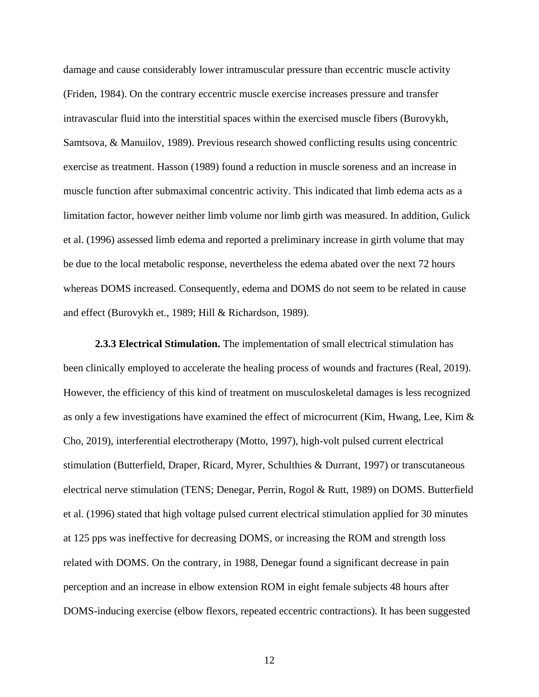damage and cause considerably lower intramuscular pressure than eccentric muscle activity (Friden, 1984). On the contrary eccentric muscle exercise increases pressure and transfer intravascular fluid into the interstitial spaces within the exercised muscle fibers (Burovykh, Samtsova, & Manuilov, 1989). Previous research showed conflicting results using concentric exercise as treatment. Hasson (1989) found a reduction in muscle soreness and an increase in muscle function after submaximal concentric activity. This indicated that limb edema acts as a limitation factor, however neither limb volume nor limb girth was measured. In addition, Gulick et al. (1996) assessed limb edema and reported a preliminary increase in girth volume that may be due to the local metabolic response, nevertheless the edema abated over the next 72 hours whereas DOMS increased. Consequently, edema and DOMS do not seem to be related in cause and effect (Burovykh et., 1989; Hill & Richardson, 1989).

<span id="page-19-0"></span>**2.3.3 Electrical Stimulation.** The implementation of small electrical stimulation has been clinically employed to accelerate the healing process of wounds and fractures (Real, 2019). However, the efficiency of this kind of treatment on musculoskeletal damages is less recognized as only a few investigations have examined the effect of microcurrent (Kim, Hwang, Lee, Kim & Cho, 2019), interferential electrotherapy (Motto, 1997), high-volt pulsed current electrical stimulation (Butterfield, Draper, Ricard, Myrer, Schulthies & Durrant, 1997) or transcutaneous electrical nerve stimulation (TENS; Denegar, Perrin, Rogol & Rutt, 1989) on DOMS. Butterfield et al. (1996) stated that high voltage pulsed current electrical stimulation applied for 30 minutes at 125 pps was ineffective for decreasing DOMS, or increasing the ROM and strength loss related with DOMS. On the contrary, in 1988, Denegar found a significant decrease in pain perception and an increase in elbow extension ROM in eight female subjects 48 hours after DOMS-inducing exercise (elbow flexors, repeated eccentric contractions). It has been suggested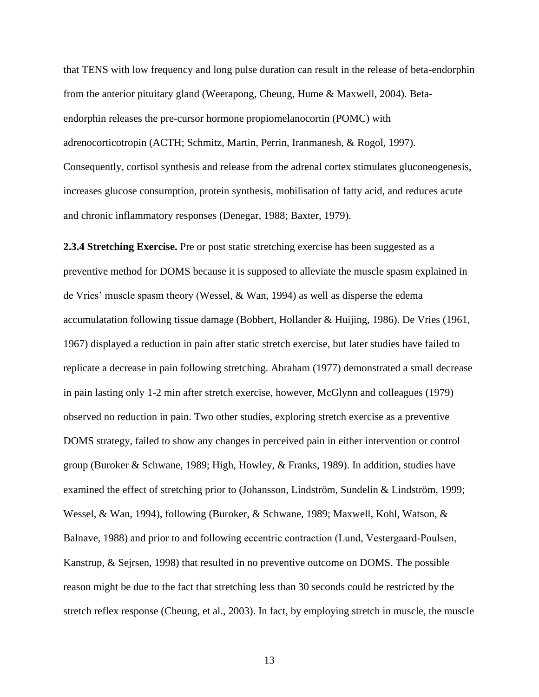that TENS with low frequency and long pulse duration can result in the release of beta-endorphin from the anterior pituitary gland (Weerapong, Cheung, Hume & Maxwell, 2004). Betaendorphin releases the pre-cursor hormone propiomelanocortin (POMC) with adrenocorticotropin (ACTH; Schmitz, Martin, Perrin, Iranmanesh, & Rogol, 1997). Consequently, cortisol synthesis and release from the adrenal cortex stimulates gluconeogenesis, increases glucose consumption, protein synthesis, mobilisation of fatty acid, and reduces acute and chronic inflammatory responses (Denegar, 1988; Baxter, 1979).

<span id="page-20-0"></span>**2.3.4 Stretching Exercise.** Pre or post static stretching exercise has been suggested as a preventive method for DOMS because it is supposed to alleviate the muscle spasm explained in de Vries' muscle spasm theory (Wessel, & Wan, 1994) as well as disperse the edema accumulatation following tissue damage (Bobbert, Hollander & Huijing, 1986). De Vries (1961, 1967) displayed a reduction in pain after static stretch exercise, but later studies have failed to replicate a decrease in pain following stretching. Abraham (1977) demonstrated a small decrease in pain lasting only 1-2 min after stretch exercise, however, McGlynn and colleagues (1979) observed no reduction in pain. Two other studies, exploring stretch exercise as a preventive DOMS strategy, failed to show any changes in perceived pain in either intervention or control group (Buroker & Schwane, 1989; High, Howley, & Franks, 1989). In addition, studies have examined the effect of stretching prior to (Johansson, Lindström, Sundelin & Lindström, 1999; Wessel, & Wan, 1994), following (Buroker, & Schwane, 1989; Maxwell, Kohl, Watson, & Balnave, 1988) and prior to and following eccentric contraction (Lund, Vestergaard‐Poulsen, Kanstrup, & Sejrsen, 1998) that resulted in no preventive outcome on DOMS. The possible reason might be due to the fact that stretching less than 30 seconds could be restricted by the stretch reflex response (Cheung, et al., 2003). In fact, by employing stretch in muscle, the muscle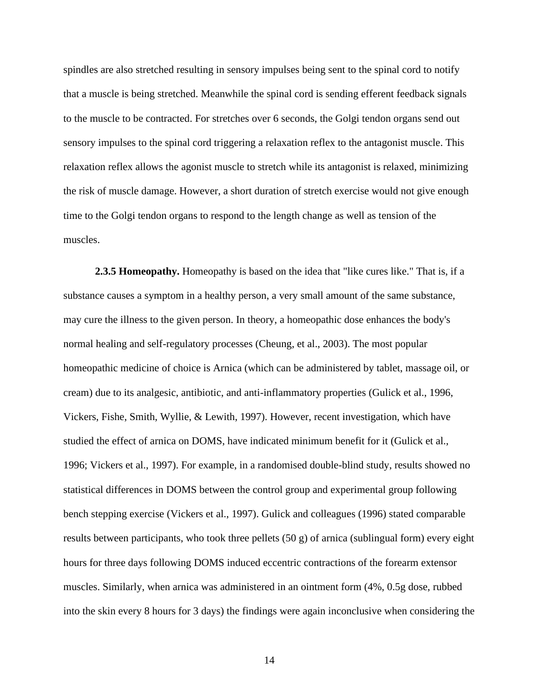spindles are also stretched resulting in sensory impulses being sent to the spinal cord to notify that a muscle is being stretched. Meanwhile the spinal cord is sending efferent feedback signals to the muscle to be contracted. For stretches over 6 seconds, the Golgi tendon organs send out sensory impulses to the spinal cord triggering a relaxation reflex to the antagonist muscle. This relaxation reflex allows the agonist muscle to stretch while its antagonist is relaxed, minimizing the risk of muscle damage. However, a short duration of stretch exercise would not give enough time to the Golgi tendon organs to respond to the length change as well as tension of the muscles.

<span id="page-21-0"></span>**2.3.5 Homeopathy.** Homeopathy is based on the idea that "like cures like." That is, if a substance causes a symptom in a healthy person, a very small amount of the same substance, may cure the illness to the given person. In theory, a homeopathic dose enhances the body's normal healing and self-regulatory processes (Cheung, et al., 2003). The most popular homeopathic medicine of choice is Arnica (which can be administered by tablet, massage oil, or cream) due to its analgesic, antibiotic, and anti-inflammatory properties (Gulick et al., 1996, Vickers, Fishe, Smith, Wyllie, & Lewith, 1997). However, recent investigation, which have studied the effect of arnica on DOMS, have indicated minimum benefit for it (Gulick et al., 1996; Vickers et al., 1997). For example, in a randomised double-blind study, results showed no statistical differences in DOMS between the control group and experimental group following bench stepping exercise (Vickers et al., 1997). Gulick and colleagues (1996) stated comparable results between participants, who took three pellets  $(50 \text{ g})$  of arnica (sublingual form) every eight hours for three days following DOMS induced eccentric contractions of the forearm extensor muscles. Similarly, when arnica was administered in an ointment form (4%, 0.5g dose, rubbed into the skin every 8 hours for 3 days) the findings were again inconclusive when considering the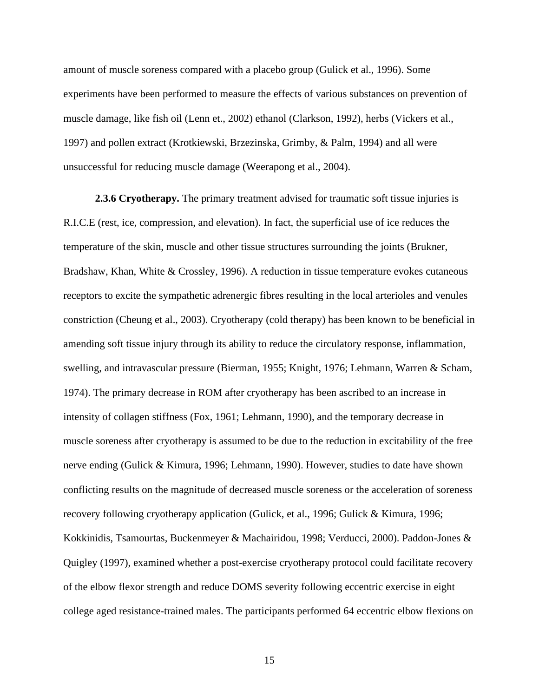amount of muscle soreness compared with a placebo group (Gulick et al., 1996). Some experiments have been performed to measure the effects of various substances on prevention of muscle damage, like fish oil (Lenn et., 2002) ethanol (Clarkson, 1992), herbs (Vickers et al., 1997) and pollen extract (Krotkiewski, Brzezinska, Grimby, & Palm, 1994) and all were unsuccessful for reducing muscle damage (Weerapong et al., 2004).

<span id="page-22-0"></span>**2.3.6 Cryotherapy.** The primary treatment advised for traumatic soft tissue injuries is R.I.C.E (rest, ice, compression, and elevation). In fact, the superficial use of ice reduces the temperature of the skin, muscle and other tissue structures surrounding the joints (Brukner, Bradshaw, Khan, White & Crossley, 1996). A reduction in tissue temperature evokes cutaneous receptors to excite the sympathetic adrenergic fibres resulting in the local arterioles and venules constriction (Cheung et al., 2003). Cryotherapy (cold therapy) has been known to be beneficial in amending soft tissue injury through its ability to reduce the circulatory response, inflammation, swelling, and intravascular pressure (Bierman, 1955; Knight, 1976; Lehmann, Warren & Scham, 1974). The primary decrease in ROM after cryotherapy has been ascribed to an increase in intensity of collagen stiffness (Fox, 1961; Lehmann, 1990), and the temporary decrease in muscle soreness after cryotherapy is assumed to be due to the reduction in excitability of the free nerve ending (Gulick & Kimura, 1996; Lehmann, 1990). However, studies to date have shown conflicting results on the magnitude of decreased muscle soreness or the acceleration of soreness recovery following cryotherapy application (Gulick, et al., 1996; Gulick & Kimura, 1996; Kokkinidis, Tsamourtas, Buckenmeyer & Machairidou, 1998; Verducci, 2000). Paddon-Jones & Quigley (1997), examined whether a post-exercise cryotherapy protocol could facilitate recovery of the elbow flexor strength and reduce DOMS severity following eccentric exercise in eight college aged resistance-trained males. The participants performed 64 eccentric elbow flexions on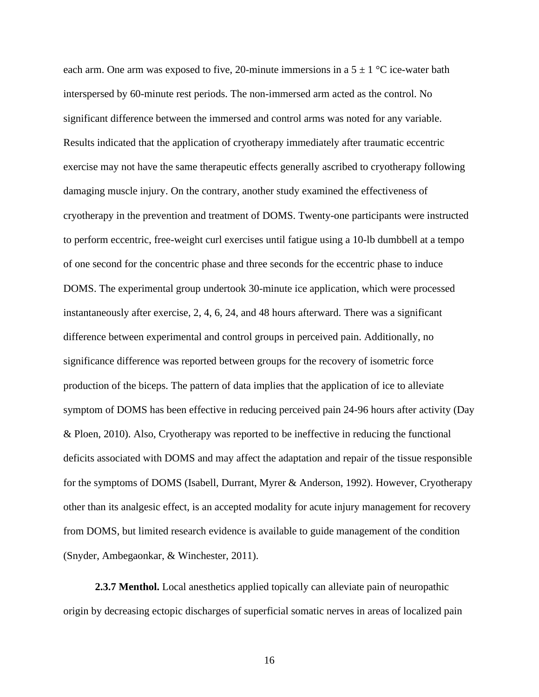each arm. One arm was exposed to five, 20-minute immersions in a  $5 \pm 1$  °C ice-water bath interspersed by 60-minute rest periods. The non-immersed arm acted as the control. No significant difference between the immersed and control arms was noted for any variable. Results indicated that the application of cryotherapy immediately after traumatic eccentric exercise may not have the same therapeutic effects generally ascribed to cryotherapy following damaging muscle injury. On the contrary, another study examined the effectiveness of cryotherapy in the prevention and treatment of DOMS. Twenty-one participants were instructed to perform eccentric, free-weight curl exercises until fatigue using a 10-lb dumbbell at a tempo of one second for the concentric phase and three seconds for the eccentric phase to induce DOMS. The experimental group undertook 30-minute ice application, which were processed instantaneously after exercise, 2, 4, 6, 24, and 48 hours afterward. There was a significant difference between experimental and control groups in perceived pain. Additionally, no significance difference was reported between groups for the recovery of isometric force production of the biceps. The pattern of data implies that the application of ice to alleviate symptom of DOMS has been effective in reducing perceived pain 24-96 hours after activity (Day & Ploen, 2010). Also, Cryotherapy was reported to be ineffective in reducing the functional deficits associated with DOMS and may affect the adaptation and repair of the tissue responsible for the symptoms of DOMS (Isabell, Durrant, Myrer & Anderson, 1992). However, Cryotherapy other than its analgesic effect, is an accepted modality for acute injury management for recovery from DOMS, but limited research evidence is available to guide management of the condition (Snyder, Ambegaonkar, & Winchester, 2011).

<span id="page-23-0"></span>2.3.7 Menthol. Local anesthetics applied topically can alleviate pain of neuropathic origin by decreasing ectopic discharges of superficial somatic nerves in areas of localized pain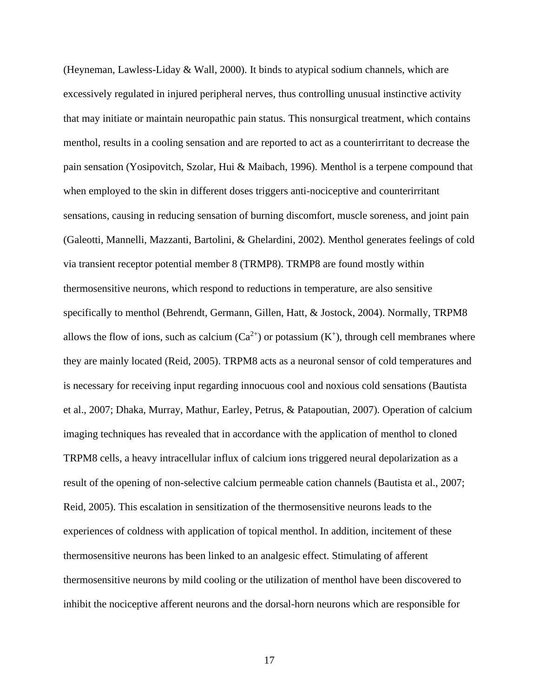(Heyneman, Lawless-Liday & Wall, 2000). It binds to atypical sodium channels, which are excessively regulated in injured peripheral nerves, thus controlling unusual instinctive activity that may initiate or maintain neuropathic pain status. This nonsurgical treatment, which contains menthol, results in a cooling sensation and are reported to act as a counterirritant to decrease the pain sensation (Yosipovitch, Szolar, Hui & Maibach, 1996). Menthol is a terpene compound that when employed to the skin in different doses triggers anti-nociceptive and counterirritant sensations, causing in reducing sensation of burning discomfort, muscle soreness, and joint pain (Galeotti, Mannelli, Mazzanti, Bartolini, & Ghelardini, 2002). Menthol generates feelings of cold via transient receptor potential member 8 (TRMP8). TRMP8 are found mostly within thermosensitive neurons, which respond to reductions in temperature, are also sensitive specifically to menthol (Behrendt, Germann, Gillen, Hatt, & Jostock, 2004). Normally, TRPM8 allows the flow of ions, such as calcium  $(Ca^{2+})$  or potassium  $(K^+)$ , through cell membranes where they are mainly located (Reid, 2005). TRPM8 acts as a neuronal sensor of cold temperatures and is necessary for receiving input regarding innocuous cool and noxious cold sensations (Bautista et al., 2007; Dhaka, Murray, Mathur, Earley, Petrus, & Patapoutian, 2007). Operation of calcium imaging techniques has revealed that in accordance with the application of menthol to cloned TRPM8 cells, a heavy intracellular influx of calcium ions triggered neural depolarization as a result of the opening of non-selective calcium permeable cation channels (Bautista et al., 2007; Reid, 2005). This escalation in sensitization of the thermosensitive neurons leads to the experiences of coldness with application of topical menthol. In addition, incitement of these thermosensitive neurons has been linked to an analgesic effect. Stimulating of afferent thermosensitive neurons by mild cooling or the utilization of menthol have been discovered to inhibit the nociceptive afferent neurons and the dorsal-horn neurons which are responsible for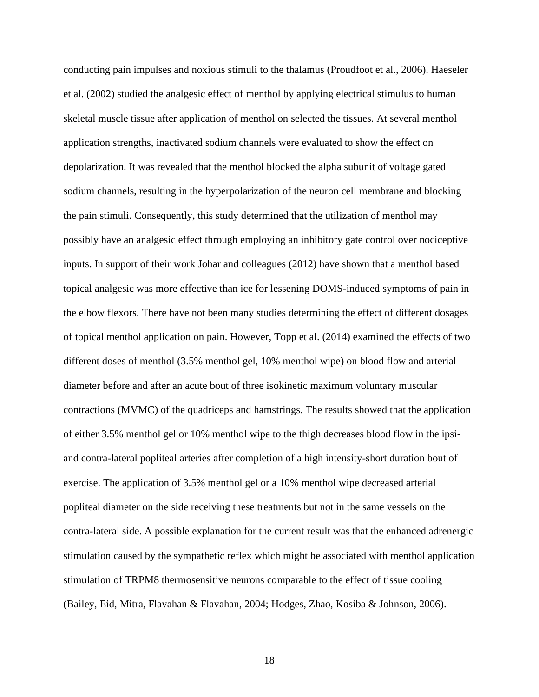conducting pain impulses and noxious stimuli to the thalamus (Proudfoot et al., 2006). Haeseler et al. (2002) studied the analgesic effect of menthol by applying electrical stimulus to human skeletal muscle tissue after application of menthol on selected the tissues. At several menthol application strengths, inactivated sodium channels were evaluated to show the effect on depolarization. It was revealed that the menthol blocked the alpha subunit of voltage gated sodium channels, resulting in the hyperpolarization of the neuron cell membrane and blocking the pain stimuli. Consequently, this study determined that the utilization of menthol may possibly have an analgesic effect through employing an inhibitory gate control over nociceptive inputs. In support of their work Johar and colleagues (2012) have shown that a menthol based topical analgesic was more effective than ice for lessening DOMS-induced symptoms of pain in the elbow flexors. There have not been many studies determining the effect of different dosages of topical menthol application on pain. However, Topp et al. (2014) examined the effects of two different doses of menthol (3.5% menthol gel, 10% menthol wipe) on blood flow and arterial diameter before and after an acute bout of three isokinetic maximum voluntary muscular contractions (MVMC) of the quadriceps and hamstrings. The results showed that the application of either 3.5% menthol gel or 10% menthol wipe to the thigh decreases blood flow in the ipsiand contra-lateral popliteal arteries after completion of a high intensity-short duration bout of exercise. The application of 3.5% menthol gel or a 10% menthol wipe decreased arterial popliteal diameter on the side receiving these treatments but not in the same vessels on the contra-lateral side. A possible explanation for the current result was that the enhanced adrenergic stimulation caused by the sympathetic reflex which might be associated with menthol application stimulation of TRPM8 thermosensitive neurons comparable to the effect of tissue cooling (Bailey, Eid, Mitra, Flavahan & Flavahan, 2004; Hodges, Zhao, Kosiba & Johnson, 2006).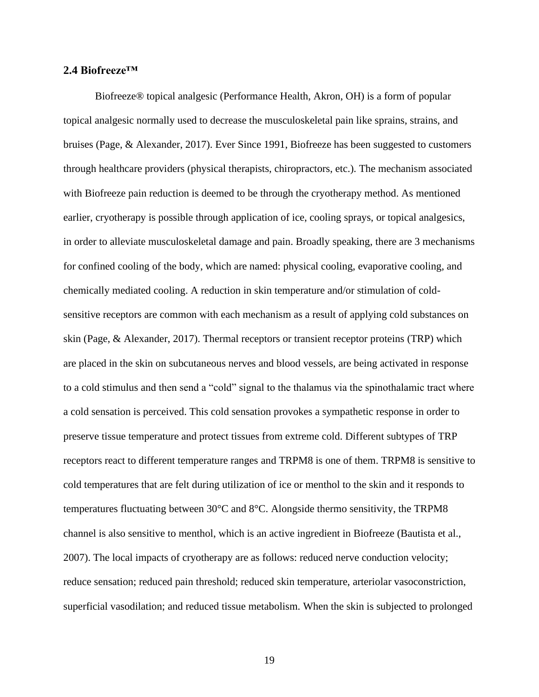# <span id="page-26-0"></span>**2.4 Biofreeze™**

Biofreeze® topical analgesic (Performance Health, Akron, OH) is a form of popular topical analgesic normally used to decrease the musculoskeletal pain like sprains, strains, and bruises (Page, & Alexander, 2017). Ever Since 1991, Biofreeze has been suggested to customers through healthcare providers (physical therapists, chiropractors, etc.). The mechanism associated with Biofreeze pain reduction is deemed to be through the cryotherapy method. As mentioned earlier, cryotherapy is possible through application of ice, cooling sprays, or topical analgesics, in order to alleviate musculoskeletal damage and pain. Broadly speaking, there are 3 mechanisms for confined cooling of the body, which are named: physical cooling, evaporative cooling, and chemically mediated cooling. A reduction in skin temperature and/or stimulation of coldsensitive receptors are common with each mechanism as a result of applying cold substances on skin (Page, & Alexander, 2017). Thermal receptors or transient receptor proteins (TRP) which are placed in the skin on subcutaneous nerves and blood vessels, are being activated in response to a cold stimulus and then send a "cold" signal to the thalamus via the spinothalamic tract where a cold sensation is perceived. This cold sensation provokes a sympathetic response in order to preserve tissue temperature and protect tissues from extreme cold. Different subtypes of TRP receptors react to different temperature ranges and TRPM8 is one of them. TRPM8 is sensitive to cold temperatures that are felt during utilization of ice or menthol to the skin and it responds to temperatures fluctuating between 30°C and 8°C. Alongside thermo sensitivity, the TRPM8 channel is also sensitive to menthol, which is an active ingredient in Biofreeze (Bautista et al., 2007). The local impacts of cryotherapy are as follows: reduced nerve conduction velocity; reduce sensation; reduced pain threshold; reduced skin temperature, arteriolar vasoconstriction, superficial vasodilation; and reduced tissue metabolism. When the skin is subjected to prolonged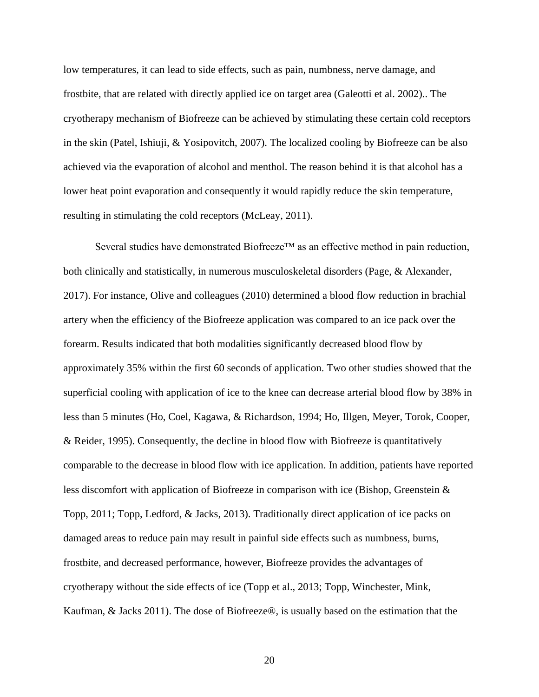low temperatures, it can lead to side effects, such as pain, numbness, nerve damage, and frostbite, that are related with directly applied ice on target area (Galeotti et al. 2002).. The cryotherapy mechanism of Biofreeze can be achieved by stimulating these certain cold receptors in the skin (Patel, Ishiuji, & Yosipovitch, 2007). The localized cooling by Biofreeze can be also achieved via the evaporation of alcohol and menthol. The reason behind it is that alcohol has a lower heat point evaporation and consequently it would rapidly reduce the skin temperature, resulting in stimulating the cold receptors (McLeay, 2011).

Several studies have demonstrated Biofreeze™ as an effective method in pain reduction, both clinically and statistically, in numerous musculoskeletal disorders (Page, & Alexander, 2017). For instance, Olive and colleagues (2010) determined a blood flow reduction in brachial artery when the efficiency of the Biofreeze application was compared to an ice pack over the forearm. Results indicated that both modalities significantly decreased blood flow by approximately 35% within the first 60 seconds of application. Two other studies showed that the superficial cooling with application of ice to the knee can decrease arterial blood flow by 38% in less than 5 minutes (Ho, Coel, Kagawa, & Richardson, 1994; Ho, Illgen, Meyer, Torok, Cooper, & Reider, 1995). Consequently, the decline in blood flow with Biofreeze is quantitatively comparable to the decrease in blood flow with ice application. In addition, patients have reported less discomfort with application of Biofreeze in comparison with ice (Bishop, Greenstein & Topp, 2011; Topp, Ledford, & Jacks, 2013). Traditionally direct application of ice packs on damaged areas to reduce pain may result in painful side effects such as numbness, burns, frostbite, and decreased performance, however, Biofreeze provides the advantages of cryotherapy without the side effects of ice (Topp et al., 2013; Topp, Winchester, Mink, Kaufman, & Jacks 2011). The dose of Biofreeze®, is usually based on the estimation that the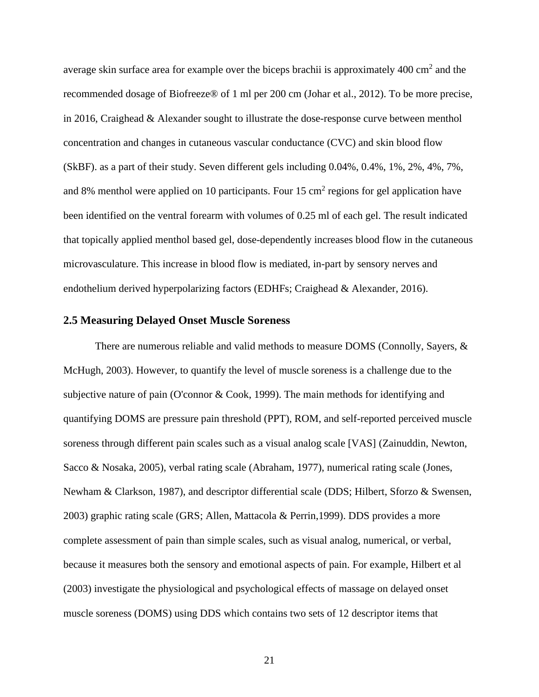average skin surface area for example over the biceps brachii is approximately  $400 \text{ cm}^2$  and the recommended dosage of Biofreeze® of 1 ml per 200 cm (Johar et al., 2012). To be more precise, in 2016, Craighead & Alexander sought to illustrate the dose-response curve between menthol concentration and changes in cutaneous vascular conductance (CVC) and skin blood flow (SkBF). as a part of their study. Seven different gels including 0.04%, 0.4%, 1%, 2%, 4%, 7%, and 8% menthol were applied on 10 participants. Four 15 cm<sup>2</sup> regions for gel application have been identified on the ventral forearm with volumes of 0.25 ml of each gel. The result indicated that topically applied menthol based gel, dose-dependently increases blood flow in the cutaneous microvasculature. This increase in blood flow is mediated, in-part by sensory nerves and endothelium derived hyperpolarizing factors (EDHFs; Craighead & Alexander, 2016).

# <span id="page-28-0"></span>**2.5 Measuring Delayed Onset Muscle Soreness**

There are numerous reliable and valid methods to measure DOMS (Connolly, Sayers, & McHugh, 2003). However, to quantify the level of muscle soreness is a challenge due to the subjective nature of pain (O'connor & Cook, 1999). The main methods for identifying and quantifying DOMS are pressure pain threshold (PPT), ROM, and self-reported perceived muscle soreness through different pain scales such as a visual analog scale [VAS] (Zainuddin, Newton, Sacco & Nosaka, 2005), verbal rating scale (Abraham, 1977), numerical rating scale (Jones, Newham & Clarkson, 1987), and descriptor differential scale (DDS; Hilbert, Sforzo & Swensen, 2003) graphic rating scale (GRS; Allen, Mattacola & Perrin,1999). DDS provides a more complete assessment of pain than simple scales, such as visual analog, numerical, or verbal, because it measures both the sensory and emotional aspects of pain. For example, Hilbert et al (2003) investigate the physiological and psychological effects of massage on delayed onset muscle soreness (DOMS) using DDS which contains two sets of 12 descriptor items that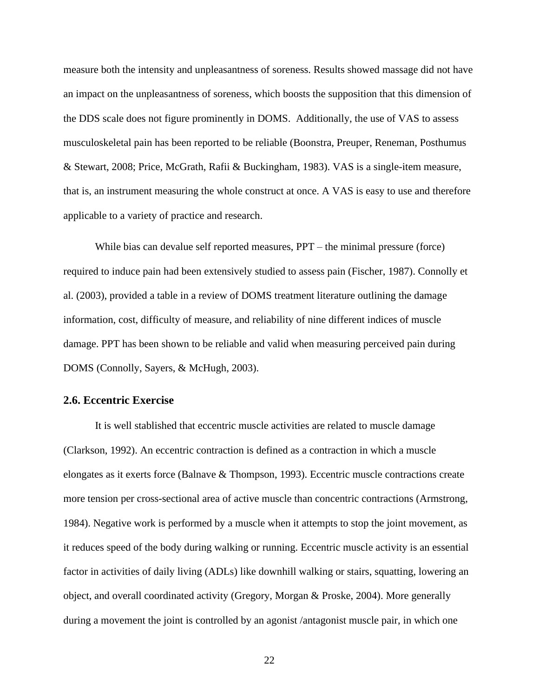measure both the intensity and unpleasantness of soreness. Results showed massage did not have an impact on the unpleasantness of soreness, which boosts the supposition that this dimension of the DDS scale does not figure prominently in DOMS. Additionally, the use of VAS to assess musculoskeletal pain has been reported to be reliable (Boonstra, Preuper, Reneman, Posthumus & Stewart, 2008; Price, McGrath, Rafii & Buckingham, 1983). VAS is a single-item measure, that is, an instrument measuring the whole construct at once. A VAS is easy to use and therefore applicable to a variety of practice and research.

While bias can devalue self reported measures,  $PPT -$  the minimal pressure (force) required to induce pain had been extensively studied to assess pain (Fischer, 1987). Connolly et al. (2003), provided a table in a review of DOMS treatment literature outlining the damage information, cost, difficulty of measure, and reliability of nine different indices of muscle damage. PPT has been shown to be reliable and valid when measuring perceived pain during DOMS (Connolly, Sayers, & McHugh, 2003).

## <span id="page-29-0"></span>**2.6. Eccentric Exercise**

It is well stablished that eccentric muscle activities are related to muscle damage (Clarkson, 1992). An eccentric contraction is defined as a contraction in which a muscle elongates as it exerts force (Balnave & Thompson, 1993). Eccentric muscle contractions create more tension per cross-sectional area of active muscle than concentric contractions (Armstrong, 1984). Negative work is performed by a muscle when it attempts to stop the joint movement, as it reduces speed of the body during walking or running. Eccentric muscle activity is an essential factor in activities of daily living (ADLs) like downhill walking or stairs, squatting, lowering an object, and overall coordinated activity (Gregory, Morgan & Proske, 2004). More generally during a movement the joint is controlled by an agonist /antagonist muscle pair, in which one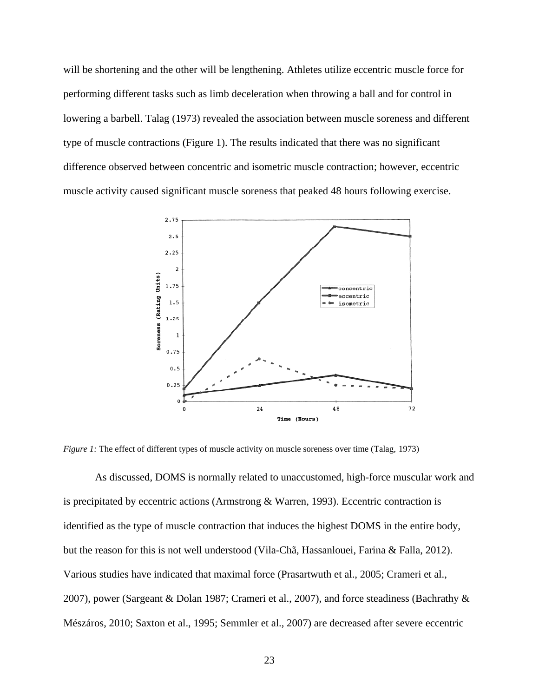will be shortening and the other will be lengthening. Athletes utilize eccentric muscle force for performing different tasks such as limb deceleration when throwing a ball and for control in lowering a barbell. Talag (1973) revealed the association between muscle soreness and different type of muscle contractions (Figure 1). The results indicated that there was no significant difference observed between concentric and isometric muscle contraction; however, eccentric muscle activity caused significant muscle soreness that peaked 48 hours following exercise.



*Figure 1:* The effect of different types of muscle activity on muscle soreness over time (Talag, 1973)

As discussed, DOMS is normally related to unaccustomed, high-force muscular work and is precipitated by eccentric actions (Armstrong & Warren, 1993). Eccentric contraction is identified as the type of muscle contraction that induces the highest DOMS in the entire body, but the reason for this is not well understood (Vila-Chã, Hassanlouei, Farina & Falla, 2012). Various studies have indicated that maximal force (Prasartwuth et al., 2005; Crameri et al., 2007), power (Sargeant & Dolan 1987; Crameri et al., 2007), and force steadiness (Bachrathy & Mészáros, 2010; Saxton et al., 1995; Semmler et al., 2007) are decreased after severe eccentric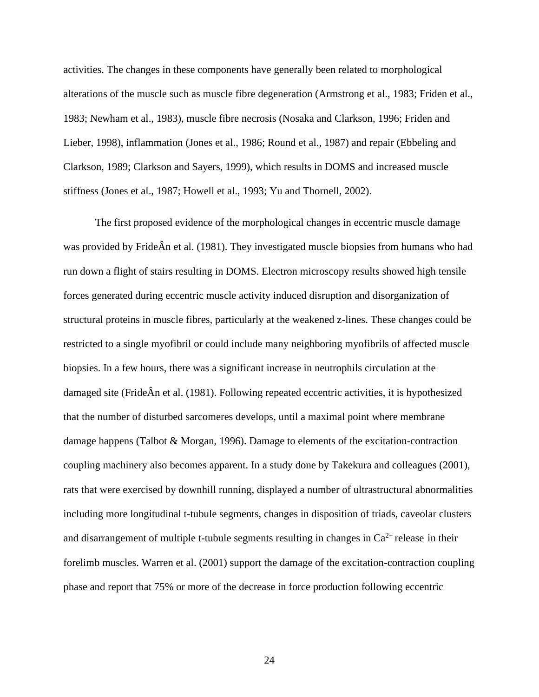activities. The changes in these components have generally been related to morphological alterations of the muscle such as muscle fibre degeneration (Armstrong et al., 1983; Friden et al., 1983; Newham et al., 1983), muscle fibre necrosis (Nosaka and Clarkson, 1996; Friden and Lieber, 1998), inflammation (Jones et al., 1986; Round et al., 1987) and repair (Ebbeling and Clarkson, 1989; Clarkson and Sayers, 1999), which results in DOMS and increased muscle stiffness (Jones et al., 1987; Howell et al., 1993; Yu and Thornell, 2002).

The first proposed evidence of the morphological changes in eccentric muscle damage was provided by FrideÂn et al. (1981). They investigated muscle biopsies from humans who had run down a flight of stairs resulting in DOMS. Electron microscopy results showed high tensile forces generated during eccentric muscle activity induced disruption and disorganization of structural proteins in muscle fibres, particularly at the weakened z-lines. These changes could be restricted to a single myofibril or could include many neighboring myofibrils of affected muscle biopsies. In a few hours, there was a significant increase in neutrophils circulation at the damaged site (FrideÂn et al. (1981). Following repeated eccentric activities, it is hypothesized that the number of disturbed sarcomeres develops, until a maximal point where membrane damage happens (Talbot & Morgan, 1996). Damage to elements of the excitation-contraction coupling machinery also becomes apparent. In a study done by Takekura and colleagues (2001), rats that were exercised by downhill running, displayed a number of ultrastructural abnormalities including more longitudinal t-tubule segments, changes in disposition of triads, caveolar clusters and disarrangement of multiple t-tubule segments resulting in changes in  $Ca^{2+}$  release in their forelimb muscles. Warren et al. (2001) support the damage of the excitation-contraction coupling phase and report that 75% or more of the decrease in force production following eccentric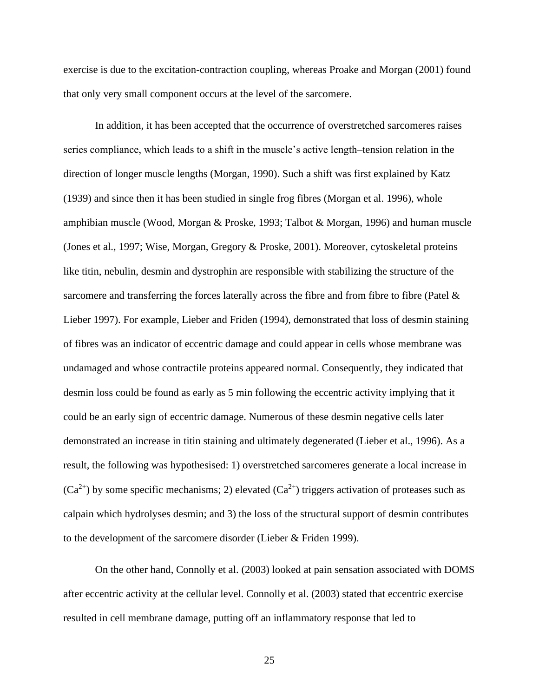exercise is due to the excitation-contraction coupling, whereas Proake and Morgan (2001) found that only very small component occurs at the level of the sarcomere.

In addition, it has been accepted that the occurrence of overstretched sarcomeres raises series compliance, which leads to a shift in the muscle's active length–tension relation in the direction of longer muscle lengths (Morgan, 1990). Such a shift was first explained by Katz (1939) and since then it has been studied in single frog fibres (Morgan et al. 1996), whole amphibian muscle (Wood, Morgan & Proske, 1993; Talbot & Morgan, 1996) and human muscle (Jones et al., 1997; Wise, Morgan, Gregory & Proske, 2001). Moreover, cytoskeletal proteins like titin, nebulin, desmin and dystrophin are responsible with stabilizing the structure of the sarcomere and transferring the forces laterally across the fibre and from fibre to fibre (Patel  $\&$ Lieber 1997). For example, Lieber and Friden (1994), demonstrated that loss of desmin staining of fibres was an indicator of eccentric damage and could appear in cells whose membrane was undamaged and whose contractile proteins appeared normal. Consequently, they indicated that desmin loss could be found as early as 5 min following the eccentric activity implying that it could be an early sign of eccentric damage. Numerous of these desmin negative cells later demonstrated an increase in titin staining and ultimately degenerated (Lieber et al., 1996). As a result, the following was hypothesised: 1) overstretched sarcomeres generate a local increase in  $(Ca^{2+})$  by some specific mechanisms; 2) elevated  $(Ca^{2+})$  triggers activation of proteases such as calpain which hydrolyses desmin; and 3) the loss of the structural support of desmin contributes to the development of the sarcomere disorder (Lieber & Friden 1999).

On the other hand, Connolly et al. (2003) looked at pain sensation associated with DOMS after eccentric activity at the cellular level. Connolly et al. (2003) stated that eccentric exercise resulted in cell membrane damage, putting off an inflammatory response that led to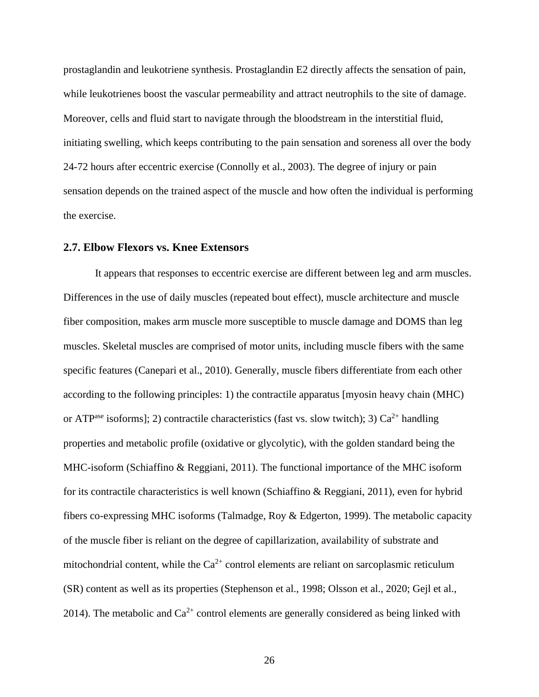prostaglandin and leukotriene synthesis. Prostaglandin E2 directly affects the sensation of pain, while leukotrienes boost the vascular permeability and attract neutrophils to the site of damage. Moreover, cells and fluid start to navigate through the bloodstream in the interstitial fluid, initiating swelling, which keeps contributing to the pain sensation and soreness all over the body 24-72 hours after eccentric exercise (Connolly et al., 2003). The degree of injury or pain sensation depends on the trained aspect of the muscle and how often the individual is performing the exercise.

## <span id="page-33-0"></span>**2.7. Elbow Flexors vs. Knee Extensors**

It appears that responses to eccentric exercise are different between leg and arm muscles. Differences in the use of daily muscles (repeated bout effect), muscle architecture and muscle fiber composition, makes arm muscle more susceptible to muscle damage and DOMS than leg muscles. Skeletal muscles are comprised of motor units, including muscle fibers with the same specific features (Canepari et al., 2010). Generally, muscle fibers differentiate from each other according to the following principles: 1) the contractile apparatus [myosin heavy chain (MHC) or ATP<sup>ase</sup> isoforms]; 2) contractile characteristics (fast vs. slow twitch); 3)  $Ca^{2+}$  handling properties and metabolic profile (oxidative or glycolytic), with the golden standard being the MHC-isoform (Schiaffino & Reggiani, 2011). The functional importance of the MHC isoform for its contractile characteristics is well known (Schiaffino & Reggiani, 2011), even for hybrid fibers co-expressing MHC isoforms (Talmadge, Roy & Edgerton, 1999). The metabolic capacity of the muscle fiber is reliant on the degree of capillarization, availability of substrate and mitochondrial content, while the  $Ca^{2+}$  control elements are reliant on sarcoplasmic reticulum (SR) content as well as its properties (Stephenson et al., 1998; Olsson et al., 2020; Gejl et al., 2014). The metabolic and  $Ca^{2+}$  control elements are generally considered as being linked with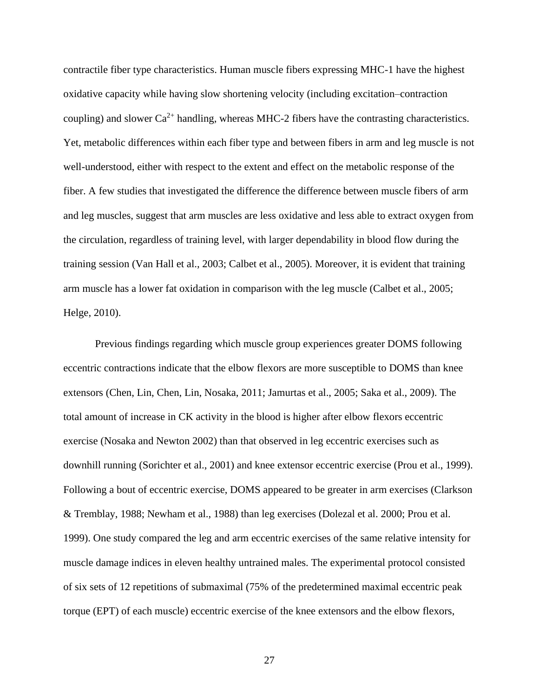contractile fiber type characteristics. Human muscle fibers expressing MHC-1 have the highest oxidative capacity while having slow shortening velocity (including excitation–contraction coupling) and slower  $Ca^{2+}$  handling, whereas MHC-2 fibers have the contrasting characteristics. Yet, metabolic differences within each fiber type and between fibers in arm and leg muscle is not well-understood, either with respect to the extent and effect on the metabolic response of the fiber. A few studies that investigated the difference the difference between muscle fibers of arm and leg muscles, suggest that arm muscles are less oxidative and less able to extract oxygen from the circulation, regardless of training level, with larger dependability in blood flow during the training session (Van Hall et al., 2003; Calbet et al., 2005). Moreover, it is evident that training arm muscle has a lower fat oxidation in comparison with the leg muscle (Calbet et al., 2005; Helge, 2010).

Previous findings regarding which muscle group experiences greater DOMS following eccentric contractions indicate that the elbow flexors are more susceptible to DOMS than knee extensors (Chen, Lin, Chen, Lin, Nosaka, 2011; Jamurtas et al., 2005; Saka et al., 2009). The total amount of increase in CK activity in the blood is higher after elbow flexors eccentric exercise (Nosaka and Newton 2002) than that observed in leg eccentric exercises such as downhill running (Sorichter et al., 2001) and knee extensor eccentric exercise (Prou et al., 1999). Following a bout of eccentric exercise, DOMS appeared to be greater in arm exercises (Clarkson & Tremblay, 1988; Newham et al., 1988) than leg exercises (Dolezal et al. 2000; Prou et al. 1999). One study compared the leg and arm eccentric exercises of the same relative intensity for muscle damage indices in eleven healthy untrained males. The experimental protocol consisted of six sets of 12 repetitions of submaximal (75% of the predetermined maximal eccentric peak torque (EPT) of each muscle) eccentric exercise of the knee extensors and the elbow flexors,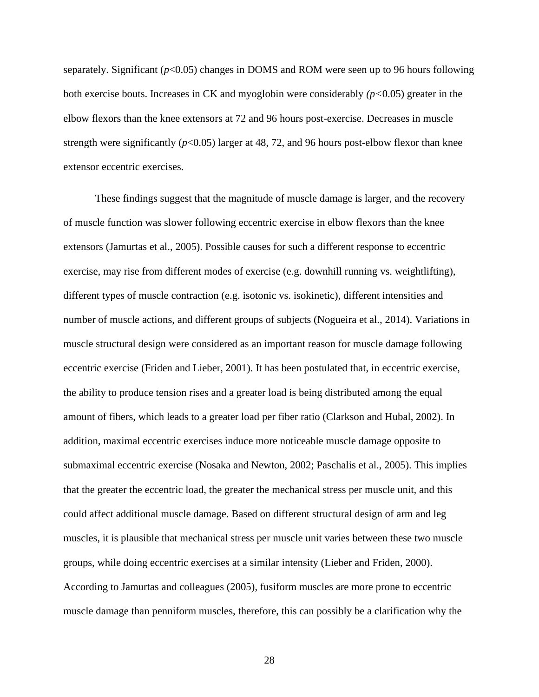separately. Significant  $(p<0.05)$  changes in DOMS and ROM were seen up to 96 hours following both exercise bouts. Increases in CK and myoglobin were considerably *(p<*0.05) greater in the elbow flexors than the knee extensors at 72 and 96 hours post-exercise. Decreases in muscle strength were significantly  $(p<0.05)$  larger at 48, 72, and 96 hours post-elbow flexor than knee extensor eccentric exercises.

These findings suggest that the magnitude of muscle damage is larger, and the recovery of muscle function was slower following eccentric exercise in elbow flexors than the knee extensors (Jamurtas et al., 2005). Possible causes for such a different response to eccentric exercise, may rise from different modes of exercise (e.g. downhill running vs. weightlifting), different types of muscle contraction (e.g. isotonic vs. isokinetic), different intensities and number of muscle actions, and different groups of subjects (Nogueira et al., 2014). Variations in muscle structural design were considered as an important reason for muscle damage following eccentric exercise (Friden and Lieber, 2001). It has been postulated that, in eccentric exercise, the ability to produce tension rises and a greater load is being distributed among the equal amount of fibers, which leads to a greater load per fiber ratio (Clarkson and Hubal, 2002). In addition, maximal eccentric exercises induce more noticeable muscle damage opposite to submaximal eccentric exercise (Nosaka and Newton, 2002; Paschalis et al., 2005). This implies that the greater the eccentric load, the greater the mechanical stress per muscle unit, and this could affect additional muscle damage. Based on different structural design of arm and leg muscles, it is plausible that mechanical stress per muscle unit varies between these two muscle groups, while doing eccentric exercises at a similar intensity (Lieber and Friden, 2000). According to Jamurtas and colleagues (2005), fusiform muscles are more prone to eccentric muscle damage than penniform muscles, therefore, this can possibly be a clarification why the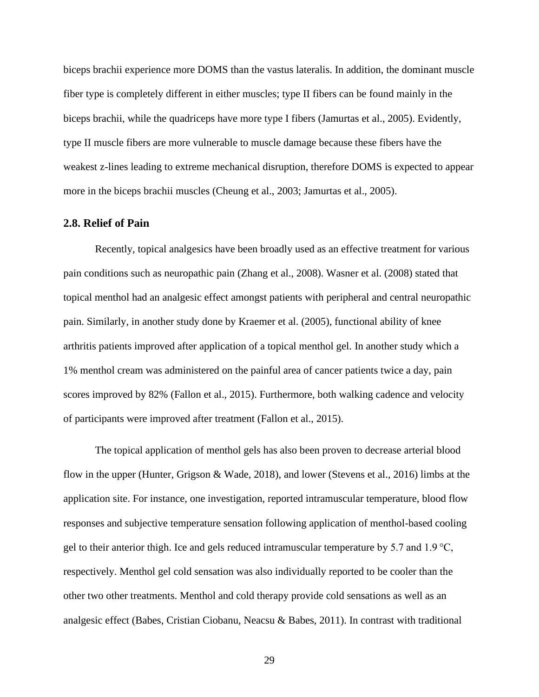biceps brachii experience more DOMS than the vastus lateralis. In addition, the dominant muscle fiber type is completely different in either muscles; type II fibers can be found mainly in the biceps brachii, while the quadriceps have more type I fibers (Jamurtas et al., 2005). Evidently, type II muscle fibers are more vulnerable to muscle damage because these fibers have the weakest z-lines leading to extreme mechanical disruption, therefore DOMS is expected to appear more in the biceps brachii muscles (Cheung et al., 2003; Jamurtas et al., 2005).

## **2.8. Relief of Pain**

Recently, topical analgesics have been broadly used as an effective treatment for various pain conditions such as neuropathic pain (Zhang et al., 2008). Wasner et al. (2008) stated that topical menthol had an analgesic effect amongst patients with peripheral and central neuropathic pain. Similarly, in another study done by Kraemer et al. (2005), functional ability of knee arthritis patients improved after application of a topical menthol gel. In another study which a 1% menthol cream was administered on the painful area of cancer patients twice a day, pain scores improved by 82% (Fallon et al., 2015). Furthermore, both walking cadence and velocity of participants were improved after treatment (Fallon et al., 2015).

The topical application of menthol gels has also been proven to decrease arterial blood flow in the upper (Hunter, Grigson & Wade, 2018), and lower (Stevens et al., 2016) limbs at the application site. For instance, one investigation, reported intramuscular temperature, blood flow responses and subjective temperature sensation following application of menthol-based cooling gel to their anterior thigh. Ice and gels reduced intramuscular temperature by 5.7 and 1.9 $\degree$ C, respectively. Menthol gel cold sensation was also individually reported to be cooler than the other two other treatments. Menthol and cold therapy provide cold sensations as well as an analgesic effect (Babes, Cristian Ciobanu, Neacsu & Babes, 2011). In contrast with traditional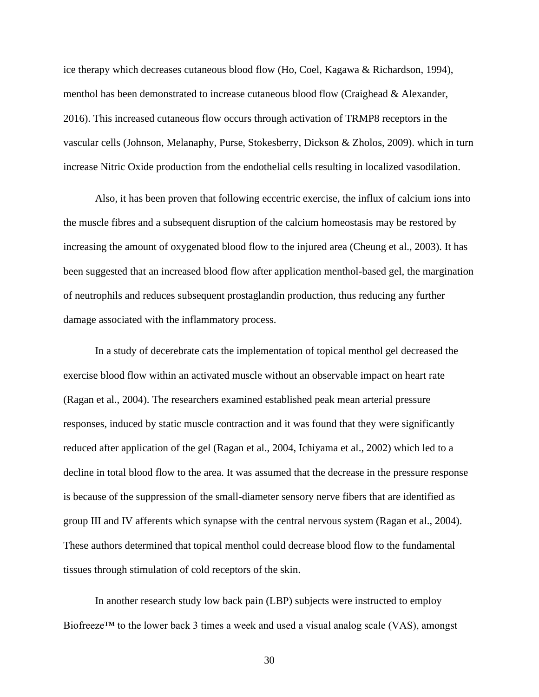ice therapy which decreases cutaneous blood flow (Ho, Coel, Kagawa & Richardson, 1994), menthol has been demonstrated to increase cutaneous blood flow (Craighead & Alexander, 2016). This increased cutaneous flow occurs through activation of TRMP8 receptors in the vascular cells (Johnson, Melanaphy, Purse, Stokesberry, Dickson & Zholos, 2009). which in turn increase Nitric Oxide production from the endothelial cells resulting in localized vasodilation.

Also, it has been proven that following eccentric exercise, the influx of calcium ions into the muscle fibres and a subsequent disruption of the calcium homeostasis may be restored by increasing the amount of oxygenated blood flow to the injured area (Cheung et al., 2003). It has been suggested that an increased blood flow after application menthol-based gel, the margination of neutrophils and reduces subsequent prostaglandin production, thus reducing any further damage associated with the inflammatory process.

In a study of decerebrate cats the implementation of topical menthol gel decreased the exercise blood flow within an activated muscle without an observable impact on heart rate (Ragan et al., 2004). The researchers examined established peak mean arterial pressure responses, induced by static muscle contraction and it was found that they were significantly reduced after application of the gel (Ragan et al., 2004, Ichiyama et al., 2002) which led to a decline in total blood flow to the area. It was assumed that the decrease in the pressure response is because of the suppression of the small-diameter sensory nerve fibers that are identified as group III and IV afferents which synapse with the central nervous system (Ragan et al., 2004). These authors determined that topical menthol could decrease blood flow to the fundamental tissues through stimulation of cold receptors of the skin.

In another research study low back pain (LBP) subjects were instructed to employ Biofreeze<sup>TM</sup> to the lower back 3 times a week and used a visual analog scale (VAS), amongst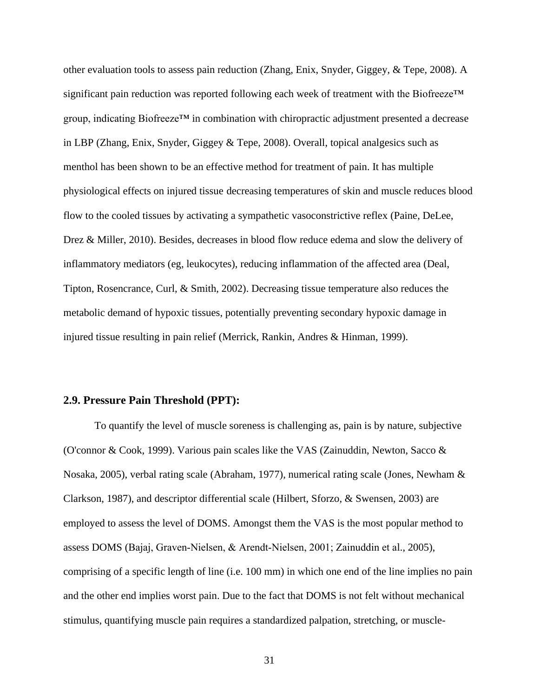other evaluation tools to assess pain reduction (Zhang, Enix, Snyder, Giggey, & Tepe, 2008). A significant pain reduction was reported following each week of treatment with the Biofreeze™ group, indicating Biofreeze™ in combination with chiropractic adjustment presented a decrease in LBP (Zhang, Enix, Snyder, Giggey & Tepe, 2008). Overall, topical analgesics such as menthol has been shown to be an effective method for treatment of pain. It has multiple physiological effects on injured tissue decreasing temperatures of skin and muscle reduces blood flow to the cooled tissues by activating a sympathetic vasoconstrictive reflex (Paine, DeLee, Drez & Miller, 2010). Besides, decreases in blood flow reduce edema and slow the delivery of inflammatory mediators (eg, leukocytes), reducing inflammation of the affected area (Deal, Tipton, Rosencrance, Curl, & Smith, 2002). Decreasing tissue temperature also reduces the metabolic demand of hypoxic tissues, potentially preventing secondary hypoxic damage in injured tissue resulting in pain relief (Merrick, Rankin, Andres & Hinman, 1999).

#### **2.9. Pressure Pain Threshold (PPT):**

To quantify the level of muscle soreness is challenging as, pain is by nature, subjective (O'connor & Cook, 1999). Various pain scales like the VAS (Zainuddin, Newton, Sacco & Nosaka, 2005), verbal rating scale (Abraham, 1977), numerical rating scale (Jones, Newham & Clarkson, 1987), and descriptor differential scale (Hilbert, Sforzo, & Swensen, 2003) are employed to assess the level of DOMS. Amongst them the VAS is the most popular method to assess DOMS (Bajaj, Graven‐Nielsen, & Arendt‐Nielsen, 2001; Zainuddin et al., 2005), comprising of a specific length of line (i.e. 100 mm) in which one end of the line implies no pain and the other end implies worst pain. Due to the fact that DOMS is not felt without mechanical stimulus, quantifying muscle pain requires a standardized palpation, stretching, or muscle-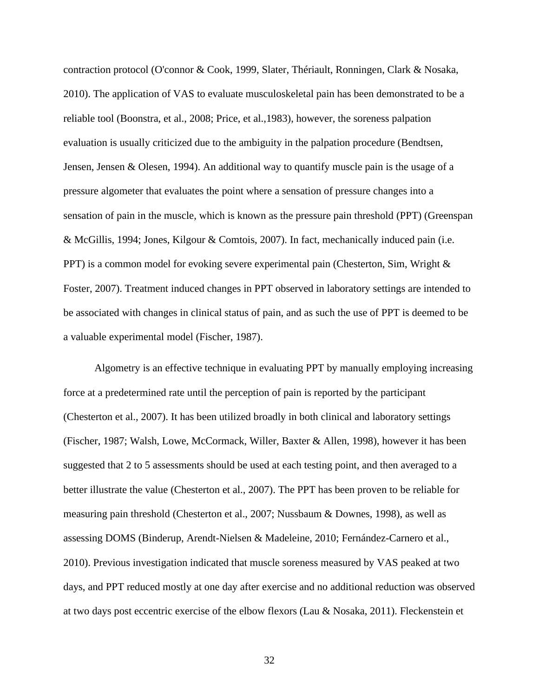contraction protocol (O'connor & Cook, 1999, Slater, Thériault, Ronningen, Clark & Nosaka, 2010). The application of VAS to evaluate musculoskeletal pain has been demonstrated to be a reliable tool (Boonstra, et al., 2008; Price, et al.,1983), however, the soreness palpation evaluation is usually criticized due to the ambiguity in the palpation procedure (Bendtsen, Jensen, Jensen & Olesen, 1994). An additional way to quantify muscle pain is the usage of a pressure algometer that evaluates the point where a sensation of pressure changes into a sensation of pain in the muscle, which is known as the pressure pain threshold (PPT) (Greenspan & McGillis, 1994; Jones, Kilgour & Comtois, 2007). In fact, mechanically induced pain (i.e. PPT) is a common model for evoking severe experimental pain (Chesterton, Sim, Wright & Foster, 2007). Treatment induced changes in PPT observed in laboratory settings are intended to be associated with changes in clinical status of pain, and as such the use of PPT is deemed to be a valuable experimental model (Fischer, 1987).

Algometry is an effective technique in evaluating PPT by manually employing increasing force at a predetermined rate until the perception of pain is reported by the participant (Chesterton et al., 2007). It has been utilized broadly in both clinical and laboratory settings (Fischer, 1987; Walsh, Lowe, McCormack, Willer, Baxter & Allen, 1998), however it has been suggested that 2 to 5 assessments should be used at each testing point, and then averaged to a better illustrate the value (Chesterton et al., 2007). The PPT has been proven to be reliable for measuring pain threshold (Chesterton et al., 2007; Nussbaum & Downes, 1998), as well as assessing DOMS (Binderup, Arendt-Nielsen & Madeleine, 2010; Fernández-Carnero et al., 2010). Previous investigation indicated that muscle soreness measured by VAS peaked at two days, and PPT reduced mostly at one day after exercise and no additional reduction was observed at two days post eccentric exercise of the elbow flexors (Lau & Nosaka, 2011). Fleckenstein et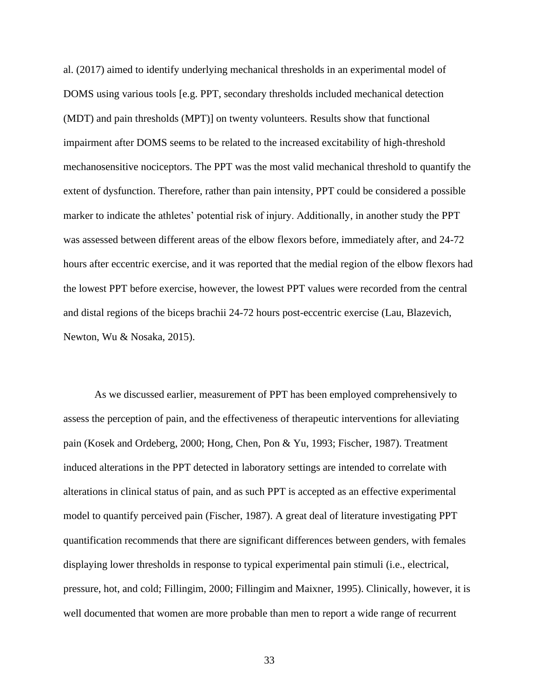al. (2017) aimed to identify underlying mechanical thresholds in an experimental model of DOMS using various tools [e.g. PPT, secondary thresholds included mechanical detection (MDT) and pain thresholds (MPT)] on twenty volunteers. Results show that functional impairment after DOMS seems to be related to the increased excitability of high-threshold mechanosensitive nociceptors. The PPT was the most valid mechanical threshold to quantify the extent of dysfunction. Therefore, rather than pain intensity, PPT could be considered a possible marker to indicate the athletes' potential risk of injury. Additionally, in another study the PPT was assessed between different areas of the elbow flexors before, immediately after, and 24-72 hours after eccentric exercise, and it was reported that the medial region of the elbow flexors had the lowest PPT before exercise, however, the lowest PPT values were recorded from the central and distal regions of the biceps brachii 24-72 hours post-eccentric exercise (Lau, Blazevich, Newton, Wu & Nosaka, 2015).

As we discussed earlier, measurement of PPT has been employed comprehensively to assess the perception of pain, and the effectiveness of therapeutic interventions for alleviating pain (Kosek and Ordeberg, 2000; Hong, Chen, Pon & Yu, 1993; Fischer, 1987). Treatment induced alterations in the PPT detected in laboratory settings are intended to correlate with alterations in clinical status of pain, and as such PPT is accepted as an effective experimental model to quantify perceived pain (Fischer, 1987). A great deal of literature investigating PPT quantification recommends that there are significant differences between genders, with females displaying lower thresholds in response to typical experimental pain stimuli (i.e., electrical, pressure, hot, and cold; Fillingim, 2000; Fillingim and Maixner, 1995). Clinically, however, it is well documented that women are more probable than men to report a wide range of recurrent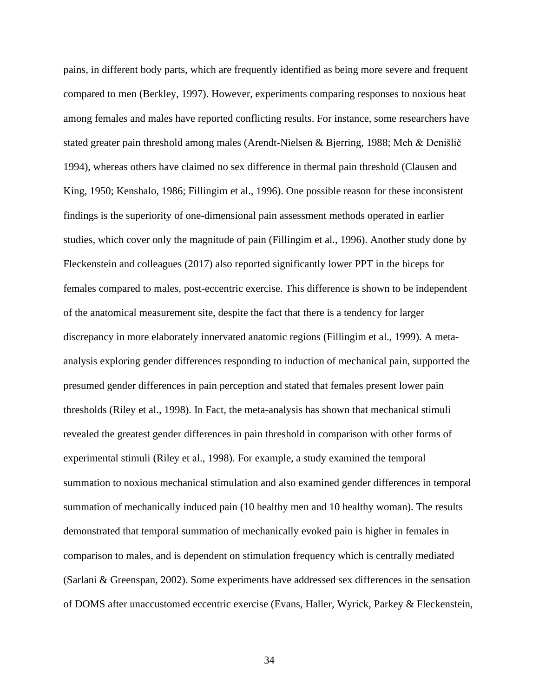pains, in different body parts, which are frequently identified as being more severe and frequent compared to men (Berkley, 1997). However, experiments comparing responses to noxious heat among females and males have reported conflicting results. For instance, some researchers have stated greater pain threshold among males (Arendt-Nielsen & Bjerring, 1988; Meh & Denišlič 1994), whereas others have claimed no sex difference in thermal pain threshold (Clausen and King, 1950; Kenshalo, 1986; Fillingim et al., 1996). One possible reason for these inconsistent findings is the superiority of one-dimensional pain assessment methods operated in earlier studies, which cover only the magnitude of pain (Fillingim et al., 1996). Another study done by Fleckenstein and colleagues (2017) also reported significantly lower PPT in the biceps for females compared to males, post-eccentric exercise. This difference is shown to be independent of the anatomical measurement site, despite the fact that there is a tendency for larger discrepancy in more elaborately innervated anatomic regions (Fillingim et al., 1999). A metaanalysis exploring gender differences responding to induction of mechanical pain, supported the presumed gender differences in pain perception and stated that females present lower pain thresholds (Riley et al., 1998). In Fact, the meta-analysis has shown that mechanical stimuli revealed the greatest gender differences in pain threshold in comparison with other forms of experimental stimuli (Riley et al., 1998). For example, a study examined the temporal summation to noxious mechanical stimulation and also examined gender differences in temporal summation of mechanically induced pain (10 healthy men and 10 healthy woman). The results demonstrated that temporal summation of mechanically evoked pain is higher in females in comparison to males, and is dependent on stimulation frequency which is centrally mediated (Sarlani & Greenspan, 2002). Some experiments have addressed sex differences in the sensation of DOMS after unaccustomed eccentric exercise (Evans, Haller, Wyrick, Parkey & Fleckenstein,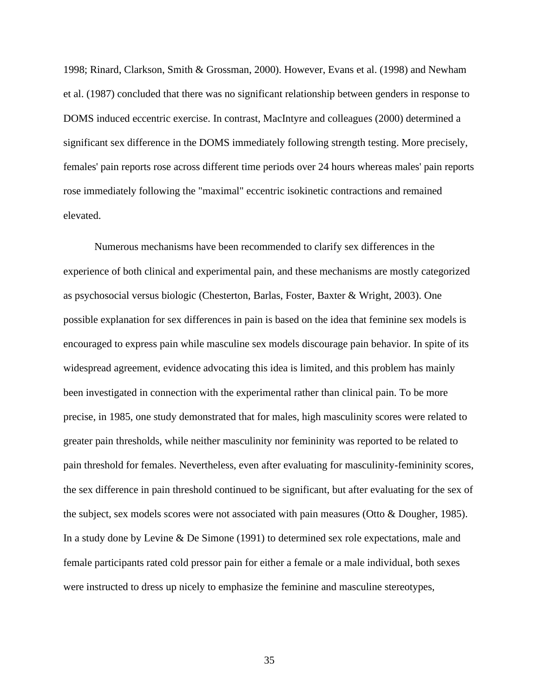1998; Rinard, Clarkson, Smith & Grossman, 2000). However, Evans et al. (1998) and Newham et al. (1987) concluded that there was no significant relationship between genders in response to DOMS induced eccentric exercise. In contrast, MacIntyre and colleagues (2000) determined a significant sex difference in the DOMS immediately following strength testing. More precisely, females' pain reports rose across different time periods over 24 hours whereas males' pain reports rose immediately following the "maximal" eccentric isokinetic contractions and remained elevated.

Numerous mechanisms have been recommended to clarify sex differences in the experience of both clinical and experimental pain, and these mechanisms are mostly categorized as psychosocial versus biologic (Chesterton, Barlas, Foster, Baxter & Wright, 2003). One possible explanation for sex differences in pain is based on the idea that feminine sex models is encouraged to express pain while masculine sex models discourage pain behavior. In spite of its widespread agreement, evidence advocating this idea is limited, and this problem has mainly been investigated in connection with the experimental rather than clinical pain. To be more precise, in 1985, one study demonstrated that for males, high masculinity scores were related to greater pain thresholds, while neither masculinity nor femininity was reported to be related to pain threshold for females. Nevertheless, even after evaluating for masculinity-femininity scores, the sex difference in pain threshold continued to be significant, but after evaluating for the sex of the subject, sex models scores were not associated with pain measures (Otto & Dougher, 1985). In a study done by Levine & De Simone (1991) to determined sex role expectations, male and female participants rated cold pressor pain for either a female or a male individual, both sexes were instructed to dress up nicely to emphasize the feminine and masculine stereotypes,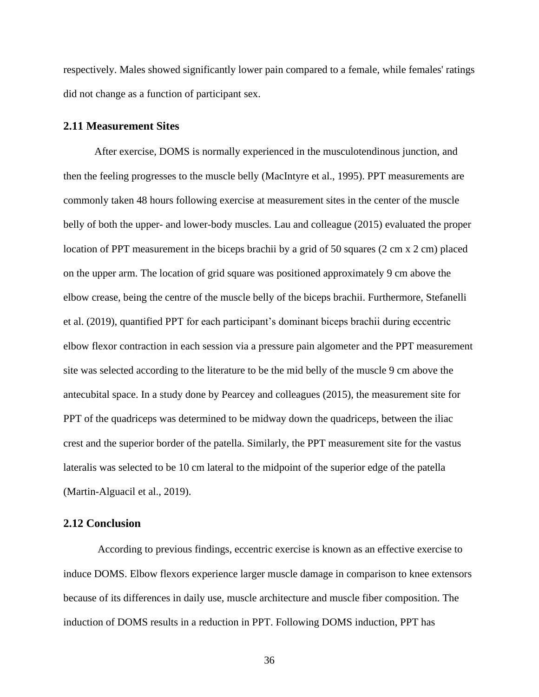respectively. Males showed significantly lower pain compared to a female, while females' ratings did not change as a function of participant sex.

### **2.11 Measurement Sites**

After exercise, DOMS is normally experienced in the musculotendinous junction, and then the feeling progresses to the muscle belly (MacIntyre et al., 1995). PPT measurements are commonly taken 48 hours following exercise at measurement sites in the center of the muscle belly of both the upper- and lower-body muscles. Lau and colleague (2015) evaluated the proper location of PPT measurement in the biceps brachii by a grid of 50 squares (2 cm x 2 cm) placed on the upper arm. The location of grid square was positioned approximately 9 cm above the elbow crease, being the centre of the muscle belly of the biceps brachii. Furthermore, Stefanelli et al. (2019), quantified PPT for each participant's dominant biceps brachii during eccentric elbow flexor contraction in each session via a pressure pain algometer and the PPT measurement site was selected according to the literature to be the mid belly of the muscle 9 cm above the antecubital space. In a study done by Pearcey and colleagues (2015), the measurement site for PPT of the quadriceps was determined to be midway down the quadriceps, between the iliac crest and the superior border of the patella. Similarly, the PPT measurement site for the vastus lateralis was selected to be 10 cm lateral to the midpoint of the superior edge of the patella (Martin-Alguacil et al., 2019).

## **2.12 Conclusion**

According to previous findings, eccentric exercise is known as an effective exercise to induce DOMS. Elbow flexors experience larger muscle damage in comparison to knee extensors because of its differences in daily use, muscle architecture and muscle fiber composition. The induction of DOMS results in a reduction in PPT. Following DOMS induction, PPT has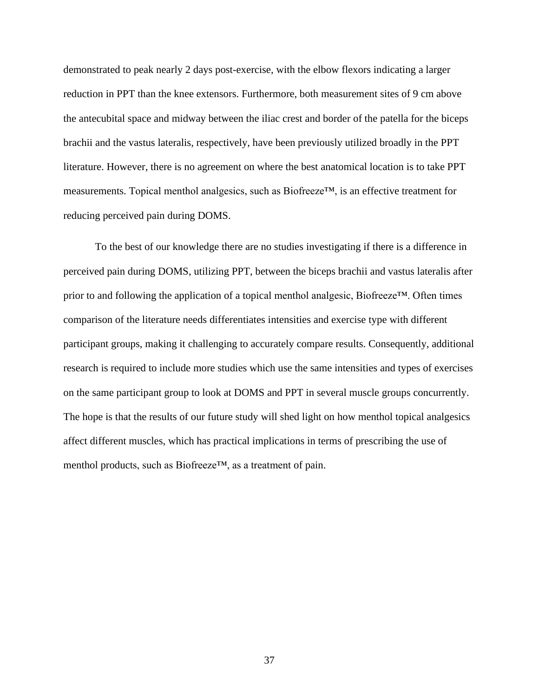demonstrated to peak nearly 2 days post-exercise, with the elbow flexors indicating a larger reduction in PPT than the knee extensors. Furthermore, both measurement sites of 9 cm above the antecubital space and midway between the iliac crest and border of the patella for the biceps brachii and the vastus lateralis, respectively, have been previously utilized broadly in the PPT literature. However, there is no agreement on where the best anatomical location is to take PPT measurements. Topical menthol analgesics, such as Biofreeze™, is an effective treatment for reducing perceived pain during DOMS.

To the best of our knowledge there are no studies investigating if there is a difference in perceived pain during DOMS, utilizing PPT, between the biceps brachii and vastus lateralis after prior to and following the application of a topical menthol analgesic, Biofreeze™. Often times comparison of the literature needs differentiates intensities and exercise type with different participant groups, making it challenging to accurately compare results. Consequently, additional research is required to include more studies which use the same intensities and types of exercises on the same participant group to look at DOMS and PPT in several muscle groups concurrently. The hope is that the results of our future study will shed light on how menthol topical analgesics affect different muscles, which has practical implications in terms of prescribing the use of menthol products, such as Biofreeze™, as a treatment of pain.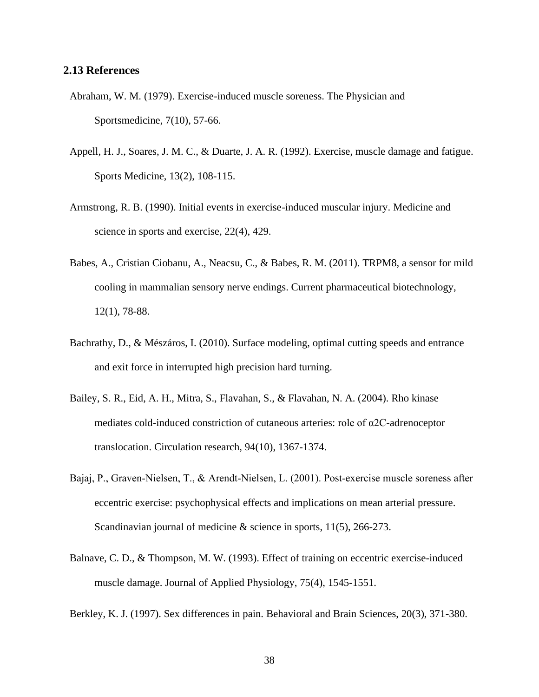## **2.13 References**

- Abraham, W. M. (1979). Exercise-induced muscle soreness. The Physician and Sportsmedicine, 7(10), 57-66.
- Appell, H. J., Soares, J. M. C., & Duarte, J. A. R. (1992). Exercise, muscle damage and fatigue. Sports Medicine, 13(2), 108-115.
- Armstrong, R. B. (1990). Initial events in exercise-induced muscular injury. Medicine and science in sports and exercise, 22(4), 429.
- Babes, A., Cristian Ciobanu, A., Neacsu, C., & Babes, R. M. (2011). TRPM8, a sensor for mild cooling in mammalian sensory nerve endings. Current pharmaceutical biotechnology, 12(1), 78-88.
- Bachrathy, D., & Mészáros, I. (2010). Surface modeling, optimal cutting speeds and entrance and exit force in interrupted high precision hard turning.
- Bailey, S. R., Eid, A. H., Mitra, S., Flavahan, S., & Flavahan, N. A. (2004). Rho kinase mediates cold-induced constriction of cutaneous arteries: role of α2C-adrenoceptor translocation. Circulation research, 94(10), 1367-1374.
- Bajaj, P., Graven‐Nielsen, T., & Arendt‐Nielsen, L. (2001). Post‐exercise muscle soreness after eccentric exercise: psychophysical effects and implications on mean arterial pressure. Scandinavian journal of medicine & science in sports,  $11(5)$ , 266-273.
- Balnave, C. D., & Thompson, M. W. (1993). Effect of training on eccentric exercise-induced muscle damage. Journal of Applied Physiology, 75(4), 1545-1551.
- Berkley, K. J. (1997). Sex differences in pain. Behavioral and Brain Sciences, 20(3), 371-380.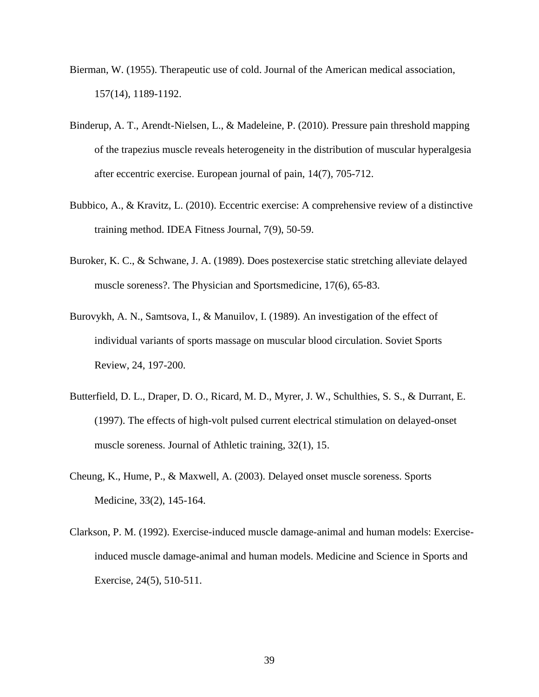- Bierman, W. (1955). Therapeutic use of cold. Journal of the American medical association, 157(14), 1189-1192.
- Binderup, A. T., Arendt-Nielsen, L., & Madeleine, P. (2010). Pressure pain threshold mapping of the trapezius muscle reveals heterogeneity in the distribution of muscular hyperalgesia after eccentric exercise. European journal of pain, 14(7), 705-712.
- Bubbico, A., & Kravitz, L. (2010). Eccentric exercise: A comprehensive review of a distinctive training method. IDEA Fitness Journal, 7(9), 50-59.
- Buroker, K. C., & Schwane, J. A. (1989). Does postexercise static stretching alleviate delayed muscle soreness?. The Physician and Sportsmedicine, 17(6), 65-83.
- Burovykh, A. N., Samtsova, I., & Manuilov, I. (1989). An investigation of the effect of individual variants of sports massage on muscular blood circulation. Soviet Sports Review, 24, 197-200.
- Butterfield, D. L., Draper, D. O., Ricard, M. D., Myrer, J. W., Schulthies, S. S., & Durrant, E. (1997). The effects of high-volt pulsed current electrical stimulation on delayed-onset muscle soreness. Journal of Athletic training, 32(1), 15.
- Cheung, K., Hume, P., & Maxwell, A. (2003). Delayed onset muscle soreness. Sports Medicine, 33(2), 145-164.
- Clarkson, P. M. (1992). Exercise-induced muscle damage-animal and human models: Exerciseinduced muscle damage-animal and human models. Medicine and Science in Sports and Exercise, 24(5), 510-511.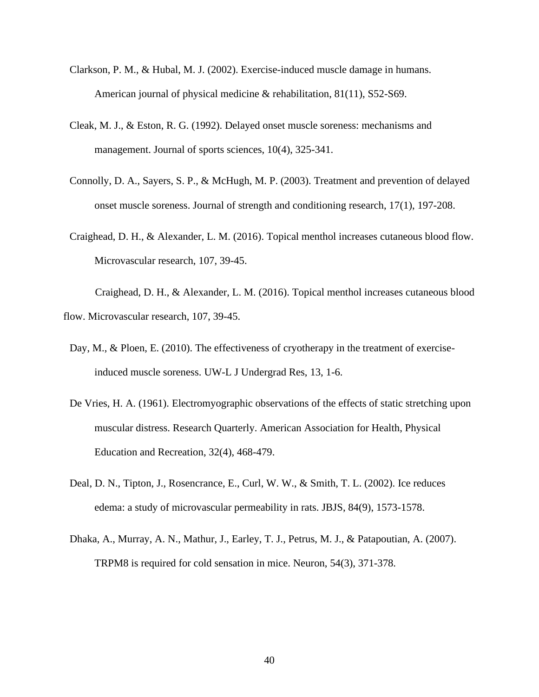- Clarkson, P. M., & Hubal, M. J. (2002). Exercise-induced muscle damage in humans. American journal of physical medicine & rehabilitation, 81(11), S52-S69.
- Cleak, M. J., & Eston, R. G. (1992). Delayed onset muscle soreness: mechanisms and management. Journal of sports sciences, 10(4), 325-341.
- Connolly, D. A., Sayers, S. P., & McHugh, M. P. (2003). Treatment and prevention of delayed onset muscle soreness. Journal of strength and conditioning research, 17(1), 197-208.
- Craighead, D. H., & Alexander, L. M. (2016). Topical menthol increases cutaneous blood flow. Microvascular research, 107, 39-45.

Craighead, D. H., & Alexander, L. M. (2016). Topical menthol increases cutaneous blood flow. Microvascular research, 107, 39-45.

- Day, M., & Ploen, E. (2010). The effectiveness of cryotherapy in the treatment of exerciseinduced muscle soreness. UW-L J Undergrad Res, 13, 1-6.
- De Vries, H. A. (1961). Electromyographic observations of the effects of static stretching upon muscular distress. Research Quarterly. American Association for Health, Physical Education and Recreation, 32(4), 468-479.
- Deal, D. N., Tipton, J., Rosencrance, E., Curl, W. W., & Smith, T. L. (2002). Ice reduces edema: a study of microvascular permeability in rats. JBJS, 84(9), 1573-1578.
- Dhaka, A., Murray, A. N., Mathur, J., Earley, T. J., Petrus, M. J., & Patapoutian, A. (2007). TRPM8 is required for cold sensation in mice. Neuron, 54(3), 371-378.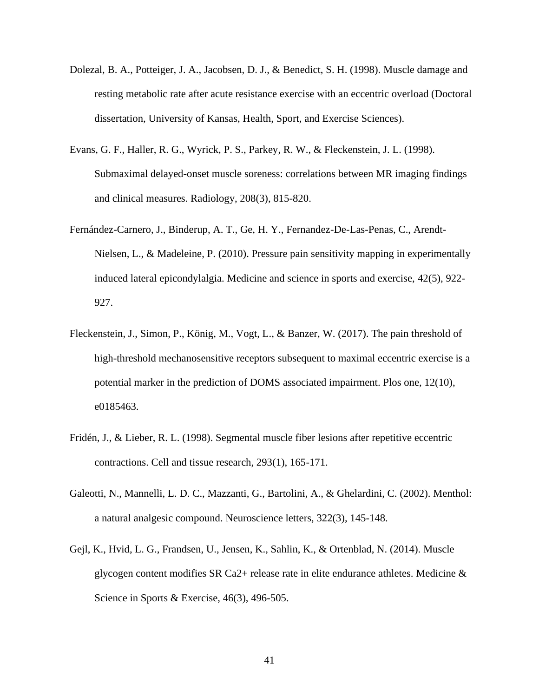- Dolezal, B. A., Potteiger, J. A., Jacobsen, D. J., & Benedict, S. H. (1998). Muscle damage and resting metabolic rate after acute resistance exercise with an eccentric overload (Doctoral dissertation, University of Kansas, Health, Sport, and Exercise Sciences).
- Evans, G. F., Haller, R. G., Wyrick, P. S., Parkey, R. W., & Fleckenstein, J. L. (1998). Submaximal delayed-onset muscle soreness: correlations between MR imaging findings and clinical measures. Radiology, 208(3), 815-820.
- Fernández-Carnero, J., Binderup, A. T., Ge, H. Y., Fernandez-De-Las-Penas, C., Arendt-Nielsen, L., & Madeleine, P. (2010). Pressure pain sensitivity mapping in experimentally induced lateral epicondylalgia. Medicine and science in sports and exercise, 42(5), 922- 927.
- Fleckenstein, J., Simon, P., König, M., Vogt, L., & Banzer, W. (2017). The pain threshold of high-threshold mechanosensitive receptors subsequent to maximal eccentric exercise is a potential marker in the prediction of DOMS associated impairment. Plos one, 12(10), e0185463.
- Fridén, J., & Lieber, R. L. (1998). Segmental muscle fiber lesions after repetitive eccentric contractions. Cell and tissue research, 293(1), 165-171.
- Galeotti, N., Mannelli, L. D. C., Mazzanti, G., Bartolini, A., & Ghelardini, C. (2002). Menthol: a natural analgesic compound. Neuroscience letters, 322(3), 145-148.
- Gejl, K., Hvid, L. G., Frandsen, U., Jensen, K., Sahlin, K., & Ortenblad, N. (2014). Muscle glycogen content modifies SR Ca2+ release rate in elite endurance athletes. Medicine & Science in Sports & Exercise, 46(3), 496-505.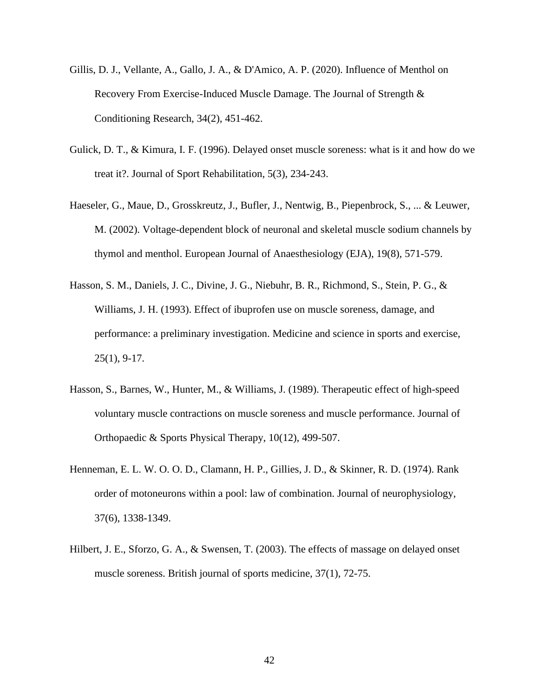- Gillis, D. J., Vellante, A., Gallo, J. A., & D'Amico, A. P. (2020). Influence of Menthol on Recovery From Exercise-Induced Muscle Damage. The Journal of Strength & Conditioning Research, 34(2), 451-462.
- Gulick, D. T., & Kimura, I. F. (1996). Delayed onset muscle soreness: what is it and how do we treat it?. Journal of Sport Rehabilitation, 5(3), 234-243.
- Haeseler, G., Maue, D., Grosskreutz, J., Bufler, J., Nentwig, B., Piepenbrock, S., ... & Leuwer, M. (2002). Voltage-dependent block of neuronal and skeletal muscle sodium channels by thymol and menthol. European Journal of Anaesthesiology (EJA), 19(8), 571-579.
- Hasson, S. M., Daniels, J. C., Divine, J. G., Niebuhr, B. R., Richmond, S., Stein, P. G., & Williams, J. H. (1993). Effect of ibuprofen use on muscle soreness, damage, and performance: a preliminary investigation. Medicine and science in sports and exercise, 25(1), 9-17.
- Hasson, S., Barnes, W., Hunter, M., & Williams, J. (1989). Therapeutic effect of high-speed voluntary muscle contractions on muscle soreness and muscle performance. Journal of Orthopaedic & Sports Physical Therapy, 10(12), 499-507.
- Henneman, E. L. W. O. O. D., Clamann, H. P., Gillies, J. D., & Skinner, R. D. (1974). Rank order of motoneurons within a pool: law of combination. Journal of neurophysiology, 37(6), 1338-1349.
- Hilbert, J. E., Sforzo, G. A., & Swensen, T. (2003). The effects of massage on delayed onset muscle soreness. British journal of sports medicine, 37(1), 72-75.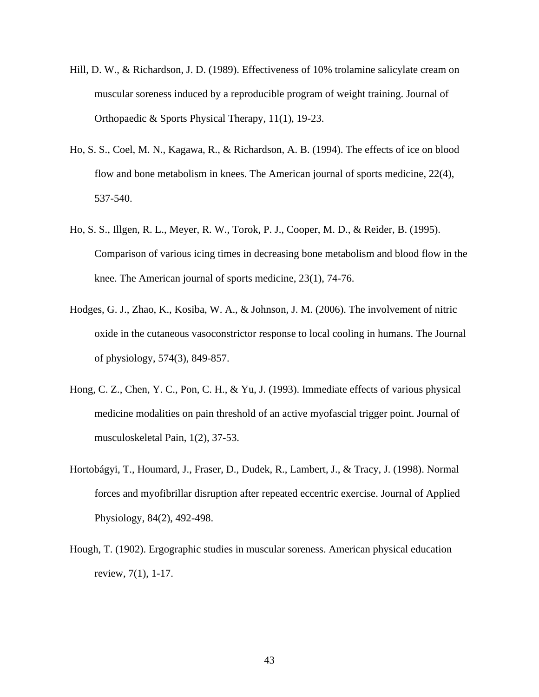- Hill, D. W., & Richardson, J. D. (1989). Effectiveness of 10% trolamine salicylate cream on muscular soreness induced by a reproducible program of weight training. Journal of Orthopaedic & Sports Physical Therapy, 11(1), 19-23.
- Ho, S. S., Coel, M. N., Kagawa, R., & Richardson, A. B. (1994). The effects of ice on blood flow and bone metabolism in knees. The American journal of sports medicine, 22(4), 537-540.
- Ho, S. S., Illgen, R. L., Meyer, R. W., Torok, P. J., Cooper, M. D., & Reider, B. (1995). Comparison of various icing times in decreasing bone metabolism and blood flow in the knee. The American journal of sports medicine, 23(1), 74-76.
- Hodges, G. J., Zhao, K., Kosiba, W. A., & Johnson, J. M. (2006). The involvement of nitric oxide in the cutaneous vasoconstrictor response to local cooling in humans. The Journal of physiology, 574(3), 849-857.
- Hong, C. Z., Chen, Y. C., Pon, C. H., & Yu, J. (1993). Immediate effects of various physical medicine modalities on pain threshold of an active myofascial trigger point. Journal of musculoskeletal Pain, 1(2), 37-53.
- Hortobágyi, T., Houmard, J., Fraser, D., Dudek, R., Lambert, J., & Tracy, J. (1998). Normal forces and myofibrillar disruption after repeated eccentric exercise. Journal of Applied Physiology, 84(2), 492-498.
- Hough, T. (1902). Ergographic studies in muscular soreness. American physical education review, 7(1), 1-17.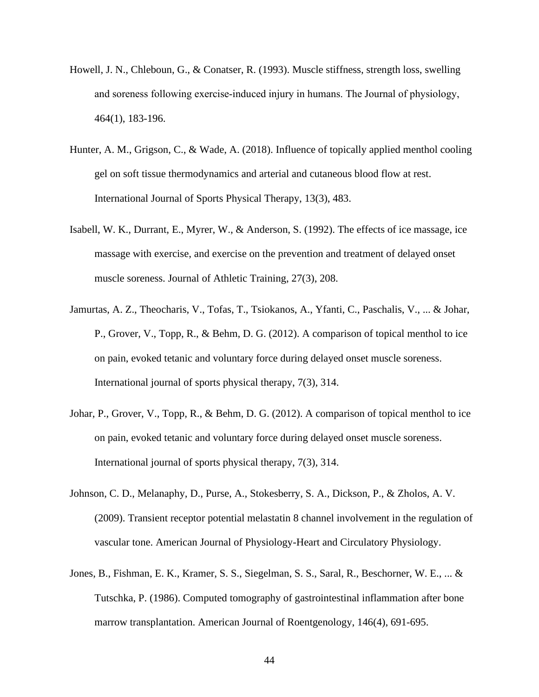- Howell, J. N., Chleboun, G., & Conatser, R. (1993). Muscle stiffness, strength loss, swelling and soreness following exercise‐induced injury in humans. The Journal of physiology, 464(1), 183-196.
- Hunter, A. M., Grigson, C., & Wade, A. (2018). Influence of topically applied menthol cooling gel on soft tissue thermodynamics and arterial and cutaneous blood flow at rest. International Journal of Sports Physical Therapy, 13(3), 483.
- Isabell, W. K., Durrant, E., Myrer, W., & Anderson, S. (1992). The effects of ice massage, ice massage with exercise, and exercise on the prevention and treatment of delayed onset muscle soreness. Journal of Athletic Training, 27(3), 208.
- Jamurtas, A. Z., Theocharis, V., Tofas, T., Tsiokanos, A., Yfanti, C., Paschalis, V., ... & Johar, P., Grover, V., Topp, R., & Behm, D. G. (2012). A comparison of topical menthol to ice on pain, evoked tetanic and voluntary force during delayed onset muscle soreness. International journal of sports physical therapy, 7(3), 314.
- Johar, P., Grover, V., Topp, R., & Behm, D. G. (2012). A comparison of topical menthol to ice on pain, evoked tetanic and voluntary force during delayed onset muscle soreness. International journal of sports physical therapy, 7(3), 314.
- Johnson, C. D., Melanaphy, D., Purse, A., Stokesberry, S. A., Dickson, P., & Zholos, A. V. (2009). Transient receptor potential melastatin 8 channel involvement in the regulation of vascular tone. American Journal of Physiology-Heart and Circulatory Physiology.
- Jones, B., Fishman, E. K., Kramer, S. S., Siegelman, S. S., Saral, R., Beschorner, W. E., ... & Tutschka, P. (1986). Computed tomography of gastrointestinal inflammation after bone marrow transplantation. American Journal of Roentgenology, 146(4), 691-695.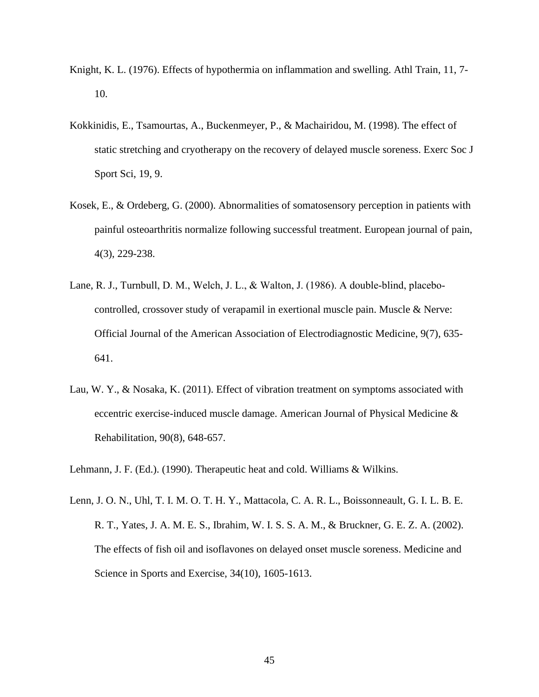- Knight, K. L. (1976). Effects of hypothermia on inflammation and swelling. Athl Train, 11, 7- 10.
- Kokkinidis, E., Tsamourtas, A., Buckenmeyer, P., & Machairidou, M. (1998). The effect of static stretching and cryotherapy on the recovery of delayed muscle soreness. Exerc Soc J Sport Sci, 19, 9.
- Kosek, E., & Ordeberg, G. (2000). Abnormalities of somatosensory perception in patients with painful osteoarthritis normalize following successful treatment. European journal of pain, 4(3), 229-238.
- Lane, R. J., Turnbull, D. M., Welch, J. L., & Walton, J. (1986). A double-blind, placebocontrolled, crossover study of verapamil in exertional muscle pain. Muscle & Nerve: Official Journal of the American Association of Electrodiagnostic Medicine, 9(7), 635- 641.
- Lau, W. Y., & Nosaka, K. (2011). Effect of vibration treatment on symptoms associated with eccentric exercise-induced muscle damage. American Journal of Physical Medicine & Rehabilitation, 90(8), 648-657.

Lehmann, J. F. (Ed.). (1990). Therapeutic heat and cold. Williams & Wilkins.

Lenn, J. O. N., Uhl, T. I. M. O. T. H. Y., Mattacola, C. A. R. L., Boissonneault, G. I. L. B. E. R. T., Yates, J. A. M. E. S., Ibrahim, W. I. S. S. A. M., & Bruckner, G. E. Z. A. (2002). The effects of fish oil and isoflavones on delayed onset muscle soreness. Medicine and Science in Sports and Exercise, 34(10), 1605-1613.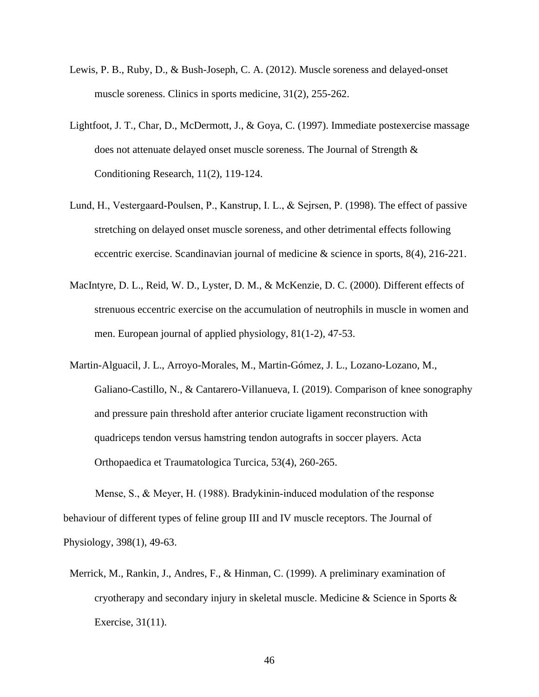- Lewis, P. B., Ruby, D., & Bush-Joseph, C. A. (2012). Muscle soreness and delayed-onset muscle soreness. Clinics in sports medicine, 31(2), 255-262.
- Lightfoot, J. T., Char, D., McDermott, J., & Goya, C. (1997). Immediate postexercise massage does not attenuate delayed onset muscle soreness. The Journal of Strength & Conditioning Research, 11(2), 119-124.
- Lund, H., Vestergaard‐Poulsen, P., Kanstrup, I. L., & Sejrsen, P. (1998). The effect of passive stretching on delayed onset muscle soreness, and other detrimental effects following eccentric exercise. Scandinavian journal of medicine & science in sports, 8(4), 216-221.
- MacIntyre, D. L., Reid, W. D., Lyster, D. M., & McKenzie, D. C. (2000). Different effects of strenuous eccentric exercise on the accumulation of neutrophils in muscle in women and men. European journal of applied physiology, 81(1-2), 47-53.
- Martin-Alguacil, J. L., Arroyo-Morales, M., Martin-Gómez, J. L., Lozano-Lozano, M., Galiano-Castillo, N., & Cantarero-Villanueva, I. (2019). Comparison of knee sonography and pressure pain threshold after anterior cruciate ligament reconstruction with quadriceps tendon versus hamstring tendon autografts in soccer players. Acta Orthopaedica et Traumatologica Turcica, 53(4), 260-265.

Mense, S., & Meyer, H. (1988). Bradykinin‐induced modulation of the response behaviour of different types of feline group III and IV muscle receptors. The Journal of Physiology, 398(1), 49-63.

Merrick, M., Rankin, J., Andres, F., & Hinman, C. (1999). A preliminary examination of cryotherapy and secondary injury in skeletal muscle. Medicine & Science in Sports & Exercise, 31(11).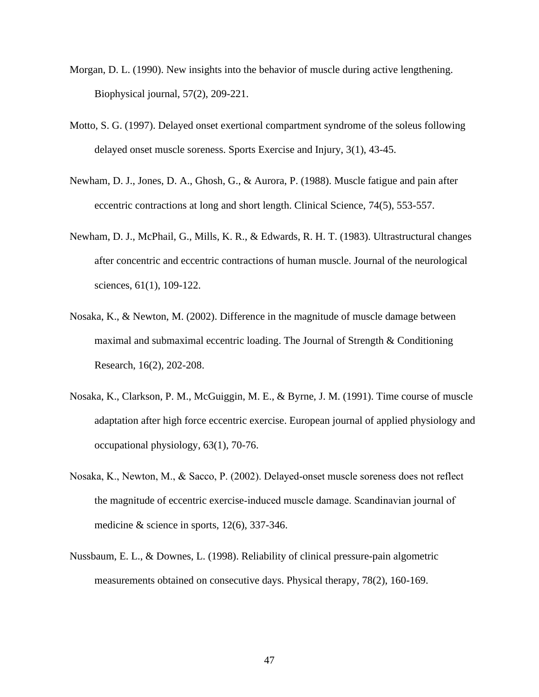- Morgan, D. L. (1990). New insights into the behavior of muscle during active lengthening. Biophysical journal, 57(2), 209-221.
- Motto, S. G. (1997). Delayed onset exertional compartment syndrome of the soleus following delayed onset muscle soreness. Sports Exercise and Injury, 3(1), 43-45.
- Newham, D. J., Jones, D. A., Ghosh, G., & Aurora, P. (1988). Muscle fatigue and pain after eccentric contractions at long and short length. Clinical Science, 74(5), 553-557.
- Newham, D. J., McPhail, G., Mills, K. R., & Edwards, R. H. T. (1983). Ultrastructural changes after concentric and eccentric contractions of human muscle. Journal of the neurological sciences, 61(1), 109-122.
- Nosaka, K., & Newton, M. (2002). Difference in the magnitude of muscle damage between maximal and submaximal eccentric loading. The Journal of Strength & Conditioning Research, 16(2), 202-208.
- Nosaka, K., Clarkson, P. M., McGuiggin, M. E., & Byrne, J. M. (1991). Time course of muscle adaptation after high force eccentric exercise. European journal of applied physiology and occupational physiology, 63(1), 70-76.
- Nosaka, K., Newton, M., & Sacco, P. (2002). Delayed‐onset muscle soreness does not reflect the magnitude of eccentric exercise‐induced muscle damage. Scandinavian journal of medicine & science in sports, 12(6), 337-346.
- Nussbaum, E. L., & Downes, L. (1998). Reliability of clinical pressure-pain algometric measurements obtained on consecutive days. Physical therapy, 78(2), 160-169.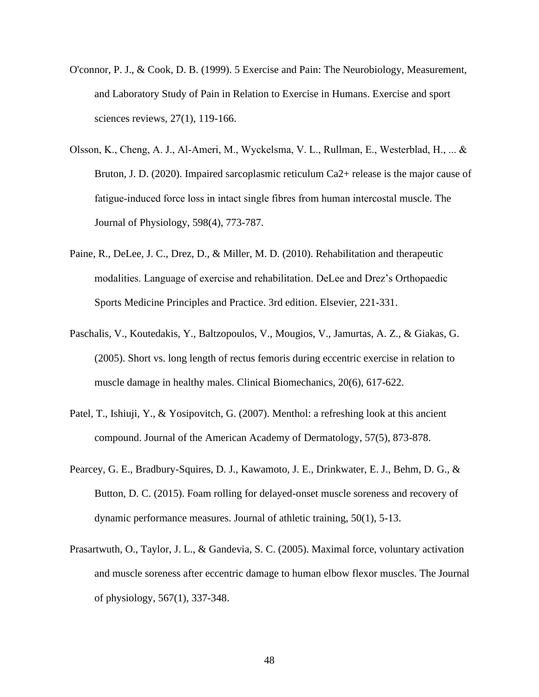- O'connor, P. J., & Cook, D. B. (1999). 5 Exercise and Pain: The Neurobiology, Measurement, and Laboratory Study of Pain in Relation to Exercise in Humans. Exercise and sport sciences reviews, 27(1), 119-166.
- Olsson, K., Cheng, A. J., Al‐Ameri, M., Wyckelsma, V. L., Rullman, E., Westerblad, H., ... & Bruton, J. D. (2020). Impaired sarcoplasmic reticulum Ca2+ release is the major cause of fatigue‐induced force loss in intact single fibres from human intercostal muscle. The Journal of Physiology, 598(4), 773-787.
- Paine, R., DeLee, J. C., Drez, D., & Miller, M. D. (2010). Rehabilitation and therapeutic modalities. Language of exercise and rehabilitation. DeLee and Drez's Orthopaedic Sports Medicine Principles and Practice. 3rd edition. Elsevier, 221-331.
- Paschalis, V., Koutedakis, Y., Baltzopoulos, V., Mougios, V., Jamurtas, A. Z., & Giakas, G. (2005). Short vs. long length of rectus femoris during eccentric exercise in relation to muscle damage in healthy males. Clinical Biomechanics, 20(6), 617-622.
- Patel, T., Ishiuji, Y., & Yosipovitch, G. (2007). Menthol: a refreshing look at this ancient compound. Journal of the American Academy of Dermatology, 57(5), 873-878.
- Pearcey, G. E., Bradbury-Squires, D. J., Kawamoto, J. E., Drinkwater, E. J., Behm, D. G., & Button, D. C. (2015). Foam rolling for delayed-onset muscle soreness and recovery of dynamic performance measures. Journal of athletic training, 50(1), 5-13.
- Prasartwuth, O., Taylor, J. L., & Gandevia, S. C. (2005). Maximal force, voluntary activation and muscle soreness after eccentric damage to human elbow flexor muscles. The Journal of physiology, 567(1), 337-348.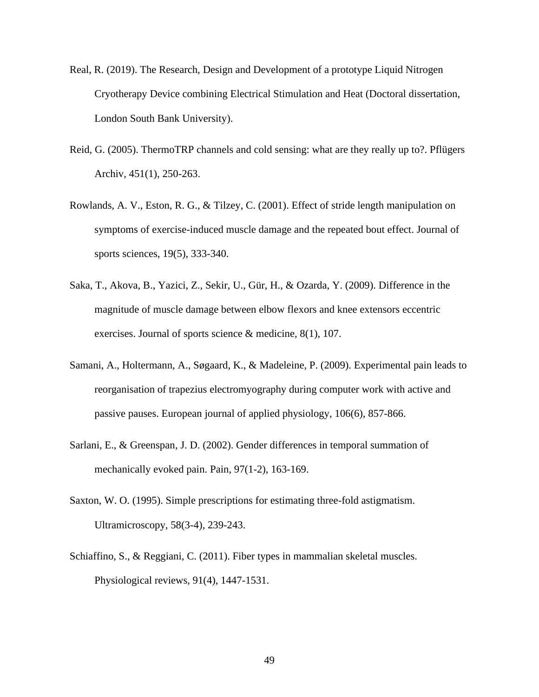- Real, R. (2019). The Research, Design and Development of a prototype Liquid Nitrogen Cryotherapy Device combining Electrical Stimulation and Heat (Doctoral dissertation, London South Bank University).
- Reid, G. (2005). ThermoTRP channels and cold sensing: what are they really up to?. Pflügers Archiv, 451(1), 250-263.
- Rowlands, A. V., Eston, R. G., & Tilzey, C. (2001). Effect of stride length manipulation on symptoms of exercise-induced muscle damage and the repeated bout effect. Journal of sports sciences, 19(5), 333-340.
- Saka, T., Akova, B., Yazici, Z., Sekir, U., Gür, H., & Ozarda, Y. (2009). Difference in the magnitude of muscle damage between elbow flexors and knee extensors eccentric exercises. Journal of sports science & medicine, 8(1), 107.
- Samani, A., Holtermann, A., Søgaard, K., & Madeleine, P. (2009). Experimental pain leads to reorganisation of trapezius electromyography during computer work with active and passive pauses. European journal of applied physiology, 106(6), 857-866.
- Sarlani, E., & Greenspan, J. D. (2002). Gender differences in temporal summation of mechanically evoked pain. Pain, 97(1-2), 163-169.
- Saxton, W. O. (1995). Simple prescriptions for estimating three-fold astigmatism. Ultramicroscopy, 58(3-4), 239-243.
- Schiaffino, S., & Reggiani, C. (2011). Fiber types in mammalian skeletal muscles. Physiological reviews, 91(4), 1447-1531.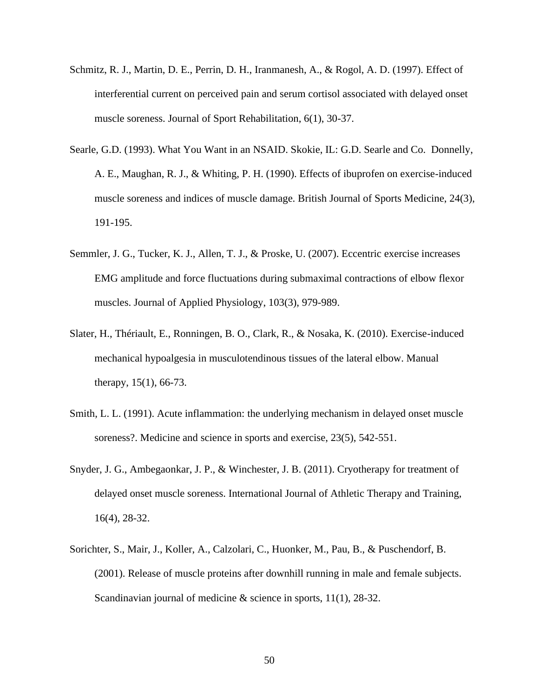- Schmitz, R. J., Martin, D. E., Perrin, D. H., Iranmanesh, A., & Rogol, A. D. (1997). Effect of interferential current on perceived pain and serum cortisol associated with delayed onset muscle soreness. Journal of Sport Rehabilitation, 6(1), 30-37.
- Searle, G.D. (1993). What You Want in an NSAID. Skokie, IL: G.D. Searle and Co. Donnelly, A. E., Maughan, R. J., & Whiting, P. H. (1990). Effects of ibuprofen on exercise-induced muscle soreness and indices of muscle damage. British Journal of Sports Medicine, 24(3), 191-195.
- Semmler, J. G., Tucker, K. J., Allen, T. J., & Proske, U. (2007). Eccentric exercise increases EMG amplitude and force fluctuations during submaximal contractions of elbow flexor muscles. Journal of Applied Physiology, 103(3), 979-989.
- Slater, H., Thériault, E., Ronningen, B. O., Clark, R., & Nosaka, K. (2010). Exercise-induced mechanical hypoalgesia in musculotendinous tissues of the lateral elbow. Manual therapy, 15(1), 66-73.
- Smith, L. L. (1991). Acute inflammation: the underlying mechanism in delayed onset muscle soreness?. Medicine and science in sports and exercise, 23(5), 542-551.
- Snyder, J. G., Ambegaonkar, J. P., & Winchester, J. B. (2011). Cryotherapy for treatment of delayed onset muscle soreness. International Journal of Athletic Therapy and Training, 16(4), 28-32.
- Sorichter, S., Mair, J., Koller, A., Calzolari, C., Huonker, M., Pau, B., & Puschendorf, B. (2001). Release of muscle proteins after downhill running in male and female subjects. Scandinavian journal of medicine & science in sports,  $11(1)$ , 28-32.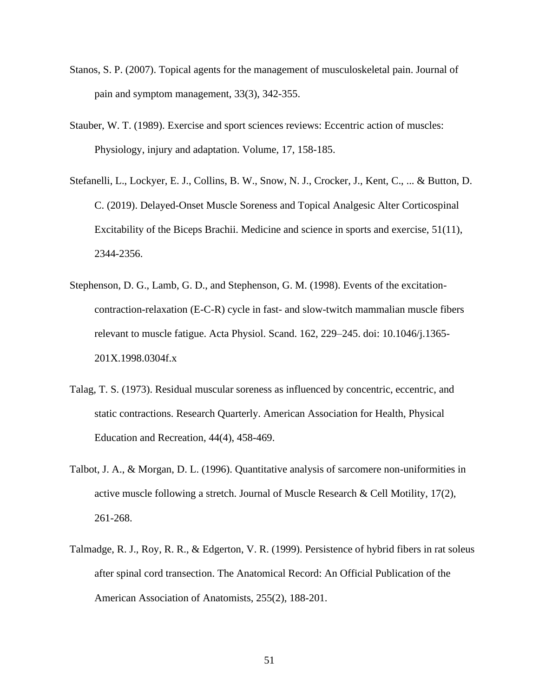- Stanos, S. P. (2007). Topical agents for the management of musculoskeletal pain. Journal of pain and symptom management, 33(3), 342-355.
- Stauber, W. T. (1989). Exercise and sport sciences reviews: Eccentric action of muscles: Physiology, injury and adaptation. Volume, 17, 158-185.
- Stefanelli, L., Lockyer, E. J., Collins, B. W., Snow, N. J., Crocker, J., Kent, C., ... & Button, D. C. (2019). Delayed-Onset Muscle Soreness and Topical Analgesic Alter Corticospinal Excitability of the Biceps Brachii. Medicine and science in sports and exercise, 51(11), 2344-2356.
- Stephenson, D. G., Lamb, G. D., and Stephenson, G. M. (1998). Events of the excitationcontraction-relaxation (E-C-R) cycle in fast- and slow-twitch mammalian muscle fibers relevant to muscle fatigue. Acta Physiol. Scand. 162, 229–245. doi: 10.1046/j.1365- 201X.1998.0304f.x
- Talag, T. S. (1973). Residual muscular soreness as influenced by concentric, eccentric, and static contractions. Research Quarterly. American Association for Health, Physical Education and Recreation, 44(4), 458-469.
- Talbot, J. A., & Morgan, D. L. (1996). Quantitative analysis of sarcomere non-uniformities in active muscle following a stretch. Journal of Muscle Research & Cell Motility, 17(2), 261-268.
- Talmadge, R. J., Roy, R. R., & Edgerton, V. R. (1999). Persistence of hybrid fibers in rat soleus after spinal cord transection. The Anatomical Record: An Official Publication of the American Association of Anatomists, 255(2), 188-201.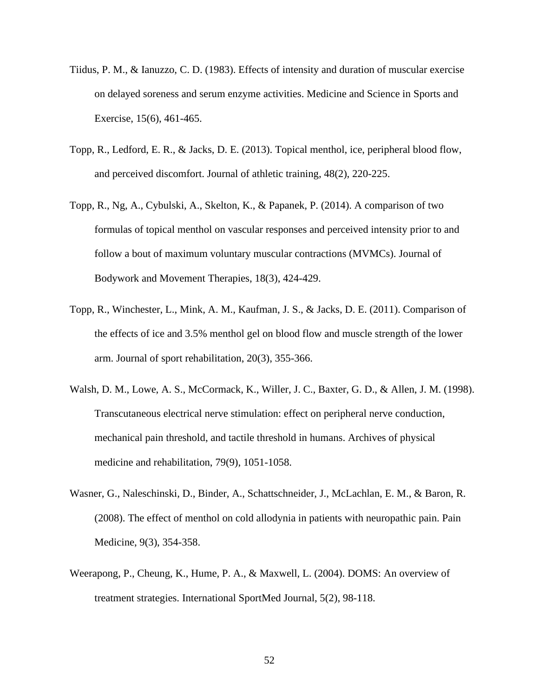- Tiidus, P. M., & Ianuzzo, C. D. (1983). Effects of intensity and duration of muscular exercise on delayed soreness and serum enzyme activities. Medicine and Science in Sports and Exercise, 15(6), 461-465.
- Topp, R., Ledford, E. R., & Jacks, D. E. (2013). Topical menthol, ice, peripheral blood flow, and perceived discomfort. Journal of athletic training, 48(2), 220-225.
- Topp, R., Ng, A., Cybulski, A., Skelton, K., & Papanek, P. (2014). A comparison of two formulas of topical menthol on vascular responses and perceived intensity prior to and follow a bout of maximum voluntary muscular contractions (MVMCs). Journal of Bodywork and Movement Therapies, 18(3), 424-429.
- Topp, R., Winchester, L., Mink, A. M., Kaufman, J. S., & Jacks, D. E. (2011). Comparison of the effects of ice and 3.5% menthol gel on blood flow and muscle strength of the lower arm. Journal of sport rehabilitation, 20(3), 355-366.
- Walsh, D. M., Lowe, A. S., McCormack, K., Willer, J. C., Baxter, G. D., & Allen, J. M. (1998). Transcutaneous electrical nerve stimulation: effect on peripheral nerve conduction, mechanical pain threshold, and tactile threshold in humans. Archives of physical medicine and rehabilitation, 79(9), 1051-1058.
- Wasner, G., Naleschinski, D., Binder, A., Schattschneider, J., McLachlan, E. M., & Baron, R. (2008). The effect of menthol on cold allodynia in patients with neuropathic pain. Pain Medicine, 9(3), 354-358.
- Weerapong, P., Cheung, K., Hume, P. A., & Maxwell, L. (2004). DOMS: An overview of treatment strategies. International SportMed Journal, 5(2), 98-118.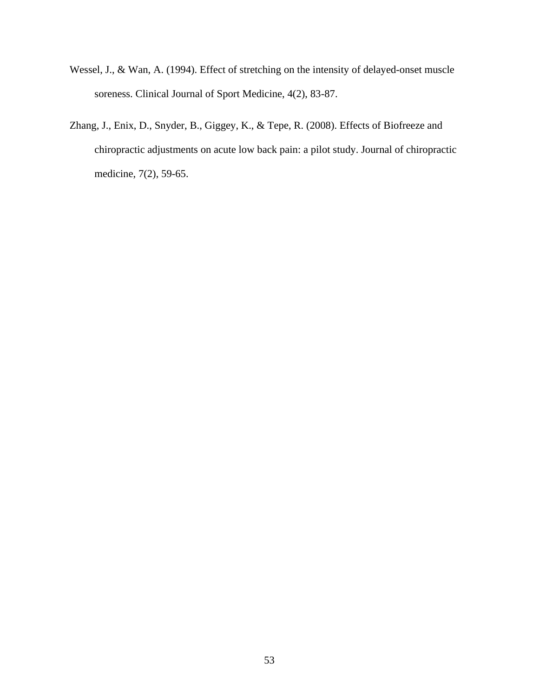- Wessel, J., & Wan, A. (1994). Effect of stretching on the intensity of delayed-onset muscle soreness. Clinical Journal of Sport Medicine, 4(2), 83-87.
- Zhang, J., Enix, D., Snyder, B., Giggey, K., & Tepe, R. (2008). Effects of Biofreeze and chiropractic adjustments on acute low back pain: a pilot study. Journal of chiropractic medicine, 7(2), 59-65.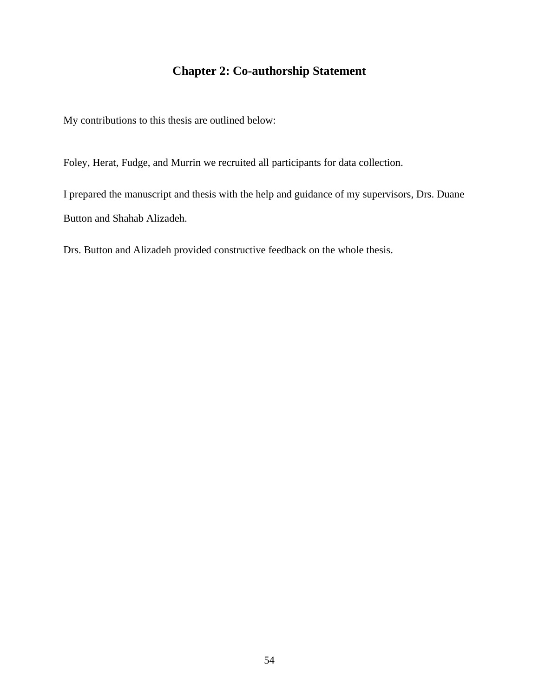# **Chapter 2: Co-authorship Statement**

My contributions to this thesis are outlined below:

Foley, Herat, Fudge, and Murrin we recruited all participants for data collection.

I prepared the manuscript and thesis with the help and guidance of my supervisors, Drs. Duane Button and Shahab Alizadeh.

Drs. Button and Alizadeh provided constructive feedback on the whole thesis.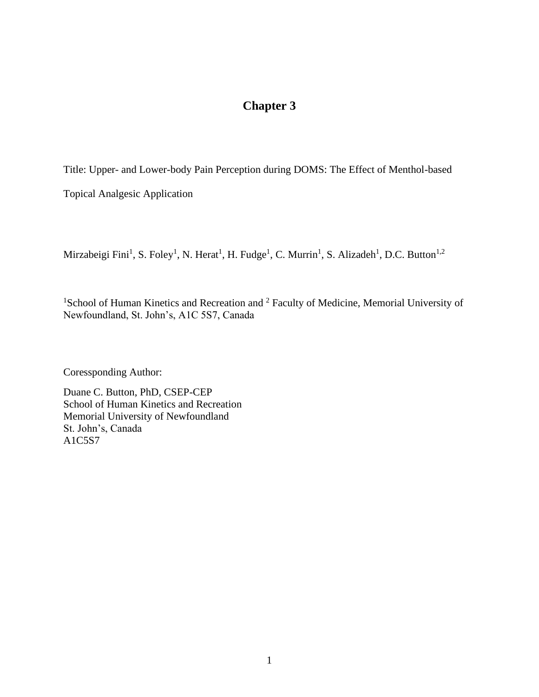# **Chapter 3**

Title: Upper- and Lower-body Pain Perception during DOMS: The Effect of Menthol-based

Topical Analgesic Application

Mirzabeigi Fini<sup>1</sup>, S. Foley<sup>1</sup>, N. Herat<sup>1</sup>, H. Fudge<sup>1</sup>, C. Murrin<sup>1</sup>, S. Alizadeh<sup>1</sup>, D.C. Button<sup>1,2</sup>

<sup>1</sup>School of Human Kinetics and Recreation and <sup>2</sup> Faculty of Medicine, Memorial University of Newfoundland, St. John's, A1C 5S7, Canada

Coressponding Author:

Duane C. Button, PhD, CSEP-CEP School of Human Kinetics and Recreation Memorial University of Newfoundland St. John's, Canada A1C5S7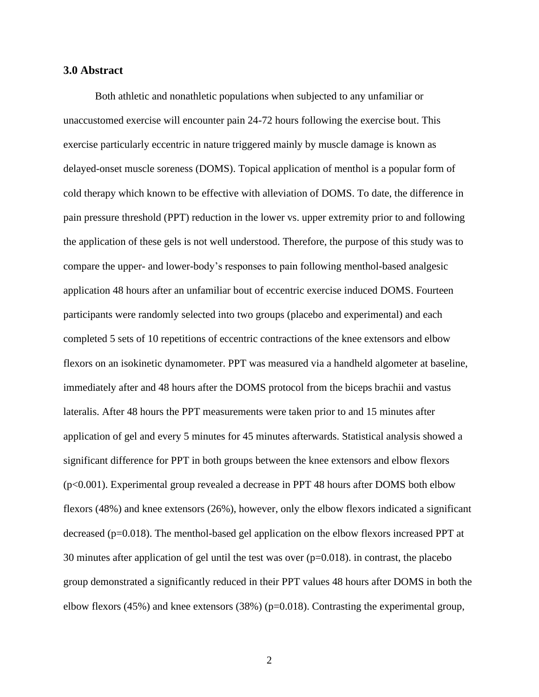### **3.0 Abstract**

Both athletic and nonathletic populations when subjected to any unfamiliar or unaccustomed exercise will encounter pain 24-72 hours following the exercise bout. This exercise particularly eccentric in nature triggered mainly by muscle damage is known as delayed-onset muscle soreness (DOMS). Topical application of menthol is a popular form of cold therapy which known to be effective with alleviation of DOMS. To date, the difference in pain pressure threshold (PPT) reduction in the lower vs. upper extremity prior to and following the application of these gels is not well understood. Therefore, the purpose of this study was to compare the upper- and lower-body's responses to pain following menthol-based analgesic application 48 hours after an unfamiliar bout of eccentric exercise induced DOMS. Fourteen participants were randomly selected into two groups (placebo and experimental) and each completed 5 sets of 10 repetitions of eccentric contractions of the knee extensors and elbow flexors on an isokinetic dynamometer. PPT was measured via a handheld algometer at baseline, immediately after and 48 hours after the DOMS protocol from the biceps brachii and vastus lateralis. After 48 hours the PPT measurements were taken prior to and 15 minutes after application of gel and every 5 minutes for 45 minutes afterwards. Statistical analysis showed a significant difference for PPT in both groups between the knee extensors and elbow flexors (p<0.001). Experimental group revealed a decrease in PPT 48 hours after DOMS both elbow flexors (48%) and knee extensors (26%), however, only the elbow flexors indicated a significant decreased (p=0.018). The menthol-based gel application on the elbow flexors increased PPT at 30 minutes after application of gel until the test was over (p=0.018). in contrast, the placebo group demonstrated a significantly reduced in their PPT values 48 hours after DOMS in both the elbow flexors (45%) and knee extensors (38%) (p=0.018). Contrasting the experimental group,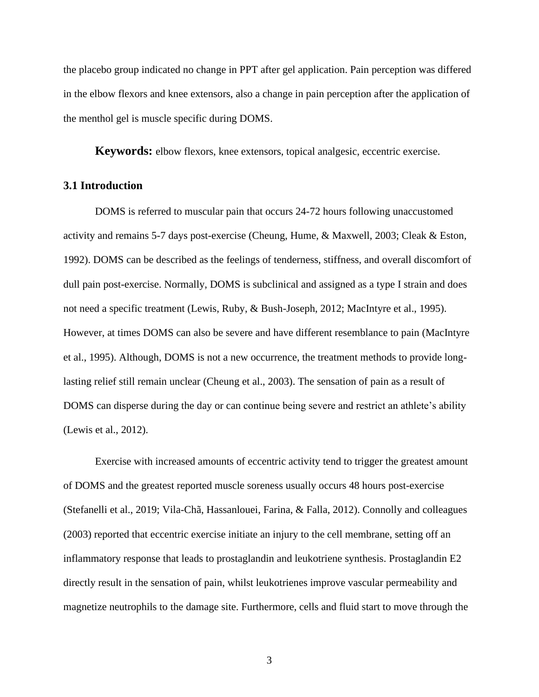the placebo group indicated no change in PPT after gel application. Pain perception was differed in the elbow flexors and knee extensors, also a change in pain perception after the application of the menthol gel is muscle specific during DOMS.

**Keywords:** elbow flexors, knee extensors, topical analgesic, eccentric exercise.

## **3.1 Introduction**

DOMS is referred to muscular pain that occurs 24-72 hours following unaccustomed activity and remains 5-7 days post-exercise (Cheung, Hume, & Maxwell, 2003; Cleak & Eston, 1992). DOMS can be described as the feelings of tenderness, stiffness, and overall discomfort of dull pain post-exercise. Normally, DOMS is subclinical and assigned as a type I strain and does not need a specific treatment (Lewis, Ruby, & Bush-Joseph, 2012; MacIntyre et al., 1995). However, at times DOMS can also be severe and have different resemblance to pain (MacIntyre et al., 1995). Although, DOMS is not a new occurrence, the treatment methods to provide longlasting relief still remain unclear (Cheung et al., 2003). The sensation of pain as a result of DOMS can disperse during the day or can continue being severe and restrict an athlete's ability (Lewis et al., 2012).

Exercise with increased amounts of eccentric activity tend to trigger the greatest amount of DOMS and the greatest reported muscle soreness usually occurs 48 hours post-exercise (Stefanelli et al., 2019; Vila-Chã, Hassanlouei, Farina, & Falla, 2012). Connolly and colleagues (2003) reported that eccentric exercise initiate an injury to the cell membrane, setting off an inflammatory response that leads to prostaglandin and leukotriene synthesis. Prostaglandin E2 directly result in the sensation of pain, whilst leukotrienes improve vascular permeability and magnetize neutrophils to the damage site. Furthermore, cells and fluid start to move through the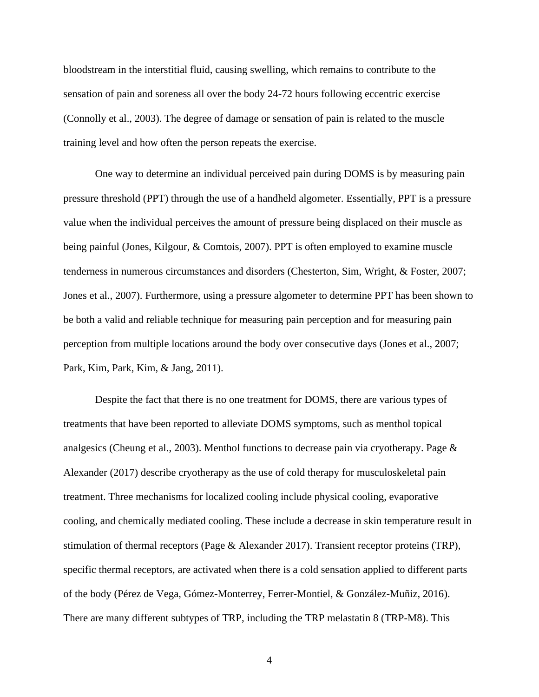bloodstream in the interstitial fluid, causing swelling, which remains to contribute to the sensation of pain and soreness all over the body 24-72 hours following eccentric exercise (Connolly et al., 2003). The degree of damage or sensation of pain is related to the muscle training level and how often the person repeats the exercise.

One way to determine an individual perceived pain during DOMS is by measuring pain pressure threshold (PPT) through the use of a handheld algometer. Essentially, PPT is a pressure value when the individual perceives the amount of pressure being displaced on their muscle as being painful (Jones, Kilgour, & Comtois, 2007). PPT is often employed to examine muscle tenderness in numerous circumstances and disorders (Chesterton, Sim, Wright, & Foster, 2007; Jones et al., 2007). Furthermore, using a pressure algometer to determine PPT has been shown to be both a valid and reliable technique for measuring pain perception and for measuring pain perception from multiple locations around the body over consecutive days (Jones et al., 2007; Park, Kim, Park, Kim, & Jang, 2011).

Despite the fact that there is no one treatment for DOMS, there are various types of treatments that have been reported to alleviate DOMS symptoms, such as menthol topical analgesics (Cheung et al., 2003). Menthol functions to decrease pain via cryotherapy. Page & Alexander (2017) describe cryotherapy as the use of cold therapy for musculoskeletal pain treatment. Three mechanisms for localized cooling include physical cooling, evaporative cooling, and chemically mediated cooling. These include a decrease in skin temperature result in stimulation of thermal receptors (Page & Alexander 2017). Transient receptor proteins (TRP), specific thermal receptors, are activated when there is a cold sensation applied to different parts of the body (Pérez de Vega, Gómez-Monterrey, Ferrer-Montiel, & González-Muñiz, 2016). There are many different subtypes of TRP, including the TRP melastatin 8 (TRP-M8). This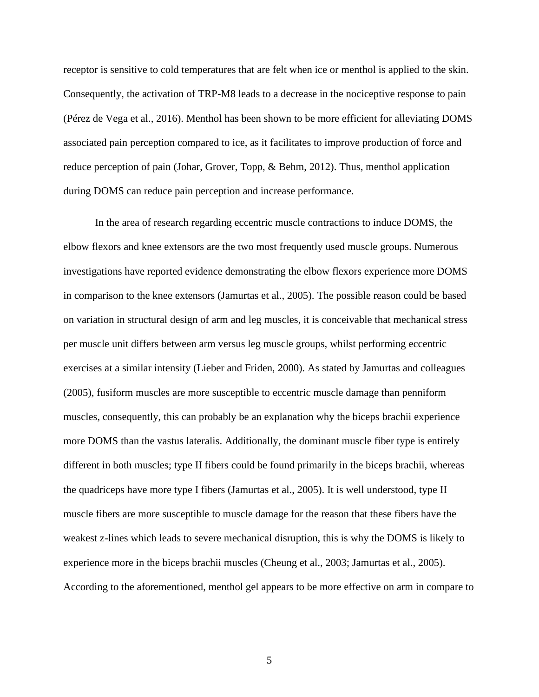receptor is sensitive to cold temperatures that are felt when ice or menthol is applied to the skin. Consequently, the activation of TRP-M8 leads to a decrease in the nociceptive response to pain (Pérez de Vega et al., 2016). Menthol has been shown to be more efficient for alleviating DOMS associated pain perception compared to ice, as it facilitates to improve production of force and reduce perception of pain (Johar, Grover, Topp, & Behm, 2012). Thus, menthol application during DOMS can reduce pain perception and increase performance.

In the area of research regarding eccentric muscle contractions to induce DOMS, the elbow flexors and knee extensors are the two most frequently used muscle groups. Numerous investigations have reported evidence demonstrating the elbow flexors experience more DOMS in comparison to the knee extensors (Jamurtas et al., 2005). The possible reason could be based on variation in structural design of arm and leg muscles, it is conceivable that mechanical stress per muscle unit differs between arm versus leg muscle groups, whilst performing eccentric exercises at a similar intensity (Lieber and Friden, 2000). As stated by Jamurtas and colleagues (2005), fusiform muscles are more susceptible to eccentric muscle damage than penniform muscles, consequently, this can probably be an explanation why the biceps brachii experience more DOMS than the vastus lateralis. Additionally, the dominant muscle fiber type is entirely different in both muscles; type II fibers could be found primarily in the biceps brachii, whereas the quadriceps have more type I fibers (Jamurtas et al., 2005). It is well understood, type II muscle fibers are more susceptible to muscle damage for the reason that these fibers have the weakest z-lines which leads to severe mechanical disruption, this is why the DOMS is likely to experience more in the biceps brachii muscles (Cheung et al., 2003; Jamurtas et al., 2005). According to the aforementioned, menthol gel appears to be more effective on arm in compare to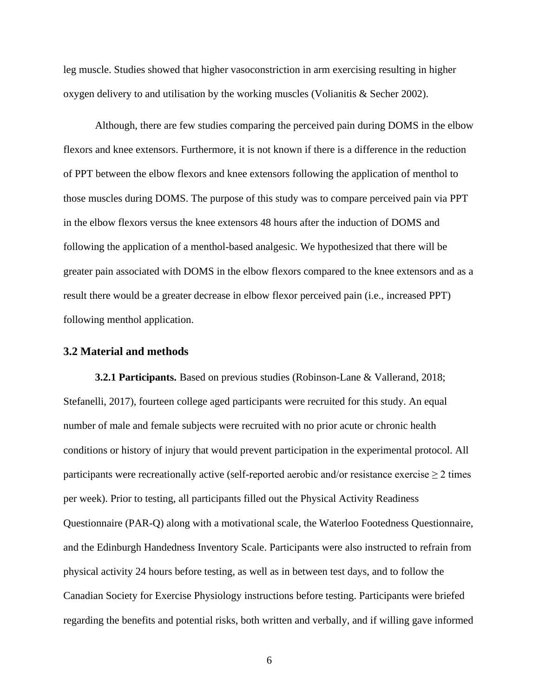leg muscle. Studies showed that higher vasoconstriction in arm exercising resulting in higher oxygen delivery to and utilisation by the working muscles (Volianitis & Secher 2002).

Although, there are few studies comparing the perceived pain during DOMS in the elbow flexors and knee extensors. Furthermore, it is not known if there is a difference in the reduction of PPT between the elbow flexors and knee extensors following the application of menthol to those muscles during DOMS. The purpose of this study was to compare perceived pain via PPT in the elbow flexors versus the knee extensors 48 hours after the induction of DOMS and following the application of a menthol-based analgesic. We hypothesized that there will be greater pain associated with DOMS in the elbow flexors compared to the knee extensors and as a result there would be a greater decrease in elbow flexor perceived pain (i.e., increased PPT) following menthol application.

#### **3.2 Material and methods**

**3.2.1 Participants.** Based on previous studies (Robinson-Lane & Vallerand, 2018; Stefanelli, 2017), fourteen college aged participants were recruited for this study. An equal number of male and female subjects were recruited with no prior acute or chronic health conditions or history of injury that would prevent participation in the experimental protocol. All participants were recreationally active (self-reported aerobic and/or resistance exercise  $\geq 2$  times per week). Prior to testing, all participants filled out the Physical Activity Readiness Questionnaire (PAR-Q) along with a motivational scale, the Waterloo Footedness Questionnaire, and the Edinburgh Handedness Inventory Scale. Participants were also instructed to refrain from physical activity 24 hours before testing, as well as in between test days, and to follow the Canadian Society for Exercise Physiology instructions before testing. Participants were briefed regarding the benefits and potential risks, both written and verbally, and if willing gave informed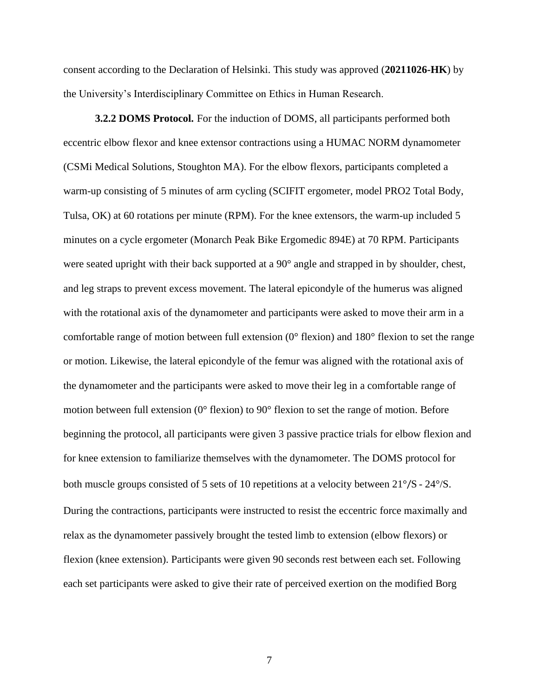consent according to the Declaration of Helsinki. This study was approved (**20211026-HK**) by the University's Interdisciplinary Committee on Ethics in Human Research.

**3.2.2 DOMS Protocol.** For the induction of DOMS, all participants performed both eccentric elbow flexor and knee extensor contractions using a HUMAC NORM dynamometer (CSMi Medical Solutions, Stoughton MA). For the elbow flexors, participants completed a warm-up consisting of 5 minutes of arm cycling (SCIFIT ergometer, model PRO2 Total Body, Tulsa, OK) at 60 rotations per minute (RPM). For the knee extensors, the warm-up included 5 minutes on a cycle ergometer (Monarch Peak Bike Ergomedic 894E) at 70 RPM. Participants were seated upright with their back supported at a 90° angle and strapped in by shoulder, chest, and leg straps to prevent excess movement. The lateral epicondyle of the humerus was aligned with the rotational axis of the dynamometer and participants were asked to move their arm in a comfortable range of motion between full extension (0° flexion) and 180° flexion to set the range or motion. Likewise, the lateral epicondyle of the femur was aligned with the rotational axis of the dynamometer and the participants were asked to move their leg in a comfortable range of motion between full extension (0° flexion) to 90° flexion to set the range of motion. Before beginning the protocol, all participants were given 3 passive practice trials for elbow flexion and for knee extension to familiarize themselves with the dynamometer. The DOMS protocol for both muscle groups consisted of 5 sets of 10 repetitions at a velocity between 21°/S - 24°/S. During the contractions, participants were instructed to resist the eccentric force maximally and relax as the dynamometer passively brought the tested limb to extension (elbow flexors) or flexion (knee extension). Participants were given 90 seconds rest between each set. Following each set participants were asked to give their rate of perceived exertion on the modified Borg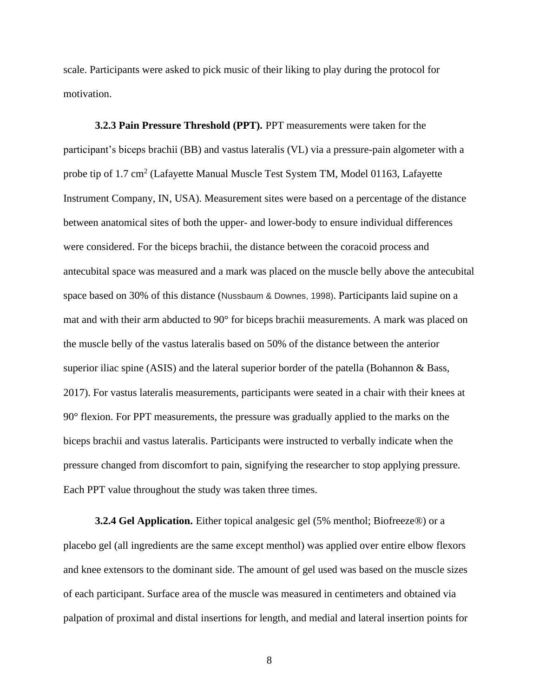scale. Participants were asked to pick music of their liking to play during the protocol for motivation.

**3.2.3 Pain Pressure Threshold (PPT).** PPT measurements were taken for the participant's biceps brachii (BB) and vastus lateralis (VL) via a pressure-pain algometer with a probe tip of 1.7 cm<sup>2</sup> (Lafayette Manual Muscle Test System TM, Model 01163, Lafayette Instrument Company, IN, USA). Measurement sites were based on a percentage of the distance between anatomical sites of both the upper- and lower-body to ensure individual differences were considered. For the biceps brachii, the distance between the coracoid process and antecubital space was measured and a mark was placed on the muscle belly above the antecubital space based on 30% of this distance (Nussbaum & Downes, 1998). Participants laid supine on a mat and with their arm abducted to 90° for biceps brachii measurements. A mark was placed on the muscle belly of the vastus lateralis based on 50% of the distance between the anterior superior iliac spine (ASIS) and the lateral superior border of the patella (Bohannon & Bass, 2017). For vastus lateralis measurements, participants were seated in a chair with their knees at 90° flexion. For PPT measurements, the pressure was gradually applied to the marks on the biceps brachii and vastus lateralis. Participants were instructed to verbally indicate when the pressure changed from discomfort to pain, signifying the researcher to stop applying pressure. Each PPT value throughout the study was taken three times.

**3.2.4 Gel Application.** Either topical analgesic gel (5% menthol; Biofreeze®) or a placebo gel (all ingredients are the same except menthol) was applied over entire elbow flexors and knee extensors to the dominant side. The amount of gel used was based on the muscle sizes of each participant. Surface area of the muscle was measured in centimeters and obtained via palpation of proximal and distal insertions for length, and medial and lateral insertion points for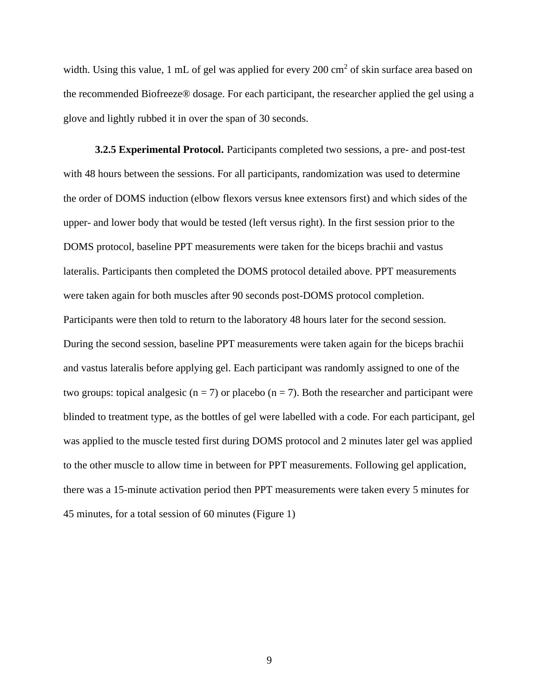width. Using this value, 1 mL of gel was applied for every  $200 \text{ cm}^2$  of skin surface area based on the recommended Biofreeze® dosage. For each participant, the researcher applied the gel using a glove and lightly rubbed it in over the span of 30 seconds.

**3.2.5 Experimental Protocol.** Participants completed two sessions, a pre- and post-test with 48 hours between the sessions. For all participants, randomization was used to determine the order of DOMS induction (elbow flexors versus knee extensors first) and which sides of the upper- and lower body that would be tested (left versus right). In the first session prior to the DOMS protocol, baseline PPT measurements were taken for the biceps brachii and vastus lateralis. Participants then completed the DOMS protocol detailed above. PPT measurements were taken again for both muscles after 90 seconds post-DOMS protocol completion. Participants were then told to return to the laboratory 48 hours later for the second session. During the second session, baseline PPT measurements were taken again for the biceps brachii and vastus lateralis before applying gel. Each participant was randomly assigned to one of the two groups: topical analgesic ( $n = 7$ ) or placebo ( $n = 7$ ). Both the researcher and participant were blinded to treatment type, as the bottles of gel were labelled with a code. For each participant, gel was applied to the muscle tested first during DOMS protocol and 2 minutes later gel was applied to the other muscle to allow time in between for PPT measurements. Following gel application, there was a 15-minute activation period then PPT measurements were taken every 5 minutes for 45 minutes, for a total session of 60 minutes (Figure 1)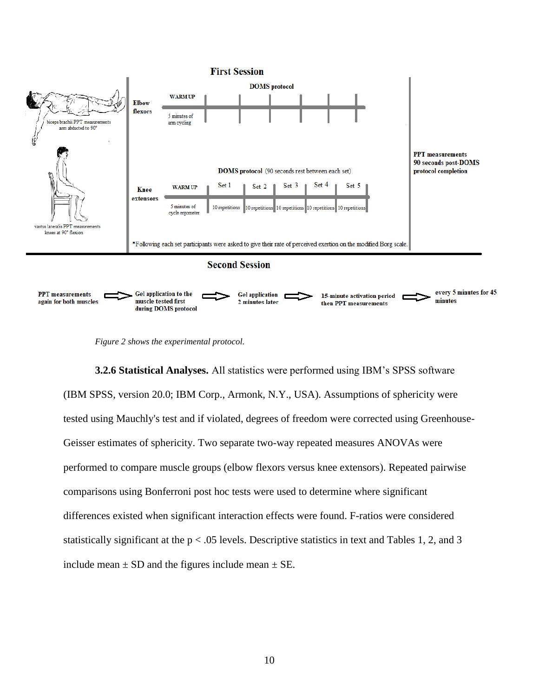

*Figure 2 shows the experimental protocol.* 

**3.2.6 Statistical Analyses.** All statistics were performed using IBM's SPSS software (IBM SPSS, version 20.0; IBM Corp., Armonk, N.Y., USA). Assumptions of sphericity were tested using Mauchly's test and if violated, degrees of freedom were corrected using Greenhouse-Geisser estimates of sphericity. Two separate two-way repeated measures ANOVAs were performed to compare muscle groups (elbow flexors versus knee extensors). Repeated pairwise comparisons using Bonferroni post hoc tests were used to determine where significant differences existed when significant interaction effects were found. F-ratios were considered statistically significant at the  $p < .05$  levels. Descriptive statistics in text and Tables 1, 2, and 3 include mean  $\pm$  SD and the figures include mean  $\pm$  SE.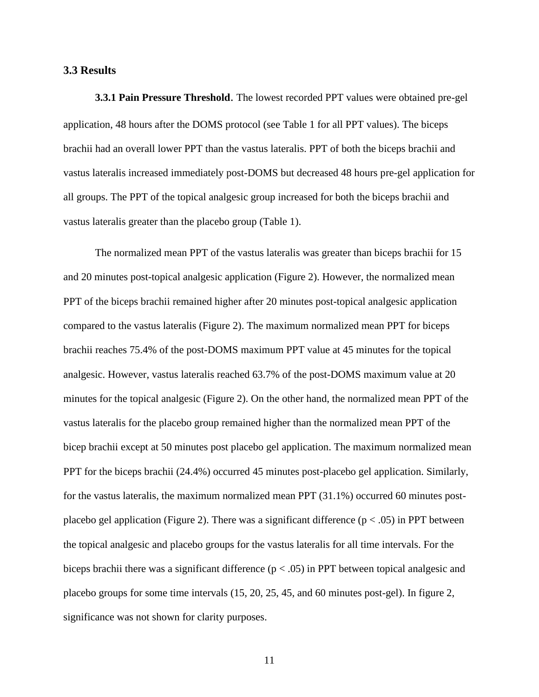#### **3.3 Results**

**3.3.1 Pain Pressure Threshold**. The lowest recorded PPT values were obtained pre-gel application, 48 hours after the DOMS protocol (see Table 1 for all PPT values). The biceps brachii had an overall lower PPT than the vastus lateralis. PPT of both the biceps brachii and vastus lateralis increased immediately post-DOMS but decreased 48 hours pre-gel application for all groups. The PPT of the topical analgesic group increased for both the biceps brachii and vastus lateralis greater than the placebo group (Table 1).

The normalized mean PPT of the vastus lateralis was greater than biceps brachii for 15 and 20 minutes post-topical analgesic application (Figure 2). However, the normalized mean PPT of the biceps brachii remained higher after 20 minutes post-topical analgesic application compared to the vastus lateralis (Figure 2). The maximum normalized mean PPT for biceps brachii reaches 75.4% of the post-DOMS maximum PPT value at 45 minutes for the topical analgesic. However, vastus lateralis reached 63.7% of the post-DOMS maximum value at 20 minutes for the topical analgesic (Figure 2). On the other hand, the normalized mean PPT of the vastus lateralis for the placebo group remained higher than the normalized mean PPT of the bicep brachii except at 50 minutes post placebo gel application. The maximum normalized mean PPT for the biceps brachii (24.4%) occurred 45 minutes post-placebo gel application. Similarly, for the vastus lateralis, the maximum normalized mean PPT (31.1%) occurred 60 minutes postplacebo gel application (Figure 2). There was a significant difference ( $p < .05$ ) in PPT between the topical analgesic and placebo groups for the vastus lateralis for all time intervals. For the biceps brachii there was a significant difference (p < .05) in PPT between topical analgesic and placebo groups for some time intervals (15, 20, 25, 45, and 60 minutes post-gel). In figure 2, significance was not shown for clarity purposes.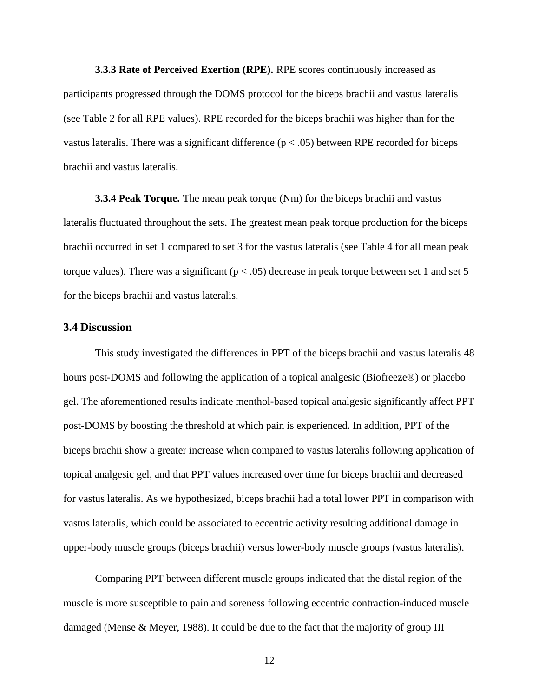**3.3.3 Rate of Perceived Exertion (RPE).** RPE scores continuously increased as participants progressed through the DOMS protocol for the biceps brachii and vastus lateralis (see Table 2 for all RPE values). RPE recorded for the biceps brachii was higher than for the vastus lateralis. There was a significant difference ( $p < .05$ ) between RPE recorded for biceps brachii and vastus lateralis.

**3.3.4 Peak Torque.** The mean peak torque (Nm) for the biceps brachii and vastus lateralis fluctuated throughout the sets. The greatest mean peak torque production for the biceps brachii occurred in set 1 compared to set 3 for the vastus lateralis (see Table 4 for all mean peak torque values). There was a significant ( $p < .05$ ) decrease in peak torque between set 1 and set 5 for the biceps brachii and vastus lateralis.

#### **3.4 Discussion**

This study investigated the differences in PPT of the biceps brachii and vastus lateralis 48 hours post-DOMS and following the application of a topical analgesic (Biofreeze®) or placebo gel. The aforementioned results indicate menthol-based topical analgesic significantly affect PPT post-DOMS by boosting the threshold at which pain is experienced. In addition, PPT of the biceps brachii show a greater increase when compared to vastus lateralis following application of topical analgesic gel, and that PPT values increased over time for biceps brachii and decreased for vastus lateralis. As we hypothesized, biceps brachii had a total lower PPT in comparison with vastus lateralis, which could be associated to eccentric activity resulting additional damage in upper-body muscle groups (biceps brachii) versus lower-body muscle groups (vastus lateralis).

Comparing PPT between different muscle groups indicated that the distal region of the muscle is more susceptible to pain and soreness following eccentric contraction-induced muscle damaged (Mense & Meyer, 1988). It could be due to the fact that the majority of group III

12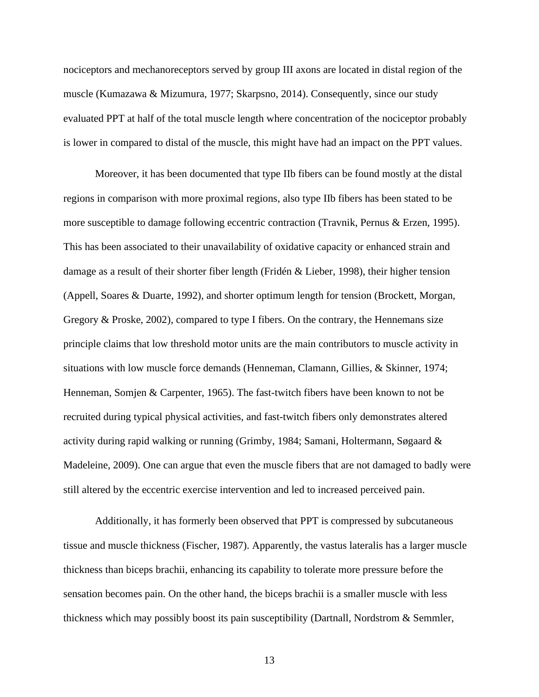nociceptors and mechanoreceptors served by group III axons are located in distal region of the muscle (Kumazawa & Mizumura, 1977; Skarpsno, 2014). Consequently, since our study evaluated PPT at half of the total muscle length where concentration of the nociceptor probably is lower in compared to distal of the muscle, this might have had an impact on the PPT values.

Moreover, it has been documented that type IIb fibers can be found mostly at the distal regions in comparison with more proximal regions, also type IIb fibers has been stated to be more susceptible to damage following eccentric contraction (Travnik, Pernus & Erzen, 1995). This has been associated to their unavailability of oxidative capacity or enhanced strain and damage as a result of their shorter fiber length (Fridén & Lieber, 1998), their higher tension (Appell, Soares & Duarte, 1992), and shorter optimum length for tension (Brockett, Morgan, Gregory & Proske, 2002), compared to type I fibers. On the contrary, the Hennemans size principle claims that low threshold motor units are the main contributors to muscle activity in situations with low muscle force demands (Henneman, Clamann, Gillies, & Skinner, 1974; Henneman, Somjen & Carpenter, 1965). The fast-twitch fibers have been known to not be recruited during typical physical activities, and fast-twitch fibers only demonstrates altered activity during rapid walking or running (Grimby, 1984; Samani, Holtermann, Søgaard & Madeleine, 2009). One can argue that even the muscle fibers that are not damaged to badly were still altered by the eccentric exercise intervention and led to increased perceived pain.

Additionally, it has formerly been observed that PPT is compressed by subcutaneous tissue and muscle thickness (Fischer, 1987). Apparently, the vastus lateralis has a larger muscle thickness than biceps brachii, enhancing its capability to tolerate more pressure before the sensation becomes pain. On the other hand, the biceps brachii is a smaller muscle with less thickness which may possibly boost its pain susceptibility (Dartnall, Nordstrom & Semmler,

13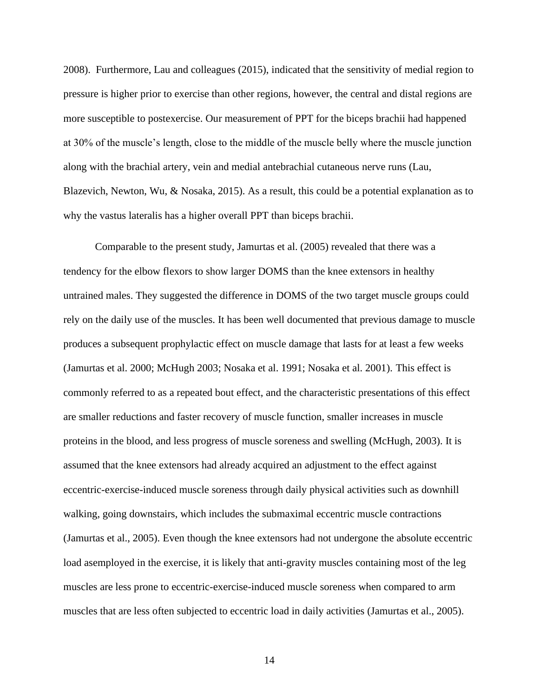2008). Furthermore, Lau and colleagues (2015), indicated that the sensitivity of medial region to pressure is higher prior to exercise than other regions, however, the central and distal regions are more susceptible to postexercise. Our measurement of PPT for the biceps brachii had happened at 30% of the muscle's length, close to the middle of the muscle belly where the muscle junction along with the brachial artery, vein and medial antebrachial cutaneous nerve runs (Lau, Blazevich, Newton, Wu, & Nosaka, 2015). As a result, this could be a potential explanation as to why the vastus lateralis has a higher overall PPT than biceps brachii.

Comparable to the present study, Jamurtas et al. (2005) revealed that there was a tendency for the elbow flexors to show larger DOMS than the knee extensors in healthy untrained males. They suggested the difference in DOMS of the two target muscle groups could rely on the daily use of the muscles. It has been well documented that previous damage to muscle produces a subsequent prophylactic effect on muscle damage that lasts for at least a few weeks (Jamurtas et al. 2000; McHugh 2003; Nosaka et al. 1991; Nosaka et al. 2001). This effect is commonly referred to as a repeated bout effect, and the characteristic presentations of this effect are smaller reductions and faster recovery of muscle function, smaller increases in muscle proteins in the blood, and less progress of muscle soreness and swelling (McHugh, 2003). It is assumed that the knee extensors had already acquired an adjustment to the effect against eccentric-exercise-induced muscle soreness through daily physical activities such as downhill walking, going downstairs, which includes the submaximal eccentric muscle contractions (Jamurtas et al., 2005). Even though the knee extensors had not undergone the absolute eccentric load asemployed in the exercise, it is likely that anti-gravity muscles containing most of the leg muscles are less prone to eccentric-exercise-induced muscle soreness when compared to arm muscles that are less often subjected to eccentric load in daily activities (Jamurtas et al., 2005).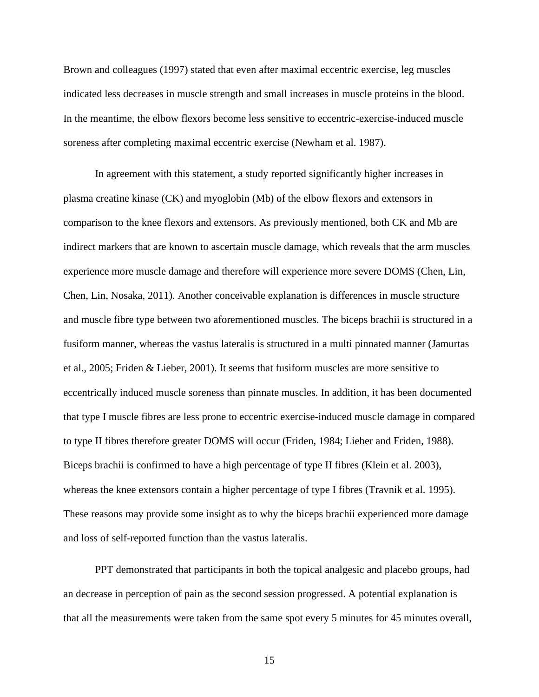Brown and colleagues (1997) stated that even after maximal eccentric exercise, leg muscles indicated less decreases in muscle strength and small increases in muscle proteins in the blood. In the meantime, the elbow flexors become less sensitive to eccentric-exercise-induced muscle soreness after completing maximal eccentric exercise (Newham et al. 1987).

In agreement with this statement, a study reported significantly higher increases in plasma creatine kinase (CK) and myoglobin (Mb) of the elbow flexors and extensors in comparison to the knee flexors and extensors. As previously mentioned, both CK and Mb are indirect markers that are known to ascertain muscle damage, which reveals that the arm muscles experience more muscle damage and therefore will experience more severe DOMS (Chen, Lin, Chen, Lin, Nosaka, 2011). Another conceivable explanation is differences in muscle structure and muscle fibre type between two aforementioned muscles. The biceps brachii is structured in a fusiform manner, whereas the vastus lateralis is structured in a multi pinnated manner (Jamurtas et al., 2005; Friden & Lieber, 2001). It seems that fusiform muscles are more sensitive to eccentrically induced muscle soreness than pinnate muscles. In addition, it has been documented that type I muscle fibres are less prone to eccentric exercise-induced muscle damage in compared to type II fibres therefore greater DOMS will occur (Friden, 1984; Lieber and Friden, 1988). Biceps brachii is confirmed to have a high percentage of type II fibres (Klein et al. 2003), whereas the knee extensors contain a higher percentage of type I fibres (Travnik et al. 1995). These reasons may provide some insight as to why the biceps brachii experienced more damage and loss of self-reported function than the vastus lateralis.

PPT demonstrated that participants in both the topical analgesic and placebo groups, had an decrease in perception of pain as the second session progressed. A potential explanation is that all the measurements were taken from the same spot every 5 minutes for 45 minutes overall,

15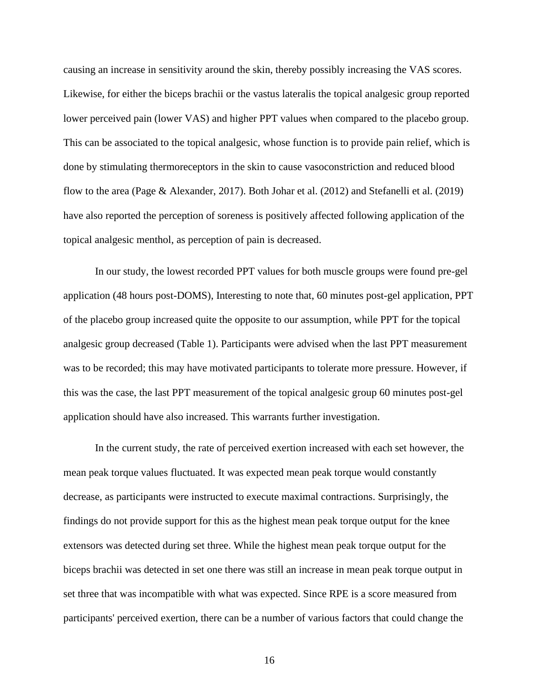causing an increase in sensitivity around the skin, thereby possibly increasing the VAS scores. Likewise, for either the biceps brachii or the vastus lateralis the topical analgesic group reported lower perceived pain (lower VAS) and higher PPT values when compared to the placebo group. This can be associated to the topical analgesic, whose function is to provide pain relief, which is done by stimulating thermoreceptors in the skin to cause vasoconstriction and reduced blood flow to the area (Page & Alexander, 2017). Both Johar et al. (2012) and Stefanelli et al. (2019) have also reported the perception of soreness is positively affected following application of the topical analgesic menthol, as perception of pain is decreased.

In our study, the lowest recorded PPT values for both muscle groups were found pre-gel application (48 hours post-DOMS), Interesting to note that, 60 minutes post-gel application, PPT of the placebo group increased quite the opposite to our assumption, while PPT for the topical analgesic group decreased (Table 1). Participants were advised when the last PPT measurement was to be recorded; this may have motivated participants to tolerate more pressure. However, if this was the case, the last PPT measurement of the topical analgesic group 60 minutes post-gel application should have also increased. This warrants further investigation.

In the current study, the rate of perceived exertion increased with each set however, the mean peak torque values fluctuated. It was expected mean peak torque would constantly decrease, as participants were instructed to execute maximal contractions. Surprisingly, the findings do not provide support for this as the highest mean peak torque output for the knee extensors was detected during set three. While the highest mean peak torque output for the biceps brachii was detected in set one there was still an increase in mean peak torque output in set three that was incompatible with what was expected. Since RPE is a score measured from participants' perceived exertion, there can be a number of various factors that could change the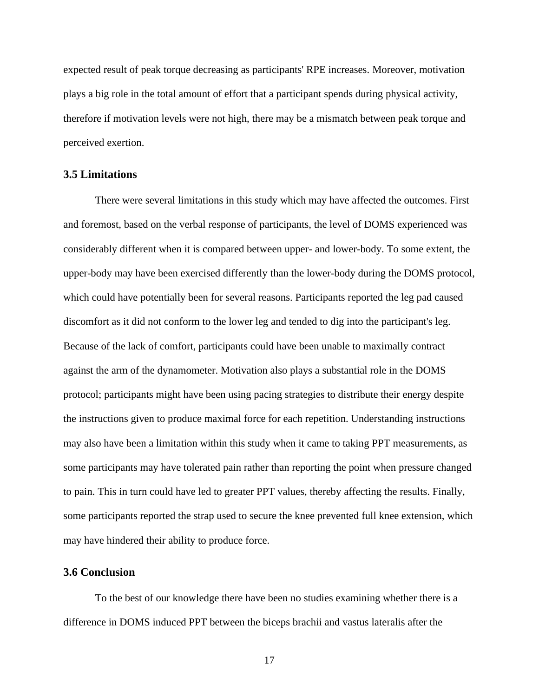expected result of peak torque decreasing as participants' RPE increases. Moreover, motivation plays a big role in the total amount of effort that a participant spends during physical activity, therefore if motivation levels were not high, there may be a mismatch between peak torque and perceived exertion.

#### **3.5 Limitations**

There were several limitations in this study which may have affected the outcomes. First and foremost, based on the verbal response of participants, the level of DOMS experienced was considerably different when it is compared between upper- and lower-body. To some extent, the upper-body may have been exercised differently than the lower-body during the DOMS protocol, which could have potentially been for several reasons. Participants reported the leg pad caused discomfort as it did not conform to the lower leg and tended to dig into the participant's leg. Because of the lack of comfort, participants could have been unable to maximally contract against the arm of the dynamometer. Motivation also plays a substantial role in the DOMS protocol; participants might have been using pacing strategies to distribute their energy despite the instructions given to produce maximal force for each repetition. Understanding instructions may also have been a limitation within this study when it came to taking PPT measurements, as some participants may have tolerated pain rather than reporting the point when pressure changed to pain. This in turn could have led to greater PPT values, thereby affecting the results. Finally, some participants reported the strap used to secure the knee prevented full knee extension, which may have hindered their ability to produce force.

#### **3.6 Conclusion**

To the best of our knowledge there have been no studies examining whether there is a difference in DOMS induced PPT between the biceps brachii and vastus lateralis after the

17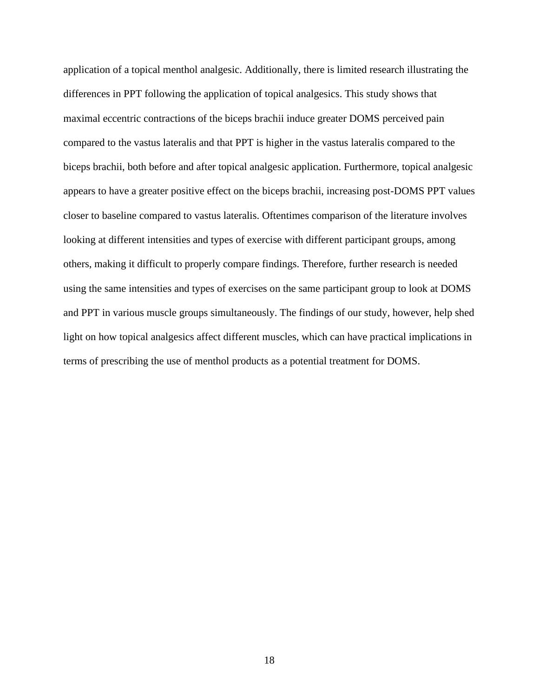application of a topical menthol analgesic. Additionally, there is limited research illustrating the differences in PPT following the application of topical analgesics. This study shows that maximal eccentric contractions of the biceps brachii induce greater DOMS perceived pain compared to the vastus lateralis and that PPT is higher in the vastus lateralis compared to the biceps brachii, both before and after topical analgesic application. Furthermore, topical analgesic appears to have a greater positive effect on the biceps brachii, increasing post-DOMS PPT values closer to baseline compared to vastus lateralis. Oftentimes comparison of the literature involves looking at different intensities and types of exercise with different participant groups, among others, making it difficult to properly compare findings. Therefore, further research is needed using the same intensities and types of exercises on the same participant group to look at DOMS and PPT in various muscle groups simultaneously. The findings of our study, however, help shed light on how topical analgesics affect different muscles, which can have practical implications in terms of prescribing the use of menthol products as a potential treatment for DOMS.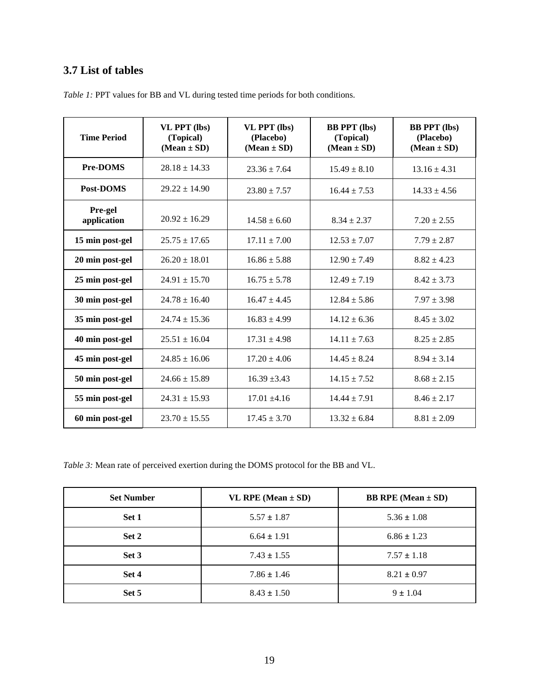# **3.7 List of tables**

| <b>Time Period</b>     | VL PPT (lbs)<br>(Topical)<br>$(Mean \pm SD)$ | <b>VL PPT</b> (lbs)<br>(Placebo)<br>$(Mean \pm SD)$ | <b>BB PPT</b> (lbs)<br>(Topical)<br>$(Mean \pm SD)$ | <b>BB PPT</b> (lbs)<br>(Placebo)<br>$(Mean \pm SD)$ |
|------------------------|----------------------------------------------|-----------------------------------------------------|-----------------------------------------------------|-----------------------------------------------------|
| <b>Pre-DOMS</b>        | $28.18 \pm 14.33$                            | $23.36 \pm 7.64$                                    | $15.49 \pm 8.10$                                    | $13.16 \pm 4.31$                                    |
| Post-DOMS              | $29.22 \pm 14.90$                            | $23.80 \pm 7.57$                                    | $16.44 \pm 7.53$                                    | $14.33 \pm 4.56$                                    |
| Pre-gel<br>application | $20.92 \pm 16.29$                            | $14.58 \pm 6.60$                                    | $8.34 \pm 2.37$                                     | $7.20 \pm 2.55$                                     |
| 15 min post-gel        | $25.75 \pm 17.65$                            | $17.11 \pm 7.00$                                    | $12.53 \pm 7.07$                                    | $7.79 \pm 2.87$                                     |
| 20 min post-gel        | $26.20 \pm 18.01$                            | $16.86 \pm 5.88$                                    | $12.90 \pm 7.49$                                    | $8.82 \pm 4.23$                                     |
| 25 min post-gel        | $24.91 \pm 15.70$                            | $16.75 \pm 5.78$                                    | $12.49 \pm 7.19$                                    | $8.42 \pm 3.73$                                     |
| 30 min post-gel        | $24.78 \pm 16.40$                            | $16.47 \pm 4.45$                                    | $12.84 \pm 5.86$                                    | $7.97 \pm 3.98$                                     |
| 35 min post-gel        | $24.74 \pm 15.36$                            | $16.83 \pm 4.99$                                    | $14.12 \pm 6.36$                                    | $8.45 \pm 3.02$                                     |
| 40 min post-gel        | $25.51 + 16.04$                              | $17.31 \pm 4.98$                                    | $14.11 \pm 7.63$                                    | $8.25 \pm 2.85$                                     |
| 45 min post-gel        | $24.85 \pm 16.06$                            | $17.20 \pm 4.06$                                    | $14.45 \pm 8.24$                                    | $8.94 \pm 3.14$                                     |
| 50 min post-gel        | $24.66 \pm 15.89$                            | $16.39 + 3.43$                                      | $14.15 \pm 7.52$                                    | $8.68 \pm 2.15$                                     |
| 55 min post-gel        | $24.31 \pm 15.93$                            | $17.01 + 4.16$                                      | $14.44 \pm 7.91$                                    | $8.46 \pm 2.17$                                     |
| 60 min post-gel        | $23.70 \pm 15.55$                            | $17.45 \pm 3.70$                                    | $13.32 \pm 6.84$                                    | $8.81 \pm 2.09$                                     |

*Table 1:* PPT values for BB and VL during tested time periods for both conditions.

*Table 3:* Mean rate of perceived exertion during the DOMS protocol for the BB and VL.

| <b>Set Number</b> | VL RPE (Mean $\pm$ SD) | <b>BB</b> RPE (Mean $\pm$ SD) |
|-------------------|------------------------|-------------------------------|
| Set 1             | $5.57 \pm 1.87$        | $5.36 \pm 1.08$               |
| Set 2             | $6.64 \pm 1.91$        | $6.86 \pm 1.23$               |
| Set 3             | $7.43 \pm 1.55$        | $7.57 \pm 1.18$               |
| Set 4             | $7.86 \pm 1.46$        | $8.21 \pm 0.97$               |
| Set 5             | $8.43 \pm 1.50$        | $9 \pm 1.04$                  |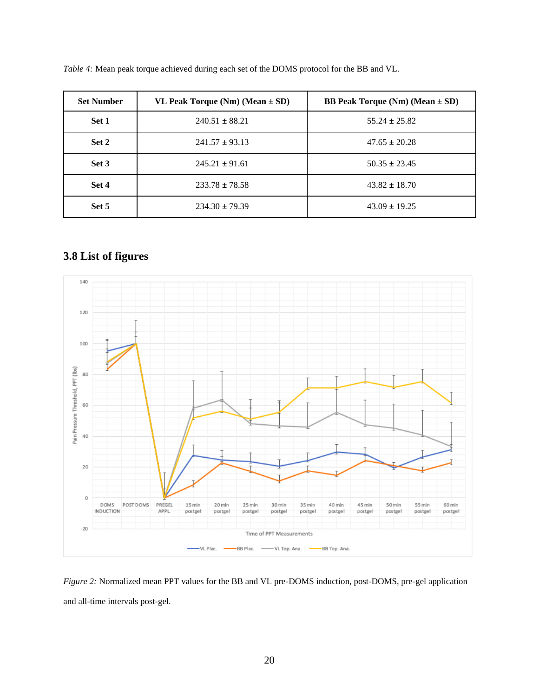| <b>Set Number</b> | VL Peak Torque (Nm) (Mean $\pm$ SD) | <b>BB</b> Peak Torque (Nm) (Mean $\pm$ SD) |
|-------------------|-------------------------------------|--------------------------------------------|
| Set 1             | $240.51 \pm 88.21$                  | $55.24 \pm 25.82$                          |
| Set 2             | $241.57 \pm 93.13$                  | $47.65 \pm 20.28$                          |
| Set 3             | $245.21 \pm 91.61$                  | $50.35 \pm 23.45$                          |
| Set 4             | $233.78 \pm 78.58$                  | $43.82 \pm 18.70$                          |
| Set 5             | $234.30 \pm 79.39$                  | $43.09 \pm 19.25$                          |

*Table 4:* Mean peak torque achieved during each set of the DOMS protocol for the BB and VL.

# **3.8 List of figures**



*Figure 2:* Normalized mean PPT values for the BB and VL pre-DOMS induction, post-DOMS, pre-gel application and all-time intervals post-gel.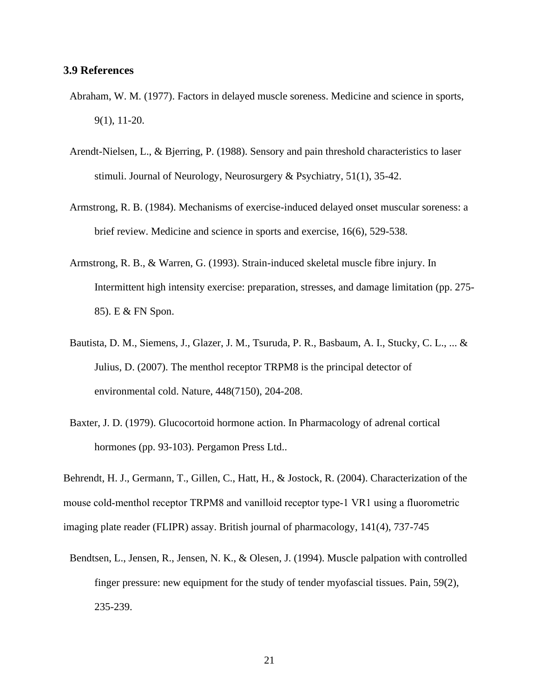#### **3.9 References**

- Abraham, W. M. (1977). Factors in delayed muscle soreness. Medicine and science in sports, 9(1), 11-20.
- Arendt-Nielsen, L., & Bjerring, P. (1988). Sensory and pain threshold characteristics to laser stimuli. Journal of Neurology, Neurosurgery & Psychiatry, 51(1), 35-42.
- Armstrong, R. B. (1984). Mechanisms of exercise-induced delayed onset muscular soreness: a brief review. Medicine and science in sports and exercise, 16(6), 529-538.
- Armstrong, R. B., & Warren, G. (1993). Strain-induced skeletal muscle fibre injury. In Intermittent high intensity exercise: preparation, stresses, and damage limitation (pp. 275- 85). E & FN Spon.
- Bautista, D. M., Siemens, J., Glazer, J. M., Tsuruda, P. R., Basbaum, A. I., Stucky, C. L., ... & Julius, D. (2007). The menthol receptor TRPM8 is the principal detector of environmental cold. Nature, 448(7150), 204-208.
- Baxter, J. D. (1979). Glucocortoid hormone action. In Pharmacology of adrenal cortical hormones (pp. 93-103). Pergamon Press Ltd..

Behrendt, H. J., Germann, T., Gillen, C., Hatt, H., & Jostock, R. (2004). Characterization of the mouse cold-menthol receptor TRPM8 and vanilloid receptor type-1 VR1 using a fluorometric imaging plate reader (FLIPR) assay. British journal of pharmacology, 141(4), 737-745

Bendtsen, L., Jensen, R., Jensen, N. K., & Olesen, J. (1994). Muscle palpation with controlled finger pressure: new equipment for the study of tender myofascial tissues. Pain, 59(2), 235-239.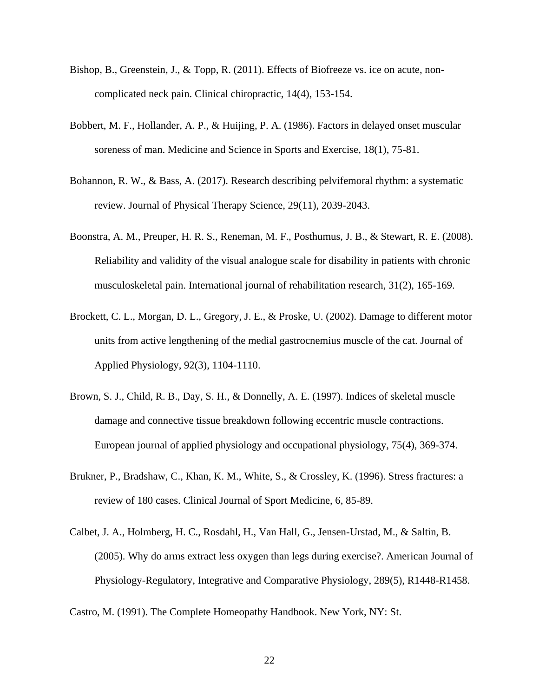- Bishop, B., Greenstein, J., & Topp, R. (2011). Effects of Biofreeze vs. ice on acute, noncomplicated neck pain. Clinical chiropractic, 14(4), 153-154.
- Bobbert, M. F., Hollander, A. P., & Huijing, P. A. (1986). Factors in delayed onset muscular soreness of man. Medicine and Science in Sports and Exercise, 18(1), 75-81.
- Bohannon, R. W., & Bass, A. (2017). Research describing pelvifemoral rhythm: a systematic review. Journal of Physical Therapy Science, 29(11), 2039-2043.
- Boonstra, A. M., Preuper, H. R. S., Reneman, M. F., Posthumus, J. B., & Stewart, R. E. (2008). Reliability and validity of the visual analogue scale for disability in patients with chronic musculoskeletal pain. International journal of rehabilitation research, 31(2), 165-169.
- Brockett, C. L., Morgan, D. L., Gregory, J. E., & Proske, U. (2002). Damage to different motor units from active lengthening of the medial gastrocnemius muscle of the cat. Journal of Applied Physiology, 92(3), 1104-1110.
- Brown, S. J., Child, R. B., Day, S. H., & Donnelly, A. E. (1997). Indices of skeletal muscle damage and connective tissue breakdown following eccentric muscle contractions. European journal of applied physiology and occupational physiology, 75(4), 369-374.
- Brukner, P., Bradshaw, C., Khan, K. M., White, S., & Crossley, K. (1996). Stress fractures: a review of 180 cases. Clinical Journal of Sport Medicine, 6, 85-89.
- Calbet, J. A., Holmberg, H. C., Rosdahl, H., Van Hall, G., Jensen-Urstad, M., & Saltin, B. (2005). Why do arms extract less oxygen than legs during exercise?. American Journal of Physiology-Regulatory, Integrative and Comparative Physiology, 289(5), R1448-R1458.

Castro, M. (1991). The Complete Homeopathy Handbook. New York, NY: St.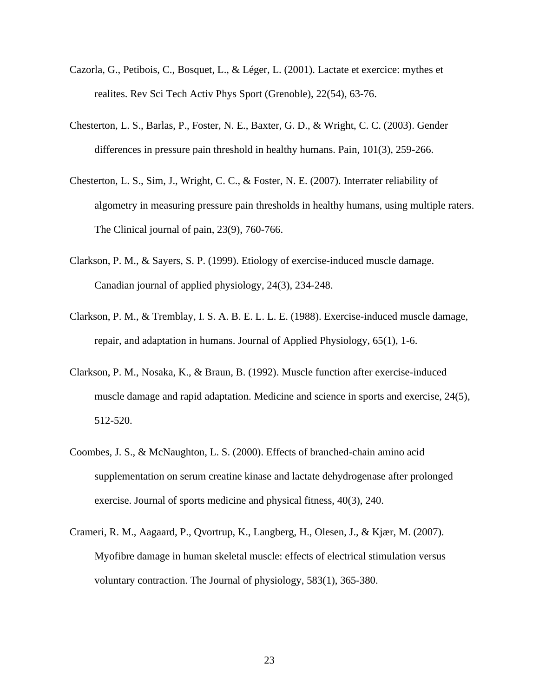- Cazorla, G., Petibois, C., Bosquet, L., & Léger, L. (2001). Lactate et exercice: mythes et realites. Rev Sci Tech Activ Phys Sport (Grenoble), 22(54), 63-76.
- Chesterton, L. S., Barlas, P., Foster, N. E., Baxter, G. D., & Wright, C. C. (2003). Gender differences in pressure pain threshold in healthy humans. Pain, 101(3), 259-266.
- Chesterton, L. S., Sim, J., Wright, C. C., & Foster, N. E. (2007). Interrater reliability of algometry in measuring pressure pain thresholds in healthy humans, using multiple raters. The Clinical journal of pain, 23(9), 760-766.
- Clarkson, P. M., & Sayers, S. P. (1999). Etiology of exercise-induced muscle damage. Canadian journal of applied physiology, 24(3), 234-248.
- Clarkson, P. M., & Tremblay, I. S. A. B. E. L. L. E. (1988). Exercise-induced muscle damage, repair, and adaptation in humans. Journal of Applied Physiology, 65(1), 1-6.
- Clarkson, P. M., Nosaka, K., & Braun, B. (1992). Muscle function after exercise-induced muscle damage and rapid adaptation. Medicine and science in sports and exercise, 24(5), 512-520.
- Coombes, J. S., & McNaughton, L. S. (2000). Effects of branched-chain amino acid supplementation on serum creatine kinase and lactate dehydrogenase after prolonged exercise. Journal of sports medicine and physical fitness, 40(3), 240.
- Crameri, R. M., Aagaard, P., Qvortrup, K., Langberg, H., Olesen, J., & Kjær, M. (2007). Myofibre damage in human skeletal muscle: effects of electrical stimulation versus voluntary contraction. The Journal of physiology, 583(1), 365-380.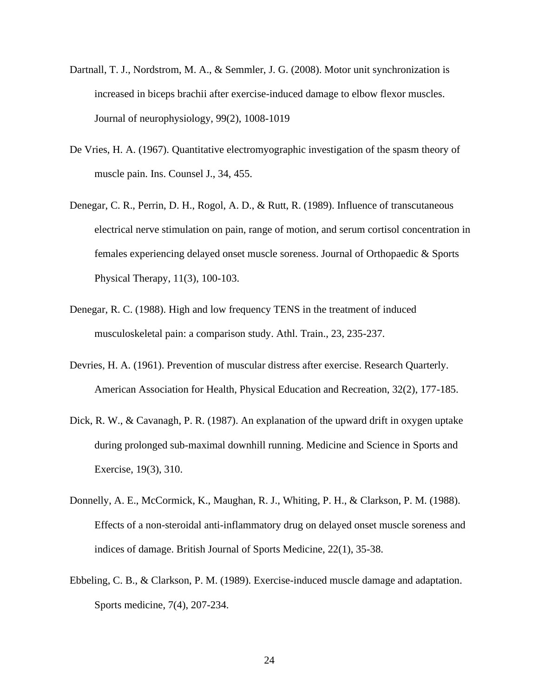- Dartnall, T. J., Nordstrom, M. A., & Semmler, J. G. (2008). Motor unit synchronization is increased in biceps brachii after exercise-induced damage to elbow flexor muscles. Journal of neurophysiology, 99(2), 1008-1019
- De Vries, H. A. (1967). Quantitative electromyographic investigation of the spasm theory of muscle pain. Ins. Counsel J., 34, 455.
- Denegar, C. R., Perrin, D. H., Rogol, A. D., & Rutt, R. (1989). Influence of transcutaneous electrical nerve stimulation on pain, range of motion, and serum cortisol concentration in females experiencing delayed onset muscle soreness. Journal of Orthopaedic & Sports Physical Therapy, 11(3), 100-103.
- Denegar, R. C. (1988). High and low frequency TENS in the treatment of induced musculoskeletal pain: a comparison study. Athl. Train., 23, 235-237.
- Devries, H. A. (1961). Prevention of muscular distress after exercise. Research Quarterly. American Association for Health, Physical Education and Recreation, 32(2), 177-185.
- Dick, R. W., & Cavanagh, P. R. (1987). An explanation of the upward drift in oxygen uptake during prolonged sub-maximal downhill running. Medicine and Science in Sports and Exercise, 19(3), 310.
- Donnelly, A. E., McCormick, K., Maughan, R. J., Whiting, P. H., & Clarkson, P. M. (1988). Effects of a non-steroidal anti-inflammatory drug on delayed onset muscle soreness and indices of damage. British Journal of Sports Medicine, 22(1), 35-38.
- Ebbeling, C. B., & Clarkson, P. M. (1989). Exercise-induced muscle damage and adaptation. Sports medicine, 7(4), 207-234.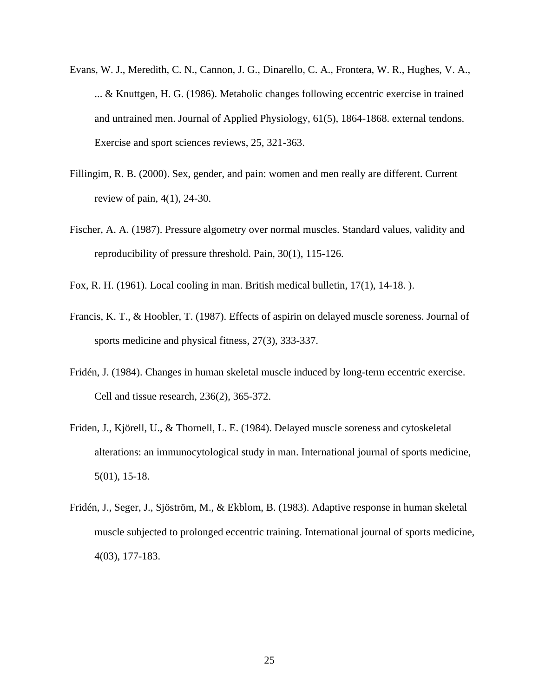- Evans, W. J., Meredith, C. N., Cannon, J. G., Dinarello, C. A., Frontera, W. R., Hughes, V. A., ... & Knuttgen, H. G. (1986). Metabolic changes following eccentric exercise in trained and untrained men. Journal of Applied Physiology, 61(5), 1864-1868. external tendons. Exercise and sport sciences reviews, 25, 321-363.
- Fillingim, R. B. (2000). Sex, gender, and pain: women and men really are different. Current review of pain, 4(1), 24-30.
- Fischer, A. A. (1987). Pressure algometry over normal muscles. Standard values, validity and reproducibility of pressure threshold. Pain, 30(1), 115-126.
- Fox, R. H. (1961). Local cooling in man. British medical bulletin, 17(1), 14-18. ).
- Francis, K. T., & Hoobler, T. (1987). Effects of aspirin on delayed muscle soreness. Journal of sports medicine and physical fitness, 27(3), 333-337.
- Fridén, J. (1984). Changes in human skeletal muscle induced by long-term eccentric exercise. Cell and tissue research, 236(2), 365-372.
- Friden, J., Kjörell, U., & Thornell, L. E. (1984). Delayed muscle soreness and cytoskeletal alterations: an immunocytological study in man. International journal of sports medicine, 5(01), 15-18.
- Fridén, J., Seger, J., Sjöström, M., & Ekblom, B. (1983). Adaptive response in human skeletal muscle subjected to prolonged eccentric training. International journal of sports medicine, 4(03), 177-183.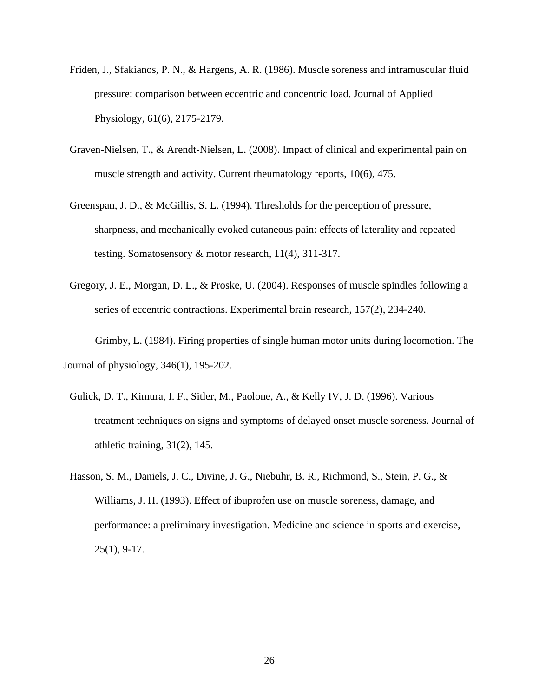- Friden, J., Sfakianos, P. N., & Hargens, A. R. (1986). Muscle soreness and intramuscular fluid pressure: comparison between eccentric and concentric load. Journal of Applied Physiology, 61(6), 2175-2179.
- Graven-Nielsen, T., & Arendt-Nielsen, L. (2008). Impact of clinical and experimental pain on muscle strength and activity. Current rheumatology reports, 10(6), 475.
- Greenspan, J. D., & McGillis, S. L. (1994). Thresholds for the perception of pressure, sharpness, and mechanically evoked cutaneous pain: effects of laterality and repeated testing. Somatosensory & motor research, 11(4), 311-317.
- Gregory, J. E., Morgan, D. L., & Proske, U. (2004). Responses of muscle spindles following a series of eccentric contractions. Experimental brain research, 157(2), 234-240.

Grimby, L. (1984). Firing properties of single human motor units during locomotion. The Journal of physiology, 346(1), 195-202.

- Gulick, D. T., Kimura, I. F., Sitler, M., Paolone, A., & Kelly IV, J. D. (1996). Various treatment techniques on signs and symptoms of delayed onset muscle soreness. Journal of athletic training, 31(2), 145.
- Hasson, S. M., Daniels, J. C., Divine, J. G., Niebuhr, B. R., Richmond, S., Stein, P. G., & Williams, J. H. (1993). Effect of ibuprofen use on muscle soreness, damage, and performance: a preliminary investigation. Medicine and science in sports and exercise, 25(1), 9-17.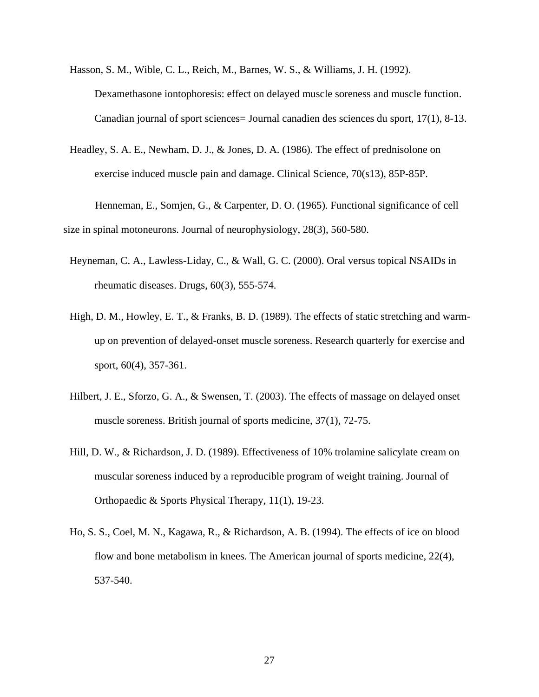Hasson, S. M., Wible, C. L., Reich, M., Barnes, W. S., & Williams, J. H. (1992). Dexamethasone iontophoresis: effect on delayed muscle soreness and muscle function. Canadian journal of sport sciences= Journal canadien des sciences du sport, 17(1), 8-13.

Headley, S. A. E., Newham, D. J., & Jones, D. A. (1986). The effect of prednisolone on exercise induced muscle pain and damage. Clinical Science, 70(s13), 85P-85P.

Henneman, E., Somjen, G., & Carpenter, D. O. (1965). Functional significance of cell size in spinal motoneurons. Journal of neurophysiology, 28(3), 560-580.

- Heyneman, C. A., Lawless-Liday, C., & Wall, G. C. (2000). Oral versus topical NSAIDs in rheumatic diseases. Drugs, 60(3), 555-574.
- High, D. M., Howley, E. T., & Franks, B. D. (1989). The effects of static stretching and warmup on prevention of delayed-onset muscle soreness. Research quarterly for exercise and sport, 60(4), 357-361.
- Hilbert, J. E., Sforzo, G. A., & Swensen, T. (2003). The effects of massage on delayed onset muscle soreness. British journal of sports medicine, 37(1), 72-75.
- Hill, D. W., & Richardson, J. D. (1989). Effectiveness of 10% trolamine salicylate cream on muscular soreness induced by a reproducible program of weight training. Journal of Orthopaedic & Sports Physical Therapy, 11(1), 19-23.
- Ho, S. S., Coel, M. N., Kagawa, R., & Richardson, A. B. (1994). The effects of ice on blood flow and bone metabolism in knees. The American journal of sports medicine, 22(4), 537-540.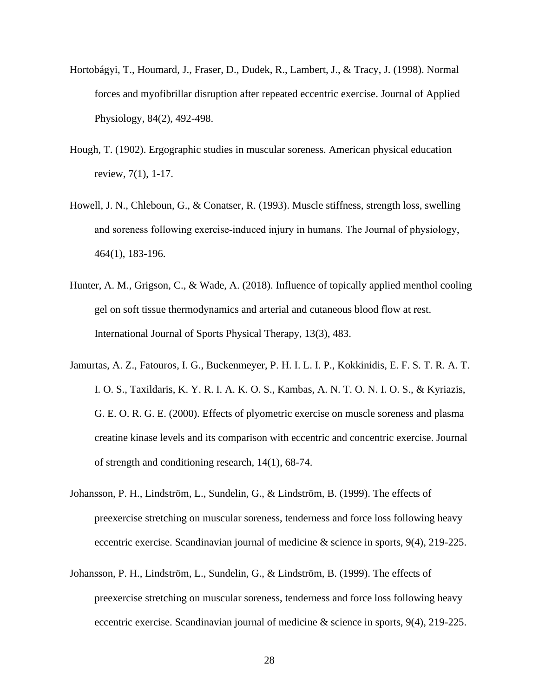- Hortobágyi, T., Houmard, J., Fraser, D., Dudek, R., Lambert, J., & Tracy, J. (1998). Normal forces and myofibrillar disruption after repeated eccentric exercise. Journal of Applied Physiology, 84(2), 492-498.
- Hough, T. (1902). Ergographic studies in muscular soreness. American physical education review, 7(1), 1-17.
- Howell, J. N., Chleboun, G., & Conatser, R. (1993). Muscle stiffness, strength loss, swelling and soreness following exercise‐induced injury in humans. The Journal of physiology, 464(1), 183-196.
- Hunter, A. M., Grigson, C., & Wade, A. (2018). Influence of topically applied menthol cooling gel on soft tissue thermodynamics and arterial and cutaneous blood flow at rest. International Journal of Sports Physical Therapy, 13(3), 483.
- Jamurtas, A. Z., Fatouros, I. G., Buckenmeyer, P. H. I. L. I. P., Kokkinidis, E. F. S. T. R. A. T. I. O. S., Taxildaris, K. Y. R. I. A. K. O. S., Kambas, A. N. T. O. N. I. O. S., & Kyriazis, G. E. O. R. G. E. (2000). Effects of plyometric exercise on muscle soreness and plasma creatine kinase levels and its comparison with eccentric and concentric exercise. Journal of strength and conditioning research, 14(1), 68-74.
- Johansson, P. H., Lindström, L., Sundelin, G., & Lindström, B. (1999). The effects of preexercise stretching on muscular soreness, tenderness and force loss following heavy eccentric exercise. Scandinavian journal of medicine & science in sports, 9(4), 219-225.
- Johansson, P. H., Lindström, L., Sundelin, G., & Lindström, B. (1999). The effects of preexercise stretching on muscular soreness, tenderness and force loss following heavy eccentric exercise. Scandinavian journal of medicine & science in sports, 9(4), 219-225.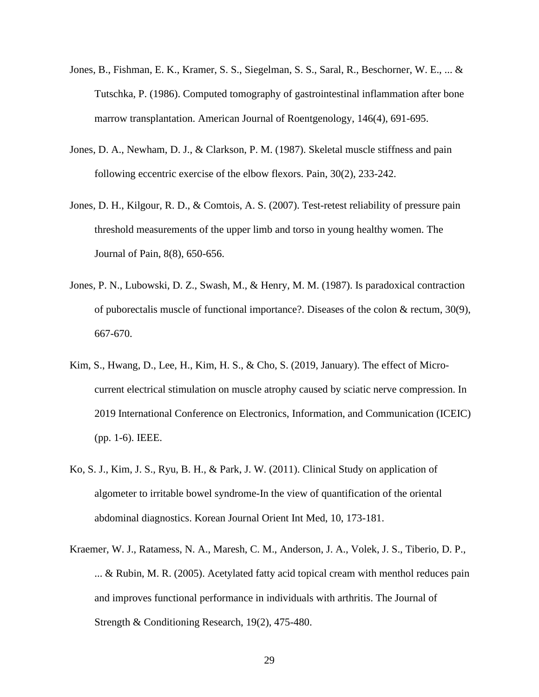- Jones, B., Fishman, E. K., Kramer, S. S., Siegelman, S. S., Saral, R., Beschorner, W. E., ... & Tutschka, P. (1986). Computed tomography of gastrointestinal inflammation after bone marrow transplantation. American Journal of Roentgenology, 146(4), 691-695.
- Jones, D. A., Newham, D. J., & Clarkson, P. M. (1987). Skeletal muscle stiffness and pain following eccentric exercise of the elbow flexors. Pain, 30(2), 233-242.
- Jones, D. H., Kilgour, R. D., & Comtois, A. S. (2007). Test-retest reliability of pressure pain threshold measurements of the upper limb and torso in young healthy women. The Journal of Pain, 8(8), 650-656.
- Jones, P. N., Lubowski, D. Z., Swash, M., & Henry, M. M. (1987). Is paradoxical contraction of puborectalis muscle of functional importance?. Diseases of the colon & rectum, 30(9), 667-670.
- Kim, S., Hwang, D., Lee, H., Kim, H. S., & Cho, S. (2019, January). The effect of Microcurrent electrical stimulation on muscle atrophy caused by sciatic nerve compression. In 2019 International Conference on Electronics, Information, and Communication (ICEIC) (pp. 1-6). IEEE.
- Ko, S. J., Kim, J. S., Ryu, B. H., & Park, J. W. (2011). Clinical Study on application of algometer to irritable bowel syndrome-In the view of quantification of the oriental abdominal diagnostics. Korean Journal Orient Int Med, 10, 173-181.
- Kraemer, W. J., Ratamess, N. A., Maresh, C. M., Anderson, J. A., Volek, J. S., Tiberio, D. P., ... & Rubin, M. R. (2005). Acetylated fatty acid topical cream with menthol reduces pain and improves functional performance in individuals with arthritis. The Journal of Strength & Conditioning Research, 19(2), 475-480.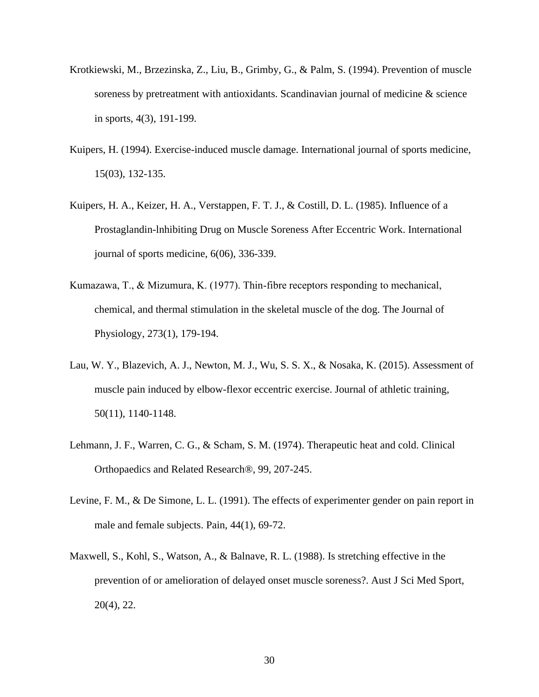- Krotkiewski, M., Brzezinska, Z., Liu, B., Grimby, G., & Palm, S. (1994). Prevention of muscle soreness by pretreatment with antioxidants. Scandinavian journal of medicine & science in sports, 4(3), 191-199.
- Kuipers, H. (1994). Exercise-induced muscle damage. International journal of sports medicine, 15(03), 132-135.
- Kuipers, H. A., Keizer, H. A., Verstappen, F. T. J., & Costill, D. L. (1985). Influence of a Prostaglandin-lnhibiting Drug on Muscle Soreness After Eccentric Work. International journal of sports medicine, 6(06), 336-339.
- Kumazawa, T., & Mizumura, K. (1977). Thin‐fibre receptors responding to mechanical, chemical, and thermal stimulation in the skeletal muscle of the dog. The Journal of Physiology, 273(1), 179-194.
- Lau, W. Y., Blazevich, A. J., Newton, M. J., Wu, S. S. X., & Nosaka, K. (2015). Assessment of muscle pain induced by elbow-flexor eccentric exercise. Journal of athletic training, 50(11), 1140-1148.
- Lehmann, J. F., Warren, C. G., & Scham, S. M. (1974). Therapeutic heat and cold. Clinical Orthopaedics and Related Research®, 99, 207-245.
- Levine, F. M., & De Simone, L. L. (1991). The effects of experimenter gender on pain report in male and female subjects. Pain, 44(1), 69-72.
- Maxwell, S., Kohl, S., Watson, A., & Balnave, R. L. (1988). Is stretching effective in the prevention of or amelioration of delayed onset muscle soreness?. Aust J Sci Med Sport, 20(4), 22.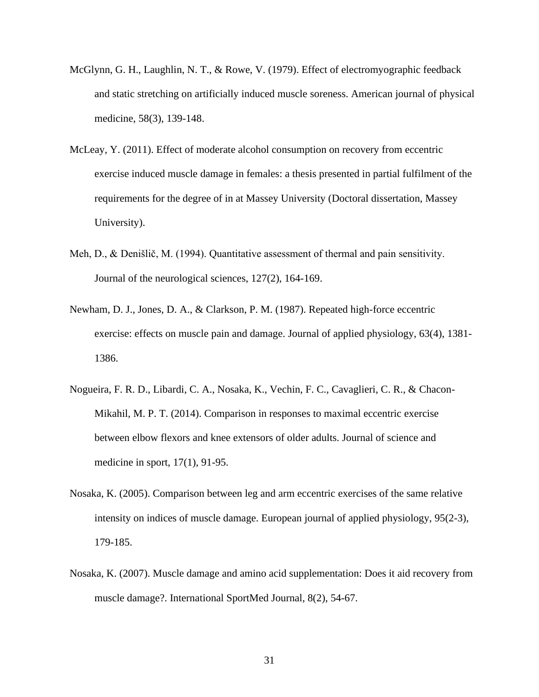- McGlynn, G. H., Laughlin, N. T., & Rowe, V. (1979). Effect of electromyographic feedback and static stretching on artificially induced muscle soreness. American journal of physical medicine, 58(3), 139-148.
- McLeay, Y. (2011). Effect of moderate alcohol consumption on recovery from eccentric exercise induced muscle damage in females: a thesis presented in partial fulfilment of the requirements for the degree of in at Massey University (Doctoral dissertation, Massey University).
- Meh, D., & Denišlič, M. (1994). Quantitative assessment of thermal and pain sensitivity. Journal of the neurological sciences, 127(2), 164-169.
- Newham, D. J., Jones, D. A., & Clarkson, P. M. (1987). Repeated high-force eccentric exercise: effects on muscle pain and damage. Journal of applied physiology, 63(4), 1381- 1386.
- Nogueira, F. R. D., Libardi, C. A., Nosaka, K., Vechin, F. C., Cavaglieri, C. R., & Chacon-Mikahil, M. P. T. (2014). Comparison in responses to maximal eccentric exercise between elbow flexors and knee extensors of older adults. Journal of science and medicine in sport, 17(1), 91-95.
- Nosaka, K. (2005). Comparison between leg and arm eccentric exercises of the same relative intensity on indices of muscle damage. European journal of applied physiology, 95(2-3), 179-185.
- Nosaka, K. (2007). Muscle damage and amino acid supplementation: Does it aid recovery from muscle damage?. International SportMed Journal, 8(2), 54-67.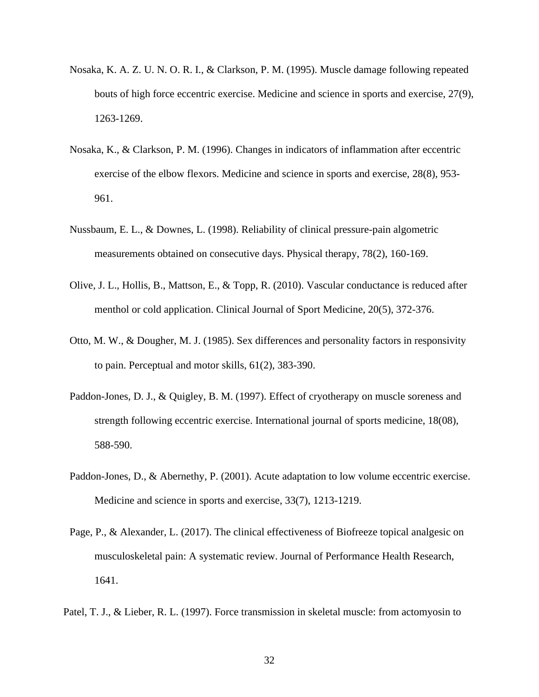- Nosaka, K. A. Z. U. N. O. R. I., & Clarkson, P. M. (1995). Muscle damage following repeated bouts of high force eccentric exercise. Medicine and science in sports and exercise, 27(9), 1263-1269.
- Nosaka, K., & Clarkson, P. M. (1996). Changes in indicators of inflammation after eccentric exercise of the elbow flexors. Medicine and science in sports and exercise, 28(8), 953- 961.
- Nussbaum, E. L., & Downes, L. (1998). Reliability of clinical pressure-pain algometric measurements obtained on consecutive days. Physical therapy, 78(2), 160-169.
- Olive, J. L., Hollis, B., Mattson, E., & Topp, R. (2010). Vascular conductance is reduced after menthol or cold application. Clinical Journal of Sport Medicine, 20(5), 372-376.
- Otto, M. W., & Dougher, M. J. (1985). Sex differences and personality factors in responsivity to pain. Perceptual and motor skills, 61(2), 383-390.
- Paddon-Jones, D. J., & Quigley, B. M. (1997). Effect of cryotherapy on muscle soreness and strength following eccentric exercise. International journal of sports medicine, 18(08), 588-590.
- Paddon-Jones, D., & Abernethy, P. (2001). Acute adaptation to low volume eccentric exercise. Medicine and science in sports and exercise, 33(7), 1213-1219.
- Page, P., & Alexander, L. (2017). The clinical effectiveness of Biofreeze topical analgesic on musculoskeletal pain: A systematic review. Journal of Performance Health Research, 1641.
- Patel, T. J., & Lieber, R. L. (1997). Force transmission in skeletal muscle: from actomyosin to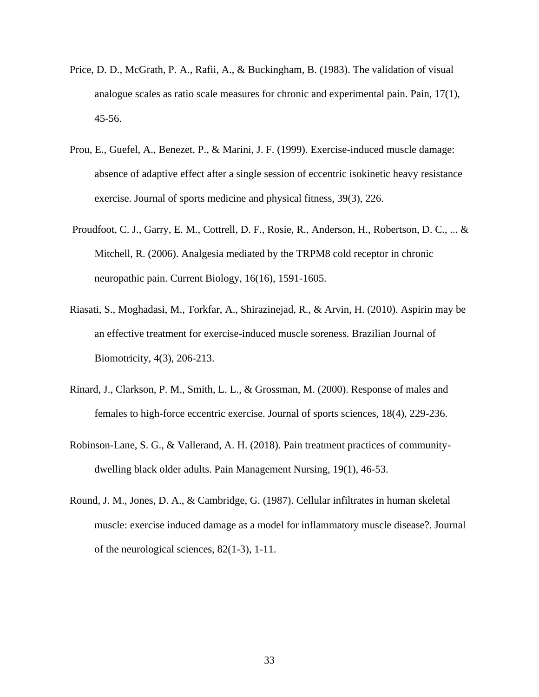- Price, D. D., McGrath, P. A., Rafii, A., & Buckingham, B. (1983). The validation of visual analogue scales as ratio scale measures for chronic and experimental pain. Pain, 17(1), 45-56.
- Prou, E., Guefel, A., Benezet, P., & Marini, J. F. (1999). Exercise-induced muscle damage: absence of adaptive effect after a single session of eccentric isokinetic heavy resistance exercise. Journal of sports medicine and physical fitness, 39(3), 226.
- Proudfoot, C. J., Garry, E. M., Cottrell, D. F., Rosie, R., Anderson, H., Robertson, D. C., ... & Mitchell, R. (2006). Analgesia mediated by the TRPM8 cold receptor in chronic neuropathic pain. Current Biology, 16(16), 1591-1605.
- Riasati, S., Moghadasi, M., Torkfar, A., Shirazinejad, R., & Arvin, H. (2010). Aspirin may be an effective treatment for exercise-induced muscle soreness. Brazilian Journal of Biomotricity, 4(3), 206-213.
- Rinard, J., Clarkson, P. M., Smith, L. L., & Grossman, M. (2000). Response of males and females to high-force eccentric exercise. Journal of sports sciences, 18(4), 229-236.
- Robinson-Lane, S. G., & Vallerand, A. H. (2018). Pain treatment practices of communitydwelling black older adults. Pain Management Nursing, 19(1), 46-53.
- Round, J. M., Jones, D. A., & Cambridge, G. (1987). Cellular infiltrates in human skeletal muscle: exercise induced damage as a model for inflammatory muscle disease?. Journal of the neurological sciences, 82(1-3), 1-11.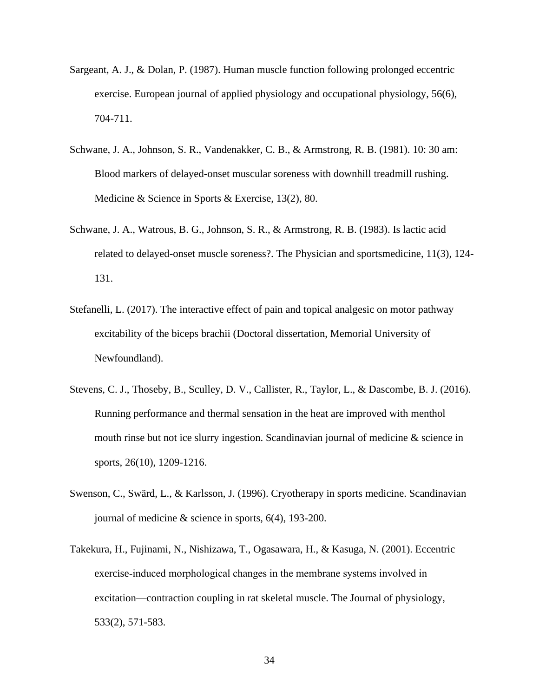- Sargeant, A. J., & Dolan, P. (1987). Human muscle function following prolonged eccentric exercise. European journal of applied physiology and occupational physiology, 56(6), 704-711.
- Schwane, J. A., Johnson, S. R., Vandenakker, C. B., & Armstrong, R. B. (1981). 10: 30 am: Blood markers of delayed-onset muscular soreness with downhill treadmill rushing. Medicine & Science in Sports & Exercise, 13(2), 80.
- Schwane, J. A., Watrous, B. G., Johnson, S. R., & Armstrong, R. B. (1983). Is lactic acid related to delayed-onset muscle soreness?. The Physician and sportsmedicine, 11(3), 124- 131.
- Stefanelli, L. (2017). The interactive effect of pain and topical analgesic on motor pathway excitability of the biceps brachii (Doctoral dissertation, Memorial University of Newfoundland).
- Stevens, C. J., Thoseby, B., Sculley, D. V., Callister, R., Taylor, L., & Dascombe, B. J. (2016). Running performance and thermal sensation in the heat are improved with menthol mouth rinse but not ice slurry ingestion. Scandinavian journal of medicine & science in sports, 26(10), 1209-1216.
- Swenson, C., Swärd, L., & Karlsson, J. (1996). Cryotherapy in sports medicine. Scandinavian journal of medicine & science in sports, 6(4), 193-200.
- Takekura, H., Fujinami, N., Nishizawa, T., Ogasawara, H., & Kasuga, N. (2001). Eccentric exercise‐induced morphological changes in the membrane systems involved in excitation—contraction coupling in rat skeletal muscle. The Journal of physiology, 533(2), 571-583.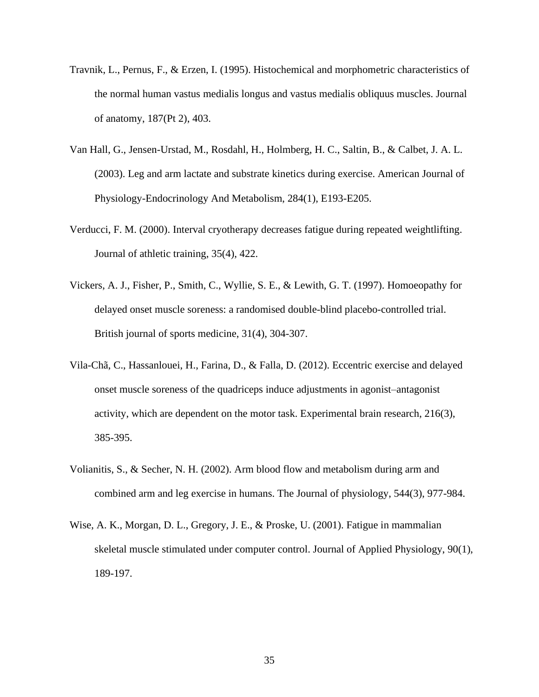- Travnik, L., Pernus, F., & Erzen, I. (1995). Histochemical and morphometric characteristics of the normal human vastus medialis longus and vastus medialis obliquus muscles. Journal of anatomy, 187(Pt 2), 403.
- Van Hall, G., Jensen-Urstad, M., Rosdahl, H., Holmberg, H. C., Saltin, B., & Calbet, J. A. L. (2003). Leg and arm lactate and substrate kinetics during exercise. American Journal of Physiology-Endocrinology And Metabolism, 284(1), E193-E205.
- Verducci, F. M. (2000). Interval cryotherapy decreases fatigue during repeated weightlifting. Journal of athletic training, 35(4), 422.
- Vickers, A. J., Fisher, P., Smith, C., Wyllie, S. E., & Lewith, G. T. (1997). Homoeopathy for delayed onset muscle soreness: a randomised double-blind placebo-controlled trial. British journal of sports medicine, 31(4), 304-307.
- Vila-Chã, C., Hassanlouei, H., Farina, D., & Falla, D. (2012). Eccentric exercise and delayed onset muscle soreness of the quadriceps induce adjustments in agonist–antagonist activity, which are dependent on the motor task. Experimental brain research, 216(3), 385-395.
- Volianitis, S., & Secher, N. H. (2002). Arm blood flow and metabolism during arm and combined arm and leg exercise in humans. The Journal of physiology, 544(3), 977-984.
- Wise, A. K., Morgan, D. L., Gregory, J. E., & Proske, U. (2001). Fatigue in mammalian skeletal muscle stimulated under computer control. Journal of Applied Physiology, 90(1), 189-197.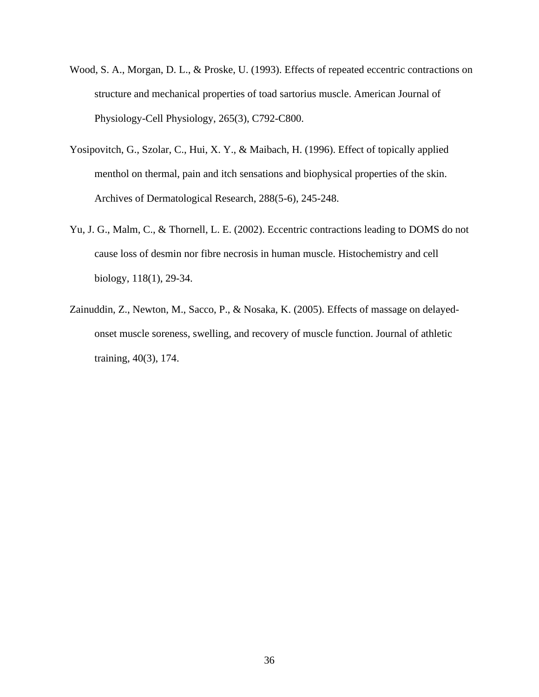- Wood, S. A., Morgan, D. L., & Proske, U. (1993). Effects of repeated eccentric contractions on structure and mechanical properties of toad sartorius muscle. American Journal of Physiology-Cell Physiology, 265(3), C792-C800.
- Yosipovitch, G., Szolar, C., Hui, X. Y., & Maibach, H. (1996). Effect of topically applied menthol on thermal, pain and itch sensations and biophysical properties of the skin. Archives of Dermatological Research, 288(5-6), 245-248.
- Yu, J. G., Malm, C., & Thornell, L. E. (2002). Eccentric contractions leading to DOMS do not cause loss of desmin nor fibre necrosis in human muscle. Histochemistry and cell biology, 118(1), 29-34.
- Zainuddin, Z., Newton, M., Sacco, P., & Nosaka, K. (2005). Effects of massage on delayedonset muscle soreness, swelling, and recovery of muscle function. Journal of athletic training, 40(3), 174.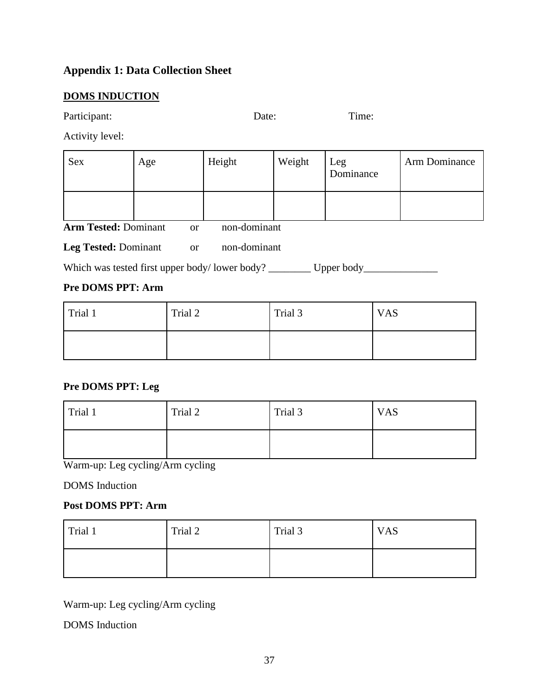## **Appendix 1: Data Collection Sheet**

### **DOMS INDUCTION**

Participant: Date: Time:

Activity level:

| Sex | Age | Height | Weight | Leg<br>Dominance | Arm Dominance |
|-----|-----|--------|--------|------------------|---------------|
|     |     |        |        |                  |               |

**Arm Tested:** Dominant or non-dominant

Leg Tested: Dominant or non-dominant

Which was tested first upper body/lower body? \_\_\_\_\_\_\_\_ Upper body\_\_\_\_\_\_\_\_\_\_\_\_\_\_\_

## **Pre DOMS PPT: Arm**

| Trial 1 | Trial 2 | Trial 3 | <b>VAS</b> |
|---------|---------|---------|------------|
|         |         |         |            |

## **Pre DOMS PPT: Leg**

| Trial 1 | Trial 2 | Trial 3 | <b>VAS</b> |
|---------|---------|---------|------------|
|         |         |         |            |

Warm-up: Leg cycling/Arm cycling

DOMS Induction

## **Post DOMS PPT: Arm**

| Trial 1 | Trial 2 | Trial 3 | <b>VAS</b> |
|---------|---------|---------|------------|
|         |         |         |            |

Warm-up: Leg cycling/Arm cycling

DOMS Induction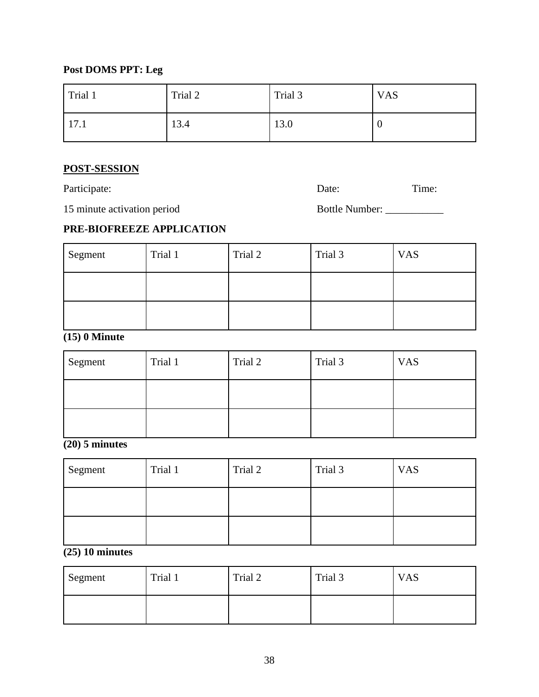## **Post DOMS PPT: Leg**

| Trial 1      | Trial 2 | Trial 3 | <b>VAS</b> |
|--------------|---------|---------|------------|
| $\vert$ 17.1 | 13.4    | 13.0    | v          |

### **POST-SESSION**

Participate: Time: Date: Date: Time:

15 minute activation period Bottle Number: \_\_\_\_\_\_\_\_\_\_\_

## **PRE-BIOFREEZE APPLICATION**

| Segment | Trial 1 | Trial 2 | Trial 3 | <b>VAS</b> |
|---------|---------|---------|---------|------------|
|         |         |         |         |            |
|         |         |         |         |            |

## **(15) 0 Minute**

| Segment | Trial 1 | Trial 2 | Trial 3 | <b>VAS</b> |
|---------|---------|---------|---------|------------|
|         |         |         |         |            |
|         |         |         |         |            |

## **(20) 5 minutes**

| Segment | Trial 1 | Trial 2 | Trial 3 | <b>VAS</b> |
|---------|---------|---------|---------|------------|
|         |         |         |         |            |
|         |         |         |         |            |

## **(25) 10 minutes**

| Segment | Trial 1 | Trial 2 | Trial 3 | <b>VAS</b> |
|---------|---------|---------|---------|------------|
|         |         |         |         |            |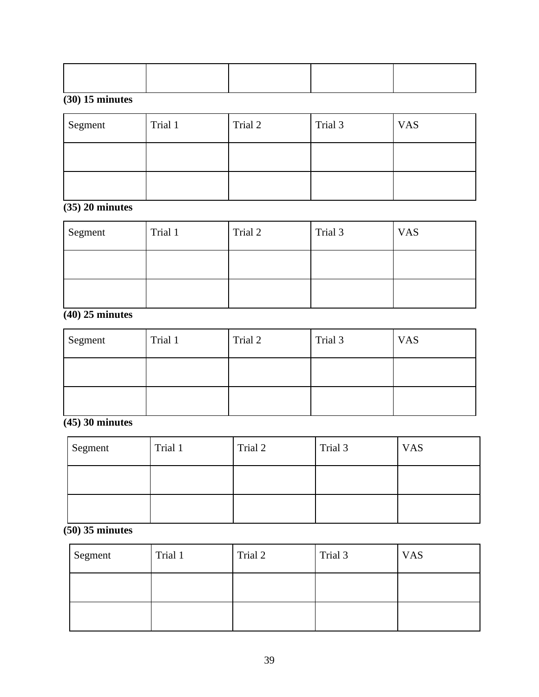## **(30) 15 minutes**

| Segment | Trial 1 | Trial 2 | Trial 3 | <b>VAS</b> |
|---------|---------|---------|---------|------------|
|         |         |         |         |            |
|         |         |         |         |            |

# **(35) 20 minutes**

| Segment | Trial 1 | Trial 2 | Trial 3 | <b>VAS</b> |
|---------|---------|---------|---------|------------|
|         |         |         |         |            |
|         |         |         |         |            |

# **(40) 25 minutes**

| Segment | Trial 1 | Trial 2 | Trial 3 | <b>VAS</b> |
|---------|---------|---------|---------|------------|
|         |         |         |         |            |
|         |         |         |         |            |

**(45) 30 minutes**

| Segment | Trial 1 | Trial 2 | Trial 3 | <b>VAS</b> |
|---------|---------|---------|---------|------------|
|         |         |         |         |            |
|         |         |         |         |            |

**(50) 35 minutes** 

| Segment | Trial 1 | Trial 2 | Trial 3 | <b>VAS</b> |
|---------|---------|---------|---------|------------|
|         |         |         |         |            |
|         |         |         |         |            |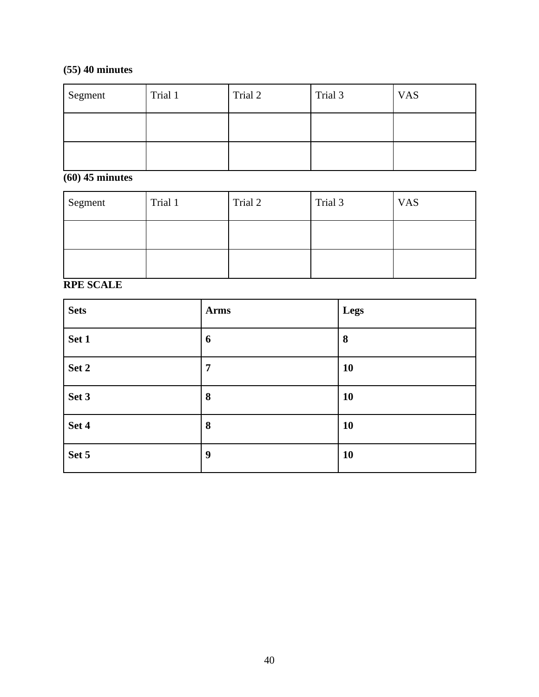## **(55) 40 minutes**

| Segment | Trial 1 | Trial 2 | Trial 3 | <b>VAS</b> |
|---------|---------|---------|---------|------------|
|         |         |         |         |            |
|         |         |         |         |            |

## **(60) 45 minutes**

| Segment | Trial 1 | Trial 2 | Trial 3 | <b>VAS</b> |
|---------|---------|---------|---------|------------|
|         |         |         |         |            |
|         |         |         |         |            |

# **RPE SCALE**

| <b>Sets</b> | <b>Arms</b>    | Legs |
|-------------|----------------|------|
| Set 1       | 6              | 8    |
| Set 2       | $\overline{7}$ | 10   |
| Set 3       | 8              | 10   |
| Set 4       | 8              | 10   |
| Set 5       | 9              | 10   |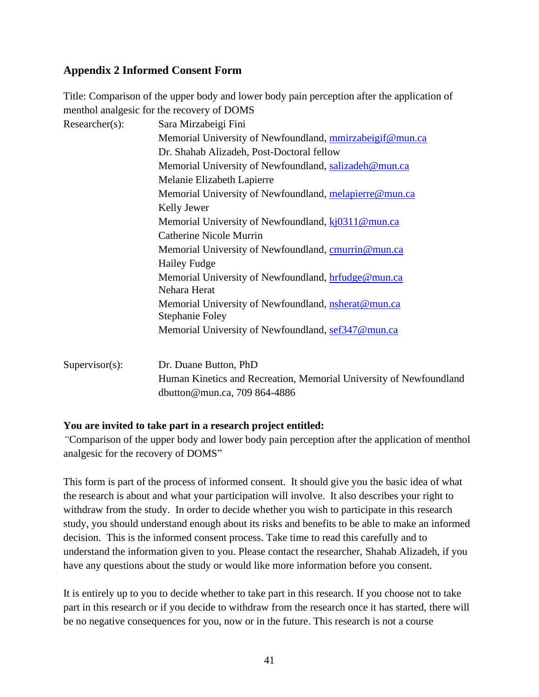## **Appendix 2 Informed Consent Form**

Title: Comparison of the upper body and lower body pain perception after the application of menthol analgesic for the recovery of DOMS

| $Researcher(s)$ : | Sara Mirzabeigi Fini                                                          |
|-------------------|-------------------------------------------------------------------------------|
|                   | Memorial University of Newfoundland, mmirzabeigif@mun.ca                      |
|                   | Dr. Shahab Alizadeh, Post-Doctoral fellow                                     |
|                   | Memorial University of Newfoundland, salizadeh@mun.ca                         |
|                   | Melanie Elizabeth Lapierre                                                    |
|                   | Memorial University of Newfoundland, melapierre@mun.ca                        |
|                   | Kelly Jewer                                                                   |
|                   | Memorial University of Newfoundland, kj0311@mun.ca                            |
|                   | Catherine Nicole Murrin                                                       |
|                   | Memorial University of Newfoundland, cmurrin@mun.ca                           |
|                   | <b>Hailey Fudge</b>                                                           |
|                   | Memorial University of Newfoundland, hrfudge@mun.ca<br>Nehara Herat           |
|                   | Memorial University of Newfoundland, <i>nsherat@mun.ca</i><br>Stephanie Foley |
|                   | Memorial University of Newfoundland, sef347@mun.ca                            |
| $Supervisor(s)$ : | Dr. Duane Button, PhD                                                         |
|                   | Human Kinetics and Recreation, Memorial University of Newfoundland            |
|                   | dbutton@mun.ca, 709 864-4886                                                  |

## **You are invited to take part in a research project entitled:**

*"*Comparison of the upper body and lower body pain perception after the application of menthol analgesic for the recovery of DOMS"

This form is part of the process of informed consent. It should give you the basic idea of what the research is about and what your participation will involve. It also describes your right to withdraw from the study. In order to decide whether you wish to participate in this research study, you should understand enough about its risks and benefits to be able to make an informed decision. This is the informed consent process. Take time to read this carefully and to understand the information given to you. Please contact the researcher, Shahab Alizadeh, if you have any questions about the study or would like more information before you consent.

It is entirely up to you to decide whether to take part in this research. If you choose not to take part in this research or if you decide to withdraw from the research once it has started, there will be no negative consequences for you, now or in the future. This research is not a course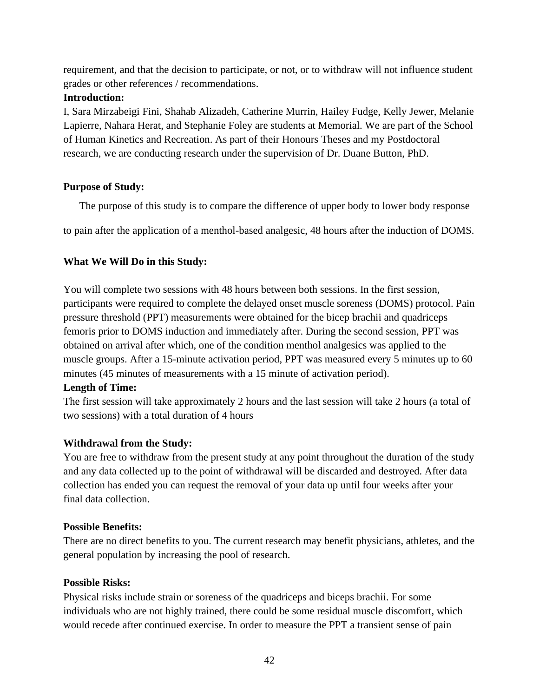requirement, and that the decision to participate, or not, or to withdraw will not influence student grades or other references / recommendations.

### **Introduction:**

I, Sara Mirzabeigi Fini, Shahab Alizadeh, Catherine Murrin, Hailey Fudge, Kelly Jewer, Melanie Lapierre, Nahara Herat, and Stephanie Foley are students at Memorial. We are part of the School of Human Kinetics and Recreation. As part of their Honours Theses and my Postdoctoral research, we are conducting research under the supervision of Dr. Duane Button, PhD.

### **Purpose of Study:**

The purpose of this study is to compare the difference of upper body to lower body response

to pain after the application of a menthol-based analgesic, 48 hours after the induction of DOMS.

## **What We Will Do in this Study:**

You will complete two sessions with 48 hours between both sessions. In the first session, participants were required to complete the delayed onset muscle soreness (DOMS) protocol. Pain pressure threshold (PPT) measurements were obtained for the bicep brachii and quadriceps femoris prior to DOMS induction and immediately after. During the second session, PPT was obtained on arrival after which, one of the condition menthol analgesics was applied to the muscle groups. After a 15-minute activation period, PPT was measured every 5 minutes up to 60 minutes (45 minutes of measurements with a 15 minute of activation period).

### **Length of Time:**

The first session will take approximately 2 hours and the last session will take 2 hours (a total of two sessions) with a total duration of 4 hours

## **Withdrawal from the Study:**

You are free to withdraw from the present study at any point throughout the duration of the study and any data collected up to the point of withdrawal will be discarded and destroyed. After data collection has ended you can request the removal of your data up until four weeks after your final data collection.

### **Possible Benefits:**

There are no direct benefits to you. The current research may benefit physicians, athletes, and the general population by increasing the pool of research.

### **Possible Risks:**

Physical risks include strain or soreness of the quadriceps and biceps brachii. For some individuals who are not highly trained, there could be some residual muscle discomfort, which would recede after continued exercise. In order to measure the PPT a transient sense of pain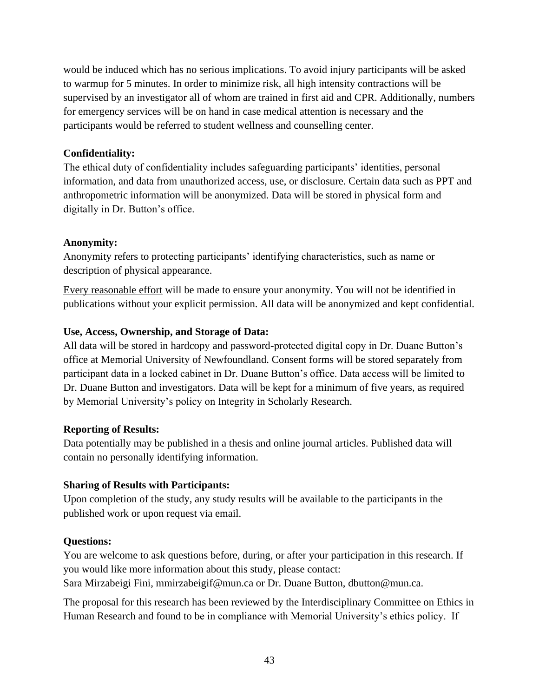would be induced which has no serious implications. To avoid injury participants will be asked to warmup for 5 minutes. In order to minimize risk, all high intensity contractions will be supervised by an investigator all of whom are trained in first aid and CPR. Additionally, numbers for emergency services will be on hand in case medical attention is necessary and the participants would be referred to student wellness and counselling center.

### **Confidentiality:**

The ethical duty of confidentiality includes safeguarding participants' identities, personal information, and data from unauthorized access, use, or disclosure. Certain data such as PPT and anthropometric information will be anonymized. Data will be stored in physical form and digitally in Dr. Button's office.

### **Anonymity:**

Anonymity refers to protecting participants' identifying characteristics, such as name or description of physical appearance.

Every reasonable effort will be made to ensure your anonymity. You will not be identified in publications without your explicit permission. All data will be anonymized and kept confidential.

### **Use, Access, Ownership, and Storage of Data:**

All data will be stored in hardcopy and password-protected digital copy in Dr. Duane Button's office at Memorial University of Newfoundland. Consent forms will be stored separately from participant data in a locked cabinet in Dr. Duane Button's office. Data access will be limited to Dr. Duane Button and investigators. Data will be kept for a minimum of five years, as required by Memorial University's policy on Integrity in Scholarly Research.

### **Reporting of Results:**

Data potentially may be published in a thesis and online journal articles. Published data will contain no personally identifying information.

## **Sharing of Results with Participants:**

Upon completion of the study, any study results will be available to the participants in the published work or upon request via email.

### **Questions:**

You are welcome to ask questions before, during, or after your participation in this research. If you would like more information about this study, please contact: Sara Mirzabeigi Fini, mmirzabeigif@mun.ca or Dr. Duane Button, dbutton@mun.ca.

The proposal for this research has been reviewed by the Interdisciplinary Committee on Ethics in Human Research and found to be in compliance with Memorial University's ethics policy. If